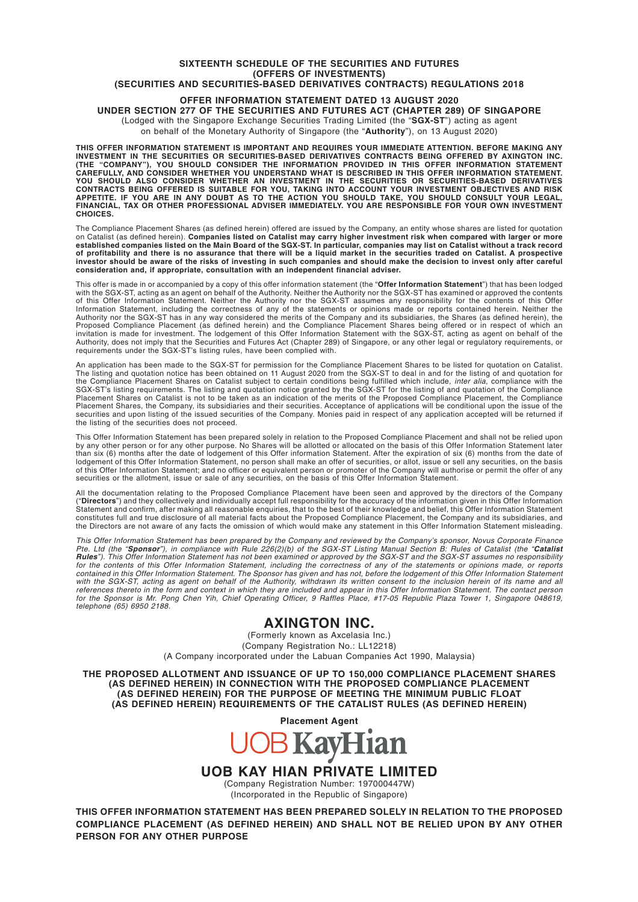#### **OFFER INFORMATION STATEMENT DATED 13 AUGUST 2020**

**UNDER SECTION 277 OF THE SECURITIES AND FUTURES ACT (CHAPTER 289) OF SINGAPORE**

(Lodged with the Singapore Exchange Securities Trading Limited (the "**SGX-ST**") acting as agent on behalf of the Monetary Authority of Singapore (the "**Authority**"), on 13 August 2020)

THIS OFFER INFORMATION STATEMENT IS IMPORTANT AND REQUIRES YOUR IMMEDIATE ATTENTION. BEFORE MAKING ANY<br>INVESTMENT IN THE SECURITIES OR SECURITIES-BASED DERIVATIVES CONTRACTS BEING OFFERED BY AXINGTON INC.<br>(THE "COMPANY"), YOU SHOULD ALSO CONSIDER WHETHER AN INVESTMENT IN THE SECURITIES OR SECURITIES-BASED DERIVATIVES<br>CONTRACTS BEING OFFERED IS SUITABLE FOR YOU, TAKING INTO ACCOUNT YOUR INVESTMENT OBJECTIVES AND RISK<br>APPETITE. IF YOU ARE IN **CHOICES.**

The Compliance Placement Shares (as defined herein) offered are issued by the Company, an entity whose shares are listed for quotation on Catalist (as defined herein). Companies listed on Catalist may carry higher investment risk when compared with larger or more<br>established companies listed on the Main Board of the SGX-ST. In particular, companies may li **investor should be aware of the risks of investing in such companies and should make the decision to invest only after careful consideration and, if appropriate, consultation with an independent financial adviser.**

This offer is made in or accompanied by a copy of this offer information statement (the "**Offer Information Statement**") that has been lodged with the SGX-ST, acting as an agent on behalf of the Authority. Neither the Authority nor the SGX-ST has examined or approved the contents<br>of this Offer Information Statement. Neither the Authority nor the SGX-ST assumes a Authority, does not imply that the Securities and Futures Act (Chapter 289) of Singapore, or any other legal or regulatory requirements, or requirements under the SGX-ST's listing rules, have been complied with.

An application has been made to the SGX-ST for permission for the Compliance Placement Shares to be listed for quotation on Catalist.<br>The listing and quotation notice has been obtained on 11 August 2020 from the SGX-ST to the Compliance Placement Shares on Catalist subject to certain conditions being fulfilled which include, *inter alia*, compliance with the<br>SGX-ST's listing requirements. The listing and quotation notice granted by the SGXsecurities and upon listing of the issued securities of the Company. Monies paid in respect of any application accepted will be returned if the listing of the securities does not proceed.

This Offer Information Statement has been prepared solely in relation to the Proposed Compliance Placement and shall not be relied upon<br>by any other person or for any other purpose. No Shares will be allotted or allocated lodgement of this Offer Information Statement, no person shall make an offer of securities, or allot, issue or sell any securities, on the basis<br>of this Offer Information Statement; and no officer or equivalent person or p

All the documentation relating to the Proposed Compliance Placement have been seen and approved by the directors of the Company ("**Directors**") and they collectively and individually accept full responsibility for the accuracy of the information given in this Offer Information Statement and confirm, after making all reasonable enquiries, that to the best of their knowledge and belief, this Offer Information Statement<br>constitutes full and true disclosure of all material facts about the Proposed C

This Offer Information Statement has been prepared by the Company and reviewed by the Company's sponsor, Novus Corporate Finance<br>Pte. Ltd (the "**Sponsor**"), in compliance with Rule 226(2)(b) of the SGX-ST Listing Manual Se with the SGX-ST, acting as agent on behalf of the Authority, withdrawn its written consent to the inclusion herein of its name and all<br>references thereto in the form and context in which they are included and appear in thi *telephone (65) 6950 2188.*

# **AXINGTON INC.**

(Formerly known as Axcelasia Inc.) (Company Registration No.: LL12218) (A Company incorporated under the Labuan Companies Act 1990, Malaysia)

**THE PROPOSED ALLOTMENT AND ISSUANCE OF UP TO 150,000 COMPLIANCE PLACEMENT SHARES (AS DEFINED HEREIN) IN CONNECTION WITH THE PROPOSED COMPLIANCE PLACEMENT (AS DEFINED HEREIN) FOR THE PURPOSE OF MEETING THE MINIMUM PUBLIC FLOAT (AS DEFINED HEREIN) REQUIREMENTS OF THE CATALIST RULES (AS DEFINED HEREIN)**

**Placement Agent**



**UOB KAY HIAN PRIVATE LIMITED**

(Company Registration Number: 197000447W) (Incorporated in the Republic of Singapore)

**THIS OFFER INFORMATION STATEMENT HAS BEEN PREPARED SOLELY IN RELATION TO THE PROPOSED COMPLIANCE PLACEMENT (AS DEFINED HEREIN) AND SHALL NOT BE RELIED UPON BY ANY OTHER PERSON FOR ANY OTHER PURPOSE**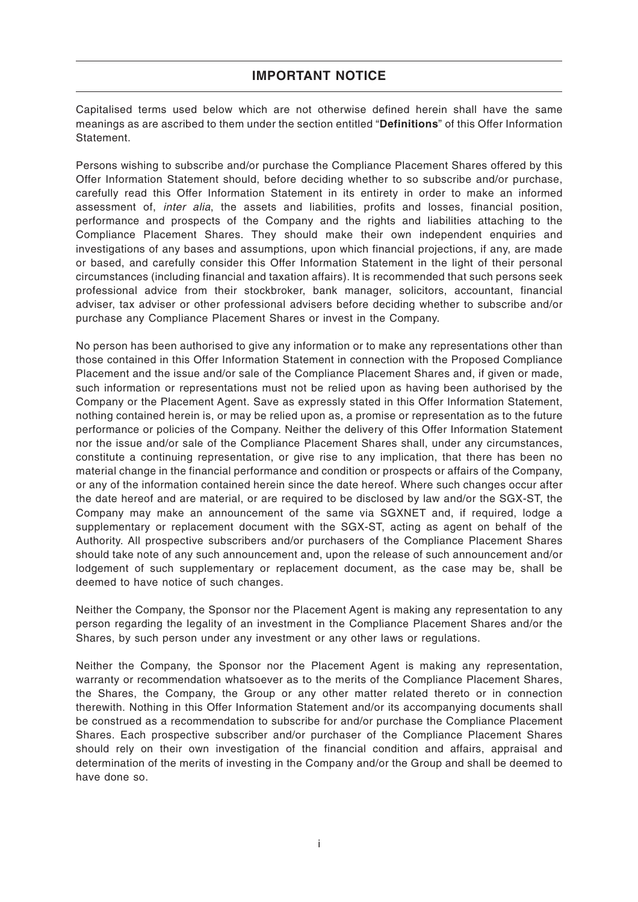# **IMPORTANT NOTICE**

Capitalised terms used below which are not otherwise defined herein shall have the same meanings as are ascribed to them under the section entitled "**Definitions**" of this Offer Information **Statement** 

Persons wishing to subscribe and/or purchase the Compliance Placement Shares offered by this Offer Information Statement should, before deciding whether to so subscribe and/or purchase, carefully read this Offer Information Statement in its entirety in order to make an informed assessment of, inter alia, the assets and liabilities, profits and losses, financial position, performance and prospects of the Company and the rights and liabilities attaching to the Compliance Placement Shares. They should make their own independent enquiries and investigations of any bases and assumptions, upon which financial projections, if any, are made or based, and carefully consider this Offer Information Statement in the light of their personal circumstances (including financial and taxation affairs). It is recommended that such persons seek professional advice from their stockbroker, bank manager, solicitors, accountant, financial adviser, tax adviser or other professional advisers before deciding whether to subscribe and/or purchase any Compliance Placement Shares or invest in the Company.

No person has been authorised to give any information or to make any representations other than those contained in this Offer Information Statement in connection with the Proposed Compliance Placement and the issue and/or sale of the Compliance Placement Shares and, if given or made, such information or representations must not be relied upon as having been authorised by the Company or the Placement Agent. Save as expressly stated in this Offer Information Statement, nothing contained herein is, or may be relied upon as, a promise or representation as to the future performance or policies of the Company. Neither the delivery of this Offer Information Statement nor the issue and/or sale of the Compliance Placement Shares shall, under any circumstances, constitute a continuing representation, or give rise to any implication, that there has been no material change in the financial performance and condition or prospects or affairs of the Company, or any of the information contained herein since the date hereof. Where such changes occur after the date hereof and are material, or are required to be disclosed by law and/or the SGX-ST, the Company may make an announcement of the same via SGXNET and, if required, lodge a supplementary or replacement document with the SGX-ST, acting as agent on behalf of the Authority. All prospective subscribers and/or purchasers of the Compliance Placement Shares should take note of any such announcement and, upon the release of such announcement and/or lodgement of such supplementary or replacement document, as the case may be, shall be deemed to have notice of such changes.

Neither the Company, the Sponsor nor the Placement Agent is making any representation to any person regarding the legality of an investment in the Compliance Placement Shares and/or the Shares, by such person under any investment or any other laws or regulations.

Neither the Company, the Sponsor nor the Placement Agent is making any representation, warranty or recommendation whatsoever as to the merits of the Compliance Placement Shares, the Shares, the Company, the Group or any other matter related thereto or in connection therewith. Nothing in this Offer Information Statement and/or its accompanying documents shall be construed as a recommendation to subscribe for and/or purchase the Compliance Placement Shares. Each prospective subscriber and/or purchaser of the Compliance Placement Shares should rely on their own investigation of the financial condition and affairs, appraisal and determination of the merits of investing in the Company and/or the Group and shall be deemed to have done so.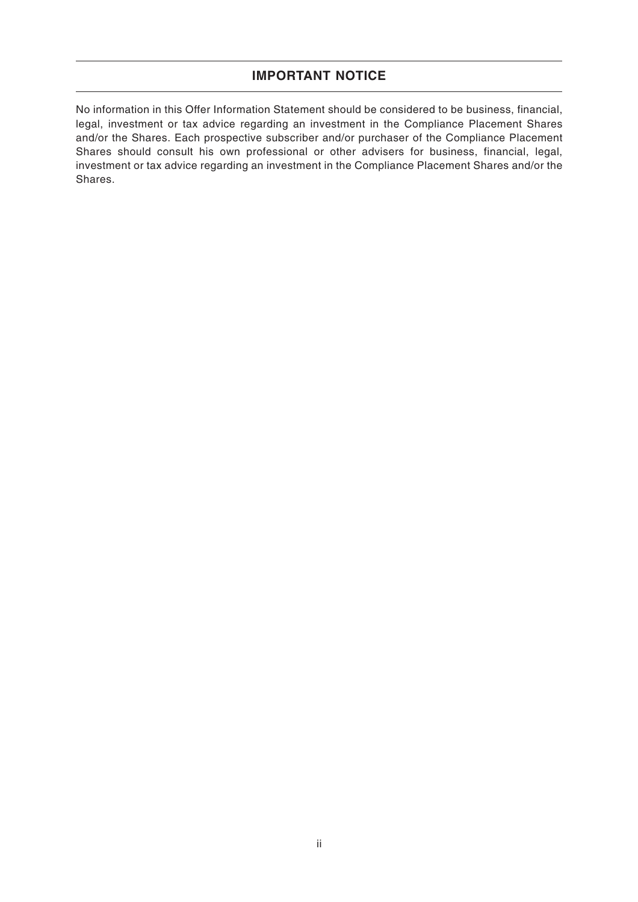### **IMPORTANT NOTICE**

No information in this Offer Information Statement should be considered to be business, financial, legal, investment or tax advice regarding an investment in the Compliance Placement Shares and/or the Shares. Each prospective subscriber and/or purchaser of the Compliance Placement Shares should consult his own professional or other advisers for business, financial, legal, investment or tax advice regarding an investment in the Compliance Placement Shares and/or the Shares.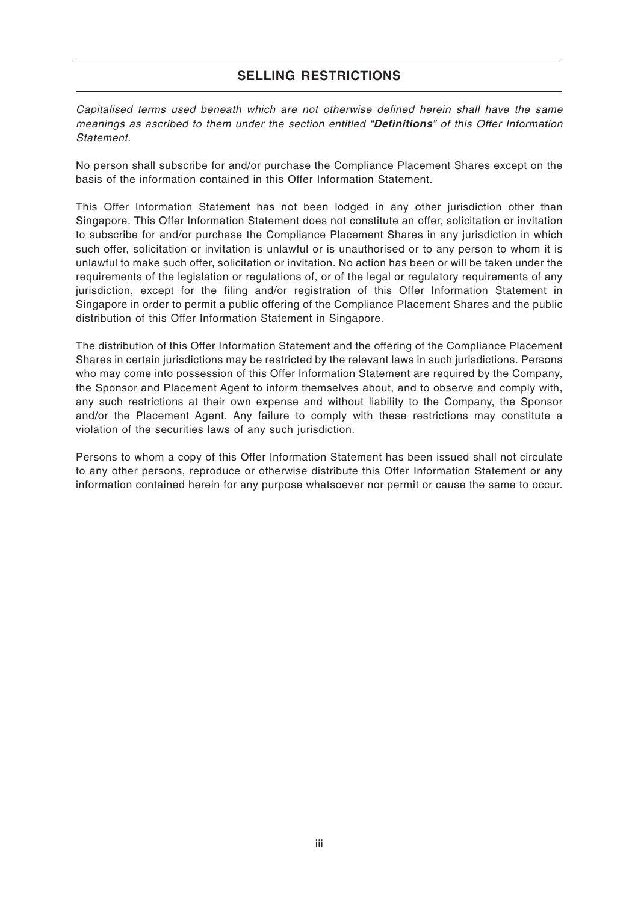# **SELLING RESTRICTIONS**

Capitalised terms used beneath which are not otherwise defined herein shall have the same meanings as ascribed to them under the section entitled "**Definitions**" of this Offer Information **Statement** 

No person shall subscribe for and/or purchase the Compliance Placement Shares except on the basis of the information contained in this Offer Information Statement.

This Offer Information Statement has not been lodged in any other jurisdiction other than Singapore. This Offer Information Statement does not constitute an offer, solicitation or invitation to subscribe for and/or purchase the Compliance Placement Shares in any jurisdiction in which such offer, solicitation or invitation is unlawful or is unauthorised or to any person to whom it is unlawful to make such offer, solicitation or invitation. No action has been or will be taken under the requirements of the legislation or regulations of, or of the legal or regulatory requirements of any jurisdiction, except for the filing and/or registration of this Offer Information Statement in Singapore in order to permit a public offering of the Compliance Placement Shares and the public distribution of this Offer Information Statement in Singapore.

The distribution of this Offer Information Statement and the offering of the Compliance Placement Shares in certain jurisdictions may be restricted by the relevant laws in such jurisdictions. Persons who may come into possession of this Offer Information Statement are required by the Company, the Sponsor and Placement Agent to inform themselves about, and to observe and comply with, any such restrictions at their own expense and without liability to the Company, the Sponsor and/or the Placement Agent. Any failure to comply with these restrictions may constitute a violation of the securities laws of any such jurisdiction.

Persons to whom a copy of this Offer Information Statement has been issued shall not circulate to any other persons, reproduce or otherwise distribute this Offer Information Statement or any information contained herein for any purpose whatsoever nor permit or cause the same to occur.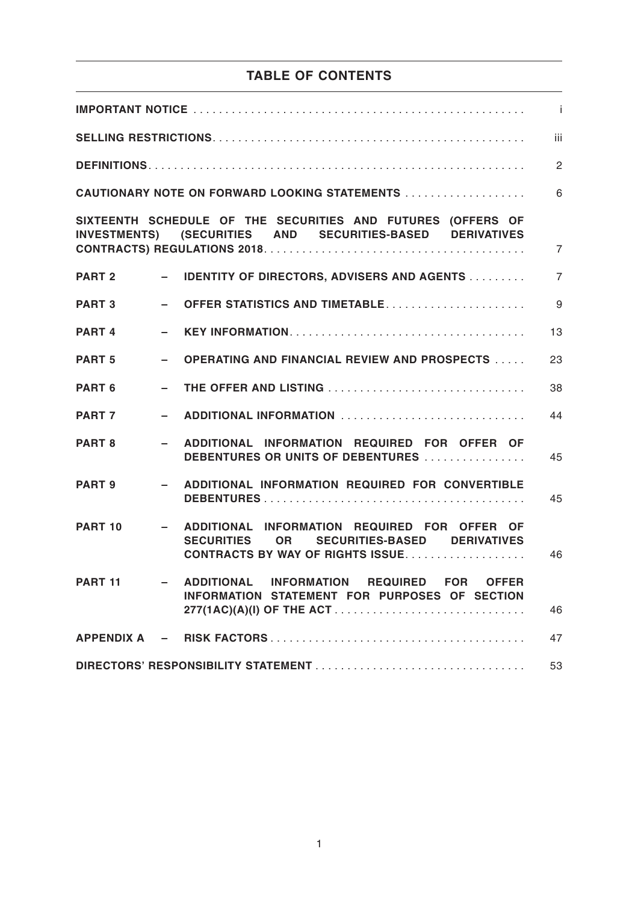# **TABLE OF CONTENTS**

| $\mathbf{i}$      |               |                                                                                                                                   |                |  |  |
|-------------------|---------------|-----------------------------------------------------------------------------------------------------------------------------------|----------------|--|--|
| iii               |               |                                                                                                                                   |                |  |  |
|                   |               |                                                                                                                                   | $\overline{2}$ |  |  |
|                   |               | CAUTIONARY NOTE ON FORWARD LOOKING STATEMENTS                                                                                     | 6              |  |  |
|                   |               | SIXTEENTH SCHEDULE OF THE SECURITIES AND FUTURES (OFFERS OF<br>INVESTMENTS) (SECURITIES AND SECURITIES-BASED DERIVATIVES          | $\overline{7}$ |  |  |
| <b>PART 2</b>     |               | - IDENTITY OF DIRECTORS, ADVISERS AND AGENTS                                                                                      | $\overline{7}$ |  |  |
| <b>PART 3</b>     | Ξ.            | <b>OFFER STATISTICS AND TIMETABLE</b>                                                                                             | 9              |  |  |
| PART <sub>4</sub> | $\sim$        |                                                                                                                                   | 13             |  |  |
| PART <sub>5</sub> | $\equiv$      | <b>OPERATING AND FINANCIAL REVIEW AND PROSPECTS </b>                                                                              | 23             |  |  |
| PART <sub>6</sub> | Ξ.            | THE OFFER AND LISTING                                                                                                             | 38             |  |  |
| PART <sub>7</sub> | $\sim$        | ADDITIONAL INFORMATION                                                                                                            | 44             |  |  |
| PART 8            |               | ADDITIONAL INFORMATION REQUIRED FOR OFFER OF<br>DEBENTURES OR UNITS OF DEBENTURES                                                 | 45             |  |  |
| PART 9            |               | - ADDITIONAL INFORMATION REQUIRED FOR CONVERTIBLE                                                                                 | 45             |  |  |
| PART 10           | $\sim$ $\sim$ | ADDITIONAL INFORMATION REQUIRED FOR OFFER OF<br>SECURITIES OR SECURITIES-BASED DERIVATIVES<br>CONTRACTS BY WAY OF RIGHTS ISSUE    | 46             |  |  |
| <b>PART 11</b>    |               | ADDITIONAL INFORMATION REQUIRED FOR<br><b>OFFER</b><br>INFORMATION STATEMENT FOR PURPOSES OF SECTION<br>277(1AC)(A)(I) OF THE ACT | 46             |  |  |
|                   |               |                                                                                                                                   | 47             |  |  |
| 53                |               |                                                                                                                                   |                |  |  |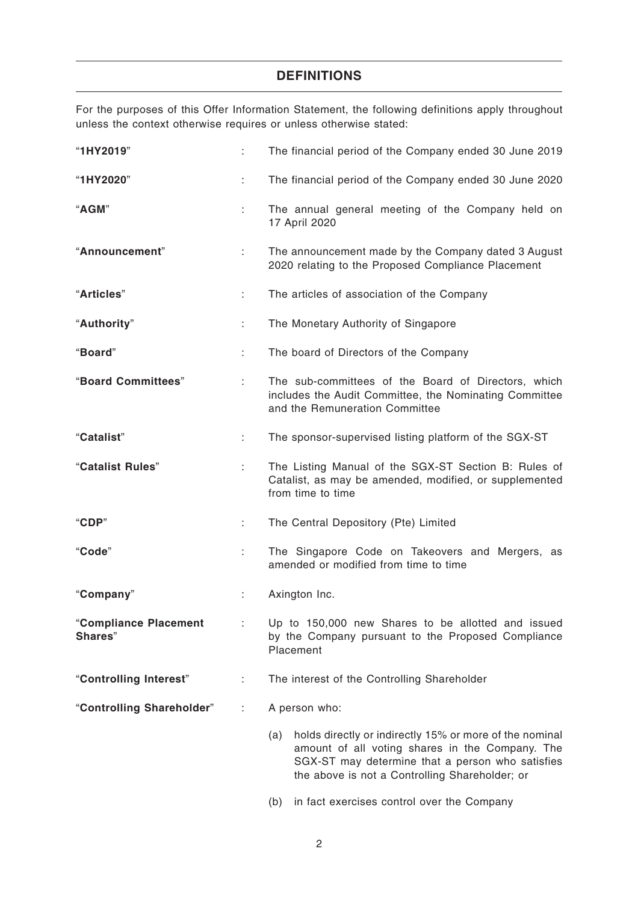# **DEFINITIONS**

For the purposes of this Offer Information Statement, the following definitions apply throughout unless the context otherwise requires or unless otherwise stated:

| "1HY2019"                        |    | The financial period of the Company ended 30 June 2019                                                                                                                                                                  |
|----------------------------------|----|-------------------------------------------------------------------------------------------------------------------------------------------------------------------------------------------------------------------------|
| "1HY2020"                        | ÷  | The financial period of the Company ended 30 June 2020                                                                                                                                                                  |
| "AGM"                            | ÷  | The annual general meeting of the Company held on<br>17 April 2020                                                                                                                                                      |
| "Announcement"                   | ÷  | The announcement made by the Company dated 3 August<br>2020 relating to the Proposed Compliance Placement                                                                                                               |
| "Articles"                       | ÷. | The articles of association of the Company                                                                                                                                                                              |
| "Authority"                      | ÷  | The Monetary Authority of Singapore                                                                                                                                                                                     |
| "Board"                          | ÷. | The board of Directors of the Company                                                                                                                                                                                   |
| "Board Committees"               | ÷. | The sub-committees of the Board of Directors, which<br>includes the Audit Committee, the Nominating Committee<br>and the Remuneration Committee                                                                         |
| "Catalist"                       | ÷  | The sponsor-supervised listing platform of the SGX-ST                                                                                                                                                                   |
| "Catalist Rules"                 | ÷  | The Listing Manual of the SGX-ST Section B: Rules of<br>Catalist, as may be amended, modified, or supplemented<br>from time to time                                                                                     |
| "CDP"                            | ÷. | The Central Depository (Pte) Limited                                                                                                                                                                                    |
| "Code"                           | ÷. | The Singapore Code on Takeovers and Mergers, as<br>amended or modified from time to time                                                                                                                                |
| "Company"                        | ÷  | Axington Inc.                                                                                                                                                                                                           |
| "Compliance Placement<br>Shares" |    | : Up to 150,000 new Shares to be allotted and issued<br>by the Company pursuant to the Proposed Compliance<br>Placement                                                                                                 |
| "Controlling Interest"           | ÷. | The interest of the Controlling Shareholder                                                                                                                                                                             |
| "Controlling Shareholder"        |    | A person who:                                                                                                                                                                                                           |
|                                  |    | (a)<br>holds directly or indirectly 15% or more of the nominal<br>amount of all voting shares in the Company. The<br>SGX-ST may determine that a person who satisfies<br>the above is not a Controlling Shareholder; or |

(b) in fact exercises control over the Company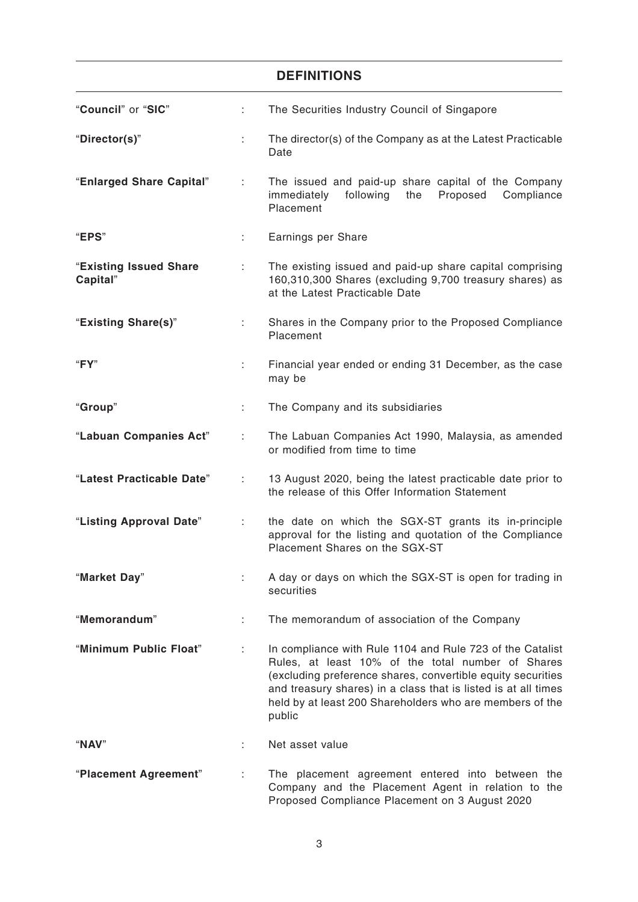|                                    |    | <b>DEFINITIONS</b>                                                                                                                                                                                                                                                                                                    |
|------------------------------------|----|-----------------------------------------------------------------------------------------------------------------------------------------------------------------------------------------------------------------------------------------------------------------------------------------------------------------------|
| "Council" or "SIC"                 | ÷. | The Securities Industry Council of Singapore                                                                                                                                                                                                                                                                          |
| "Director(s)"                      | ÷  | The director(s) of the Company as at the Latest Practicable<br>Date                                                                                                                                                                                                                                                   |
| "Enlarged Share Capital"           | ÷  | The issued and paid-up share capital of the Company<br>immediately<br>following<br>the<br>Proposed<br>Compliance<br>Placement                                                                                                                                                                                         |
| "EPS"                              | ÷  | Earnings per Share                                                                                                                                                                                                                                                                                                    |
| "Existing Issued Share<br>Capital" | ÷  | The existing issued and paid-up share capital comprising<br>160,310,300 Shares (excluding 9,700 treasury shares) as<br>at the Latest Practicable Date                                                                                                                                                                 |
| "Existing Share(s)"                | ÷  | Shares in the Company prior to the Proposed Compliance<br>Placement                                                                                                                                                                                                                                                   |
| "FY"                               | t. | Financial year ended or ending 31 December, as the case<br>may be                                                                                                                                                                                                                                                     |
| "Group"                            | ÷. | The Company and its subsidiaries                                                                                                                                                                                                                                                                                      |
| "Labuan Companies Act"             | ÷  | The Labuan Companies Act 1990, Malaysia, as amended<br>or modified from time to time                                                                                                                                                                                                                                  |
| "Latest Practicable Date"          | ÷  | 13 August 2020, being the latest practicable date prior to<br>the release of this Offer Information Statement                                                                                                                                                                                                         |
| "Listing Approval Date"            | ÷  | the date on which the SGX-ST grants its in-principle<br>approval for the listing and quotation of the Compliance<br>Placement Shares on the SGX-ST                                                                                                                                                                    |
| "Market Day"                       |    | A day or days on which the SGX-ST is open for trading in<br>securities                                                                                                                                                                                                                                                |
| "Memorandum"                       |    | The memorandum of association of the Company                                                                                                                                                                                                                                                                          |
| "Minimum Public Float"             |    | In compliance with Rule 1104 and Rule 723 of the Catalist<br>Rules, at least 10% of the total number of Shares<br>(excluding preference shares, convertible equity securities<br>and treasury shares) in a class that is listed is at all times<br>held by at least 200 Shareholders who are members of the<br>public |
| "NAV"                              |    | Net asset value                                                                                                                                                                                                                                                                                                       |
| "Placement Agreement"              |    | The placement agreement entered into between the<br>Company and the Placement Agent in relation to the<br>Proposed Compliance Placement on 3 August 2020                                                                                                                                                              |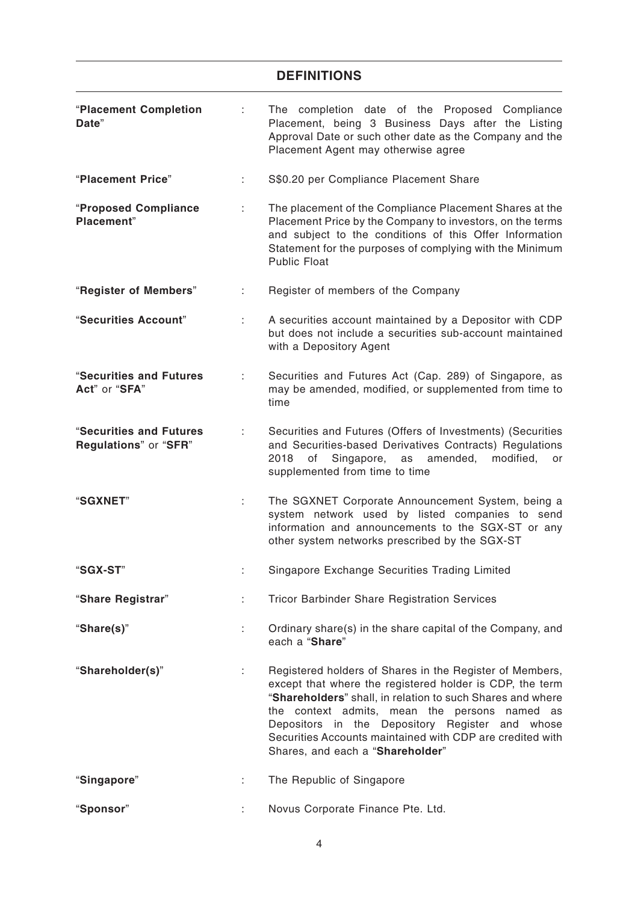# **DEFINITIONS**

| "Placement Completion<br>Date"                   |    | The completion date of the Proposed Compliance<br>Placement, being 3 Business Days after the Listing<br>Approval Date or such other date as the Company and the<br>Placement Agent may otherwise agree                                                                                                                                                                                  |  |  |
|--------------------------------------------------|----|-----------------------------------------------------------------------------------------------------------------------------------------------------------------------------------------------------------------------------------------------------------------------------------------------------------------------------------------------------------------------------------------|--|--|
| "Placement Price"                                | ÷  | S\$0.20 per Compliance Placement Share                                                                                                                                                                                                                                                                                                                                                  |  |  |
| "Proposed Compliance<br>Placement"               |    | The placement of the Compliance Placement Shares at the<br>Placement Price by the Company to investors, on the terms<br>and subject to the conditions of this Offer Information<br>Statement for the purposes of complying with the Minimum<br><b>Public Float</b>                                                                                                                      |  |  |
| "Register of Members"                            | t. | Register of members of the Company                                                                                                                                                                                                                                                                                                                                                      |  |  |
| "Securities Account"                             | ÷  | A securities account maintained by a Depositor with CDP<br>but does not include a securities sub-account maintained<br>with a Depository Agent                                                                                                                                                                                                                                          |  |  |
| "Securities and Futures<br>Act" or "SFA"         | ÷  | Securities and Futures Act (Cap. 289) of Singapore, as<br>may be amended, modified, or supplemented from time to<br>time                                                                                                                                                                                                                                                                |  |  |
| "Securities and Futures<br>Regulations" or "SFR" |    | Securities and Futures (Offers of Investments) (Securities<br>and Securities-based Derivatives Contracts) Regulations<br>amended,<br>2018<br>of<br>Singapore,<br>modified,<br>as<br>or<br>supplemented from time to time                                                                                                                                                                |  |  |
| "SGXNET"                                         | ÷  | The SGXNET Corporate Announcement System, being a<br>system network used by listed companies to send<br>information and announcements to the SGX-ST or any<br>other system networks prescribed by the SGX-ST                                                                                                                                                                            |  |  |
| "SGX-ST"                                         |    | Singapore Exchange Securities Trading Limited                                                                                                                                                                                                                                                                                                                                           |  |  |
| "Share Registrar"                                | ÷. | <b>Tricor Barbinder Share Registration Services</b>                                                                                                                                                                                                                                                                                                                                     |  |  |
| "Share(s)"                                       | ÷. | Ordinary share(s) in the share capital of the Company, and<br>each a "Share"                                                                                                                                                                                                                                                                                                            |  |  |
| "Shareholder(s)"                                 | ÷  | Registered holders of Shares in the Register of Members,<br>except that where the registered holder is CDP, the term<br>"Shareholders" shall, in relation to such Shares and where<br>the context admits, mean the persons named as<br>Depositors in the Depository Register and whose<br>Securities Accounts maintained with CDP are credited with<br>Shares, and each a "Shareholder" |  |  |
| "Singapore"                                      |    | The Republic of Singapore                                                                                                                                                                                                                                                                                                                                                               |  |  |
| "Sponsor"                                        |    | Novus Corporate Finance Pte. Ltd.                                                                                                                                                                                                                                                                                                                                                       |  |  |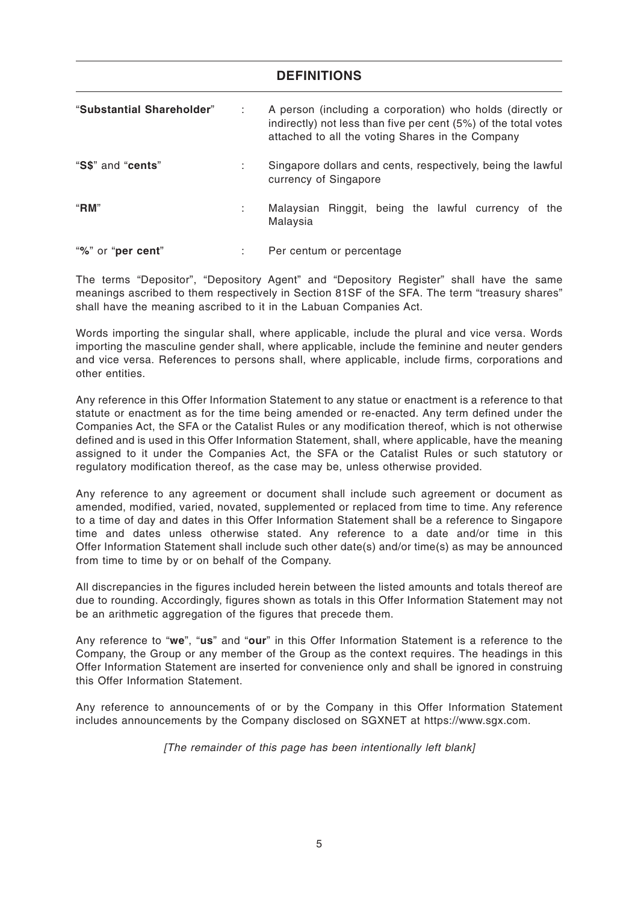### **DEFINITIONS**

| "Substantial Shareholder" |              | A person (including a corporation) who holds (directly or<br>indirectly) not less than five per cent (5%) of the total votes<br>attached to all the voting Shares in the Company |  |  |  |
|---------------------------|--------------|----------------------------------------------------------------------------------------------------------------------------------------------------------------------------------|--|--|--|
| "S\$" and "cents"         | $\mathbf{r}$ | Singapore dollars and cents, respectively, being the lawful<br>currency of Singapore                                                                                             |  |  |  |
| "RM"                      | ٠            | Malaysian Ringgit, being the lawful currency of the<br>Malaysia                                                                                                                  |  |  |  |
| "%" or "per cent"         | ٠            | Per centum or percentage                                                                                                                                                         |  |  |  |

The terms "Depositor", "Depository Agent" and "Depository Register" shall have the same meanings ascribed to them respectively in Section 81SF of the SFA. The term "treasury shares" shall have the meaning ascribed to it in the Labuan Companies Act.

Words importing the singular shall, where applicable, include the plural and vice versa. Words importing the masculine gender shall, where applicable, include the feminine and neuter genders and vice versa. References to persons shall, where applicable, include firms, corporations and other entities.

Any reference in this Offer Information Statement to any statue or enactment is a reference to that statute or enactment as for the time being amended or re-enacted. Any term defined under the Companies Act, the SFA or the Catalist Rules or any modification thereof, which is not otherwise defined and is used in this Offer Information Statement, shall, where applicable, have the meaning assigned to it under the Companies Act, the SFA or the Catalist Rules or such statutory or regulatory modification thereof, as the case may be, unless otherwise provided.

Any reference to any agreement or document shall include such agreement or document as amended, modified, varied, novated, supplemented or replaced from time to time. Any reference to a time of day and dates in this Offer Information Statement shall be a reference to Singapore time and dates unless otherwise stated. Any reference to a date and/or time in this Offer Information Statement shall include such other date(s) and/or time(s) as may be announced from time to time by or on behalf of the Company.

All discrepancies in the figures included herein between the listed amounts and totals thereof are due to rounding. Accordingly, figures shown as totals in this Offer Information Statement may not be an arithmetic aggregation of the figures that precede them.

Any reference to "**we**", "**us**" and "**our**" in this Offer Information Statement is a reference to the Company, the Group or any member of the Group as the context requires. The headings in this Offer Information Statement are inserted for convenience only and shall be ignored in construing this Offer Information Statement.

Any reference to announcements of or by the Company in this Offer Information Statement includes announcements by the Company disclosed on SGXNET at https://www.sgx.com.

[The remainder of this page has been intentionally left blank]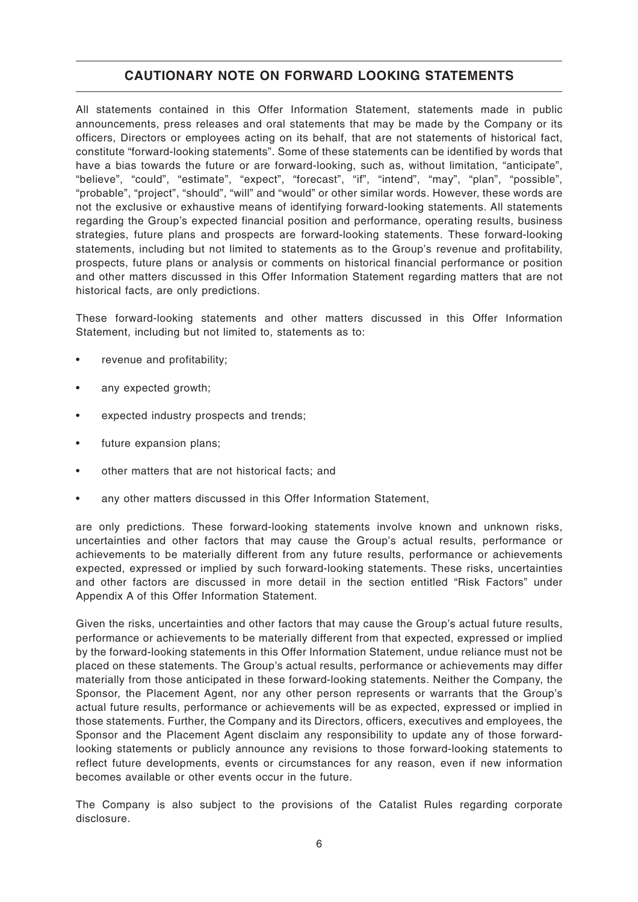# **CAUTIONARY NOTE ON FORWARD LOOKING STATEMENTS**

All statements contained in this Offer Information Statement, statements made in public announcements, press releases and oral statements that may be made by the Company or its officers, Directors or employees acting on its behalf, that are not statements of historical fact, constitute "forward-looking statements". Some of these statements can be identified by words that have a bias towards the future or are forward-looking, such as, without limitation, "anticipate", "believe", "could", "estimate", "expect", "forecast", "if", "intend", "may", "plan", "possible", "probable", "project", "should", "will" and "would" or other similar words. However, these words are not the exclusive or exhaustive means of identifying forward-looking statements. All statements regarding the Group's expected financial position and performance, operating results, business strategies, future plans and prospects are forward-looking statements. These forward-looking statements, including but not limited to statements as to the Group's revenue and profitability, prospects, future plans or analysis or comments on historical financial performance or position and other matters discussed in this Offer Information Statement regarding matters that are not historical facts, are only predictions.

These forward-looking statements and other matters discussed in this Offer Information Statement, including but not limited to, statements as to:

- revenue and profitability;
- any expected growth;
- expected industry prospects and trends;
- future expansion plans;
- other matters that are not historical facts; and
- any other matters discussed in this Offer Information Statement,

are only predictions. These forward-looking statements involve known and unknown risks, uncertainties and other factors that may cause the Group's actual results, performance or achievements to be materially different from any future results, performance or achievements expected, expressed or implied by such forward-looking statements. These risks, uncertainties and other factors are discussed in more detail in the section entitled "Risk Factors" under Appendix A of this Offer Information Statement.

Given the risks, uncertainties and other factors that may cause the Group's actual future results, performance or achievements to be materially different from that expected, expressed or implied by the forward-looking statements in this Offer Information Statement, undue reliance must not be placed on these statements. The Group's actual results, performance or achievements may differ materially from those anticipated in these forward-looking statements. Neither the Company, the Sponsor, the Placement Agent, nor any other person represents or warrants that the Group's actual future results, performance or achievements will be as expected, expressed or implied in those statements. Further, the Company and its Directors, officers, executives and employees, the Sponsor and the Placement Agent disclaim any responsibility to update any of those forwardlooking statements or publicly announce any revisions to those forward-looking statements to reflect future developments, events or circumstances for any reason, even if new information becomes available or other events occur in the future.

The Company is also subject to the provisions of the Catalist Rules regarding corporate disclosure.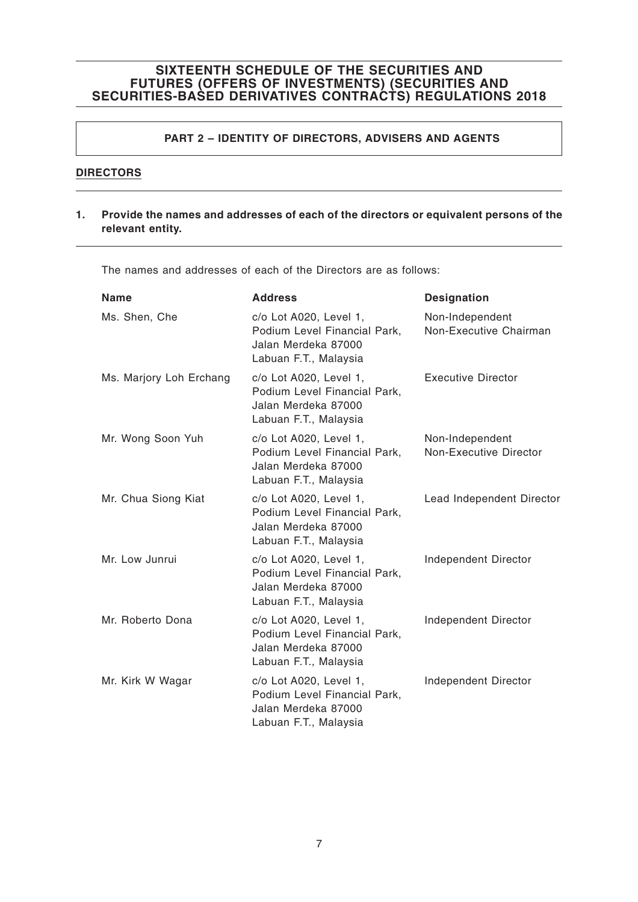### **PART 2 – IDENTITY OF DIRECTORS, ADVISERS AND AGENTS**

### **DIRECTORS**

#### **1. Provide the names and addresses of each of the directors or equivalent persons of the relevant entity.**

The names and addresses of each of the Directors are as follows:

| <b>Name</b>             | <b>Address</b>                                                                                         | <b>Designation</b>                        |
|-------------------------|--------------------------------------------------------------------------------------------------------|-------------------------------------------|
| Ms. Shen, Che           | c/o Lot A020, Level 1,<br>Podium Level Financial Park,<br>Jalan Merdeka 87000<br>Labuan F.T., Malaysia | Non-Independent<br>Non-Executive Chairman |
| Ms. Marjory Loh Erchang | c/o Lot A020, Level 1,<br>Podium Level Financial Park,<br>Jalan Merdeka 87000<br>Labuan F.T., Malaysia | <b>Executive Director</b>                 |
| Mr. Wong Soon Yuh       | c/o Lot A020, Level 1,<br>Podium Level Financial Park,<br>Jalan Merdeka 87000<br>Labuan F.T., Malaysia | Non-Independent<br>Non-Executive Director |
| Mr. Chua Siong Kiat     | c/o Lot A020, Level 1,<br>Podium Level Financial Park,<br>Jalan Merdeka 87000<br>Labuan F.T., Malaysia | Lead Independent Director                 |
| Mr. Low Junrui          | c/o Lot A020, Level 1,<br>Podium Level Financial Park,<br>Jalan Merdeka 87000<br>Labuan F.T., Malaysia | Independent Director                      |
| Mr. Roberto Dona        | c/o Lot A020, Level 1,<br>Podium Level Financial Park,<br>Jalan Merdeka 87000<br>Labuan F.T., Malaysia | Independent Director                      |
| Mr. Kirk W Wagar        | c/o Lot A020, Level 1,<br>Podium Level Financial Park,<br>Jalan Merdeka 87000<br>Labuan F.T., Malaysia | Independent Director                      |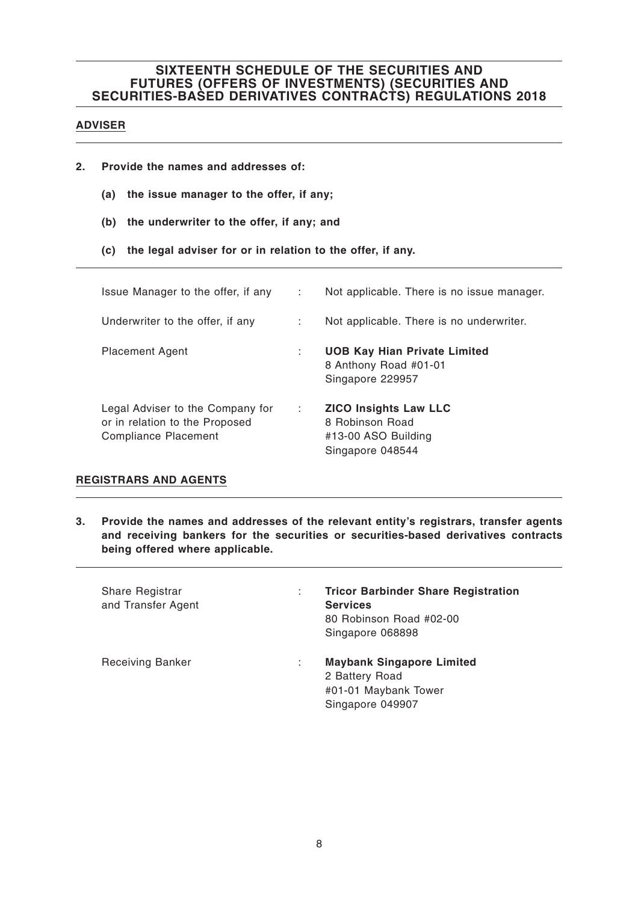### **ADVISER**

- **2. Provide the names and addresses of:**
	- **(a) the issue manager to the offer, if any;**
	- **(b) the underwriter to the offer, if any; and**
	- **(c) the legal adviser for or in relation to the offer, if any.**

| Issue Manager to the offer, if any                                                                | $\sim$ 1. | Not applicable. There is no issue manager.                                                 |
|---------------------------------------------------------------------------------------------------|-----------|--------------------------------------------------------------------------------------------|
| Underwriter to the offer, if any                                                                  | di s      | Not applicable. There is no underwriter.                                                   |
| <b>Placement Agent</b>                                                                            | ÷         | <b>UOB Kay Hian Private Limited</b><br>8 Anthony Road #01-01<br>Singapore 229957           |
| Legal Adviser to the Company for<br>or in relation to the Proposed<br><b>Compliance Placement</b> | ÷         | <b>ZICO Insights Law LLC</b><br>8 Robinson Road<br>#13-00 ASO Building<br>Singapore 048544 |

### **REGISTRARS AND AGENTS**

**3. Provide the names and addresses of the relevant entity's registrars, transfer agents and receiving bankers for the securities or securities-based derivatives contracts being offered where applicable.**

| Share Registrar<br>and Transfer Agent | ÷ | <b>Tricor Barbinder Share Registration</b><br><b>Services</b><br>80 Robinson Road #02-00<br>Singapore 068898 |
|---------------------------------------|---|--------------------------------------------------------------------------------------------------------------|
| <b>Receiving Banker</b>               | ÷ | <b>Maybank Singapore Limited</b><br>2 Battery Road<br>#01-01 Maybank Tower<br>Singapore 049907               |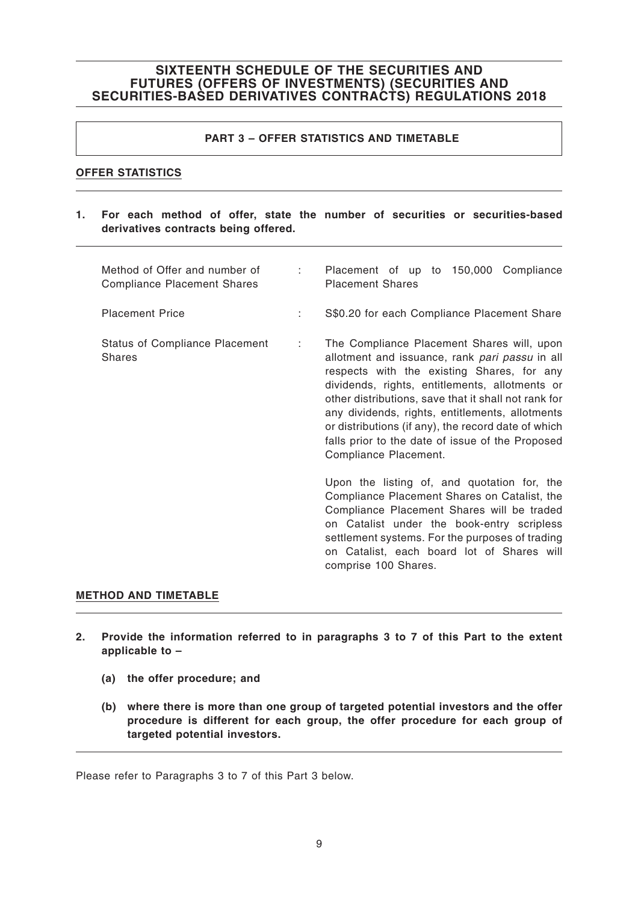### **PART 3 – OFFER STATISTICS AND TIMETABLE**

### **OFFER STATISTICS**

**1. For each method of offer, state the number of securities or securities-based derivatives contracts being offered.**

| Method of Offer and number of<br><b>Compliance Placement Shares</b> | <b>Contract</b> | Placement of up to 150,000 Compliance<br><b>Placement Shares</b>                                                                                                                                                                                                                                                                                                                                                                            |
|---------------------------------------------------------------------|-----------------|---------------------------------------------------------------------------------------------------------------------------------------------------------------------------------------------------------------------------------------------------------------------------------------------------------------------------------------------------------------------------------------------------------------------------------------------|
| <b>Placement Price</b>                                              | ÷               | S\$0.20 for each Compliance Placement Share                                                                                                                                                                                                                                                                                                                                                                                                 |
| <b>Status of Compliance Placement</b><br><b>Shares</b>              | t.              | The Compliance Placement Shares will, upon<br>allotment and issuance, rank pari passu in all<br>respects with the existing Shares, for any<br>dividends, rights, entitlements, allotments or<br>other distributions, save that it shall not rank for<br>any dividends, rights, entitlements, allotments<br>or distributions (if any), the record date of which<br>falls prior to the date of issue of the Proposed<br>Compliance Placement. |
|                                                                     |                 | Upon the listing of, and quotation for, the<br>Compliance Placement Shares on Catalist, the<br>Compliance Placement Shares will be traded<br>on Catalist under the book-entry scripless<br>settlement systems. For the purposes of trading<br>on Catalist, each board lot of Shares will<br>comprise 100 Shares.                                                                                                                            |

#### **METHOD AND TIMETABLE**

- **2. Provide the information referred to in paragraphs 3 to 7 of this Part to the extent applicable to –**
	- **(a) the offer procedure; and**
	- **(b) where there is more than one group of targeted potential investors and the offer procedure is different for each group, the offer procedure for each group of targeted potential investors.**

Please refer to Paragraphs 3 to 7 of this Part 3 below.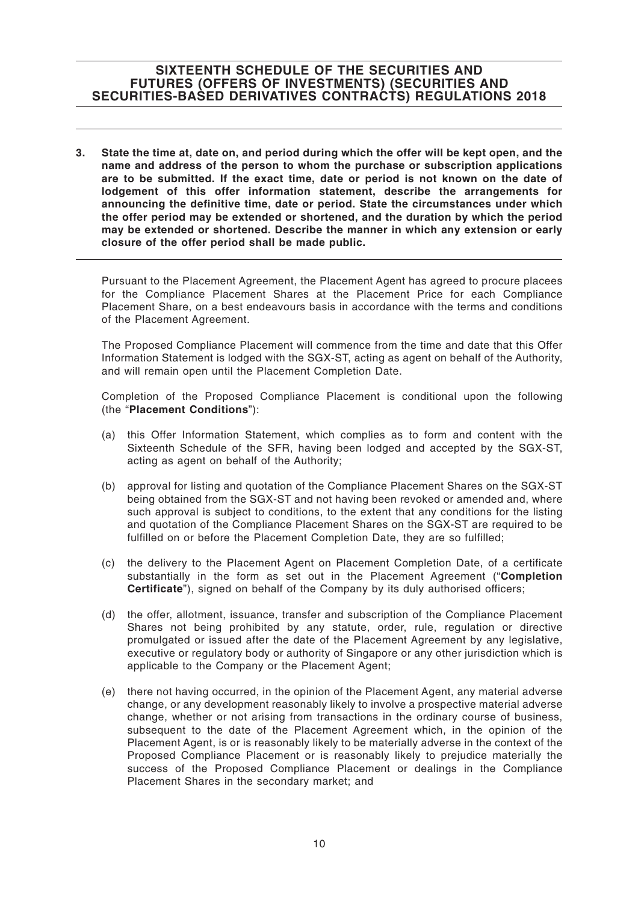**3. State the time at, date on, and period during which the offer will be kept open, and the name and address of the person to whom the purchase or subscription applications are to be submitted. If the exact time, date or period is not known on the date of lodgement of this offer information statement, describe the arrangements for announcing the definitive time, date or period. State the circumstances under which the offer period may be extended or shortened, and the duration by which the period may be extended or shortened. Describe the manner in which any extension or early closure of the offer period shall be made public.**

Pursuant to the Placement Agreement, the Placement Agent has agreed to procure placees for the Compliance Placement Shares at the Placement Price for each Compliance Placement Share, on a best endeavours basis in accordance with the terms and conditions of the Placement Agreement.

The Proposed Compliance Placement will commence from the time and date that this Offer Information Statement is lodged with the SGX-ST, acting as agent on behalf of the Authority, and will remain open until the Placement Completion Date.

Completion of the Proposed Compliance Placement is conditional upon the following (the "**Placement Conditions**"):

- (a) this Offer Information Statement, which complies as to form and content with the Sixteenth Schedule of the SFR, having been lodged and accepted by the SGX-ST, acting as agent on behalf of the Authority;
- (b) approval for listing and quotation of the Compliance Placement Shares on the SGX-ST being obtained from the SGX-ST and not having been revoked or amended and, where such approval is subject to conditions, to the extent that any conditions for the listing and quotation of the Compliance Placement Shares on the SGX-ST are required to be fulfilled on or before the Placement Completion Date, they are so fulfilled;
- (c) the delivery to the Placement Agent on Placement Completion Date, of a certificate substantially in the form as set out in the Placement Agreement ("**Completion Certificate**"), signed on behalf of the Company by its duly authorised officers;
- (d) the offer, allotment, issuance, transfer and subscription of the Compliance Placement Shares not being prohibited by any statute, order, rule, regulation or directive promulgated or issued after the date of the Placement Agreement by any legislative, executive or regulatory body or authority of Singapore or any other jurisdiction which is applicable to the Company or the Placement Agent;
- (e) there not having occurred, in the opinion of the Placement Agent, any material adverse change, or any development reasonably likely to involve a prospective material adverse change, whether or not arising from transactions in the ordinary course of business, subsequent to the date of the Placement Agreement which, in the opinion of the Placement Agent, is or is reasonably likely to be materially adverse in the context of the Proposed Compliance Placement or is reasonably likely to prejudice materially the success of the Proposed Compliance Placement or dealings in the Compliance Placement Shares in the secondary market; and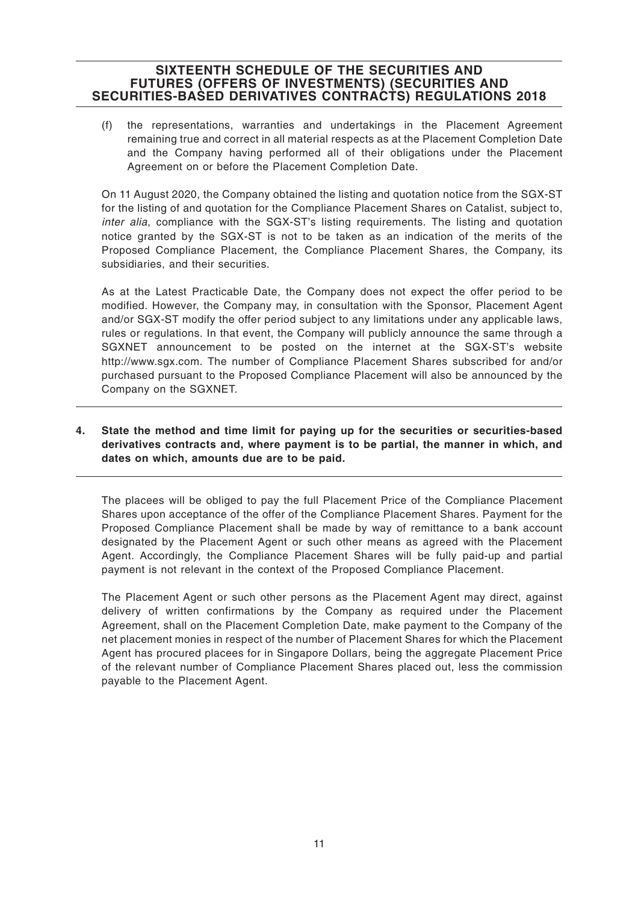(f) the representations, warranties and undertakings in the Placement Agreement remaining true and correct in all material respects as at the Placement Completion Date and the Company having performed all of their obligations under the Placement Agreement on or before the Placement Completion Date.

On 11 August 2020, the Company obtained the listing and quotation notice from the SGX-ST for the listing of and quotation for the Compliance Placement Shares on Catalist, subject to, inter alia, compliance with the SGX-ST's listing requirements. The listing and quotation notice granted by the SGX-ST is not to be taken as an indication of the merits of the Proposed Compliance Placement, the Compliance Placement Shares, the Company, its subsidiaries, and their securities.

As at the Latest Practicable Date, the Company does not expect the offer period to be modified. However, the Company may, in consultation with the Sponsor, Placement Agent and/or SGX-ST modify the offer period subject to any limitations under any applicable laws, rules or regulations. In that event, the Company will publicly announce the same through a SGXNET announcement to be posted on the internet at the SGX-ST's website http://www.sgx.com. The number of Compliance Placement Shares subscribed for and/or purchased pursuant to the Proposed Compliance Placement will also be announced by the Company on the SGXNET.

**4. State the method and time limit for paying up for the securities or securities-based derivatives contracts and, where payment is to be partial, the manner in which, and dates on which, amounts due are to be paid.**

The placees will be obliged to pay the full Placement Price of the Compliance Placement Shares upon acceptance of the offer of the Compliance Placement Shares. Payment for the Proposed Compliance Placement shall be made by way of remittance to a bank account designated by the Placement Agent or such other means as agreed with the Placement Agent. Accordingly, the Compliance Placement Shares will be fully paid-up and partial payment is not relevant in the context of the Proposed Compliance Placement.

The Placement Agent or such other persons as the Placement Agent may direct, against delivery of written confirmations by the Company as required under the Placement Agreement, shall on the Placement Completion Date, make payment to the Company of the net placement monies in respect of the number of Placement Shares for which the Placement Agent has procured placees for in Singapore Dollars, being the aggregate Placement Price of the relevant number of Compliance Placement Shares placed out, less the commission payable to the Placement Agent.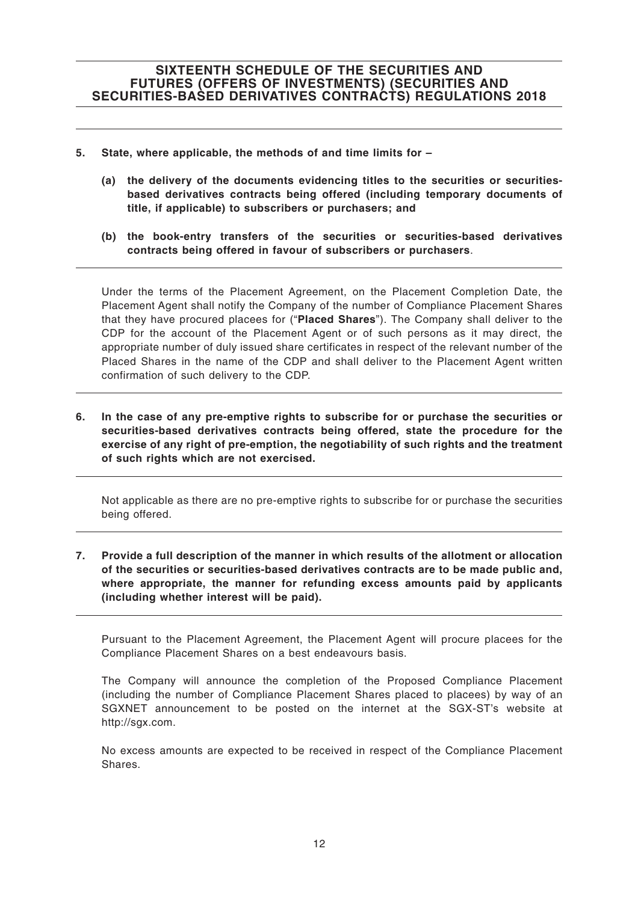- **5. State, where applicable, the methods of and time limits for –**
	- **(a) the delivery of the documents evidencing titles to the securities or securitiesbased derivatives contracts being offered (including temporary documents of title, if applicable) to subscribers or purchasers; and**
	- **(b) the book-entry transfers of the securities or securities-based derivatives contracts being offered in favour of subscribers or purchasers**.

Under the terms of the Placement Agreement, on the Placement Completion Date, the Placement Agent shall notify the Company of the number of Compliance Placement Shares that they have procured placees for ("**Placed Shares**"). The Company shall deliver to the CDP for the account of the Placement Agent or of such persons as it may direct, the appropriate number of duly issued share certificates in respect of the relevant number of the Placed Shares in the name of the CDP and shall deliver to the Placement Agent written confirmation of such delivery to the CDP.

**6. In the case of any pre-emptive rights to subscribe for or purchase the securities or securities-based derivatives contracts being offered, state the procedure for the exercise of any right of pre-emption, the negotiability of such rights and the treatment of such rights which are not exercised.**

Not applicable as there are no pre-emptive rights to subscribe for or purchase the securities being offered.

**7. Provide a full description of the manner in which results of the allotment or allocation of the securities or securities-based derivatives contracts are to be made public and, where appropriate, the manner for refunding excess amounts paid by applicants (including whether interest will be paid).**

Pursuant to the Placement Agreement, the Placement Agent will procure placees for the Compliance Placement Shares on a best endeavours basis.

The Company will announce the completion of the Proposed Compliance Placement (including the number of Compliance Placement Shares placed to placees) by way of an SGXNET announcement to be posted on the internet at the SGX-ST's website at http://sgx.com.

No excess amounts are expected to be received in respect of the Compliance Placement Shares.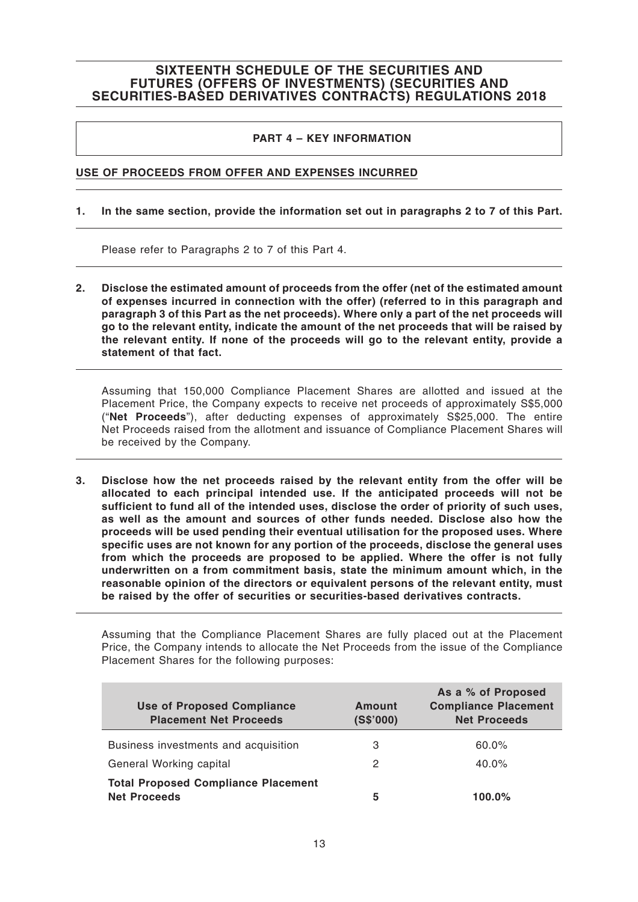#### **PART 4 – KEY INFORMATION**

#### **USE OF PROCEEDS FROM OFFER AND EXPENSES INCURRED**

#### **1. In the same section, provide the information set out in paragraphs 2 to 7 of this Part.**

Please refer to Paragraphs 2 to 7 of this Part 4.

**2. Disclose the estimated amount of proceeds from the offer (net of the estimated amount of expenses incurred in connection with the offer) (referred to in this paragraph and paragraph 3 of this Part as the net proceeds). Where only a part of the net proceeds will go to the relevant entity, indicate the amount of the net proceeds that will be raised by the relevant entity. If none of the proceeds will go to the relevant entity, provide a statement of that fact.**

Assuming that 150,000 Compliance Placement Shares are allotted and issued at the Placement Price, the Company expects to receive net proceeds of approximately S\$5,000 ("**Net Proceeds**"), after deducting expenses of approximately S\$25,000. The entire Net Proceeds raised from the allotment and issuance of Compliance Placement Shares will be received by the Company.

**3. Disclose how the net proceeds raised by the relevant entity from the offer will be allocated to each principal intended use. If the anticipated proceeds will not be sufficient to fund all of the intended uses, disclose the order of priority of such uses, as well as the amount and sources of other funds needed. Disclose also how the proceeds will be used pending their eventual utilisation for the proposed uses. Where specific uses are not known for any portion of the proceeds, disclose the general uses from which the proceeds are proposed to be applied. Where the offer is not fully underwritten on a from commitment basis, state the minimum amount which, in the reasonable opinion of the directors or equivalent persons of the relevant entity, must be raised by the offer of securities or securities-based derivatives contracts.**

Assuming that the Compliance Placement Shares are fully placed out at the Placement Price, the Company intends to allocate the Net Proceeds from the issue of the Compliance Placement Shares for the following purposes:

| <b>Use of Proposed Compliance</b><br><b>Placement Net Proceeds</b> | Amount<br>(S\$'000) | As a % of Proposed<br><b>Compliance Placement</b><br><b>Net Proceeds</b> |
|--------------------------------------------------------------------|---------------------|--------------------------------------------------------------------------|
| Business investments and acquisition                               | З                   | $60.0\%$                                                                 |
| General Working capital                                            | 2                   | 40.0%                                                                    |
| <b>Total Proposed Compliance Placement</b><br><b>Net Proceeds</b>  | 5                   | 100.0%                                                                   |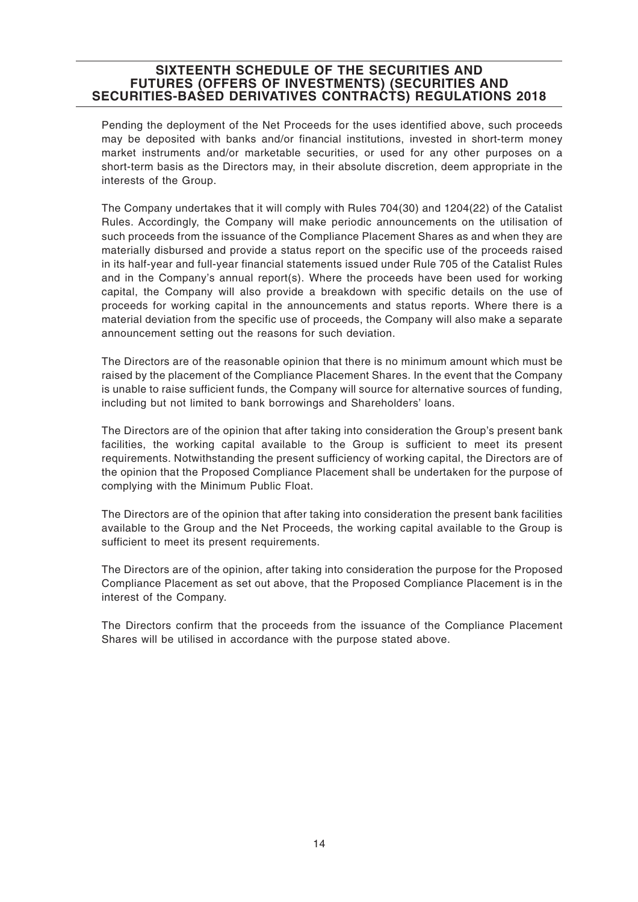Pending the deployment of the Net Proceeds for the uses identified above, such proceeds may be deposited with banks and/or financial institutions, invested in short-term money market instruments and/or marketable securities, or used for any other purposes on a short-term basis as the Directors may, in their absolute discretion, deem appropriate in the interests of the Group.

The Company undertakes that it will comply with Rules 704(30) and 1204(22) of the Catalist Rules. Accordingly, the Company will make periodic announcements on the utilisation of such proceeds from the issuance of the Compliance Placement Shares as and when they are materially disbursed and provide a status report on the specific use of the proceeds raised in its half-year and full-year financial statements issued under Rule 705 of the Catalist Rules and in the Company's annual report(s). Where the proceeds have been used for working capital, the Company will also provide a breakdown with specific details on the use of proceeds for working capital in the announcements and status reports. Where there is a material deviation from the specific use of proceeds, the Company will also make a separate announcement setting out the reasons for such deviation.

The Directors are of the reasonable opinion that there is no minimum amount which must be raised by the placement of the Compliance Placement Shares. In the event that the Company is unable to raise sufficient funds, the Company will source for alternative sources of funding, including but not limited to bank borrowings and Shareholders' loans.

The Directors are of the opinion that after taking into consideration the Group's present bank facilities, the working capital available to the Group is sufficient to meet its present requirements. Notwithstanding the present sufficiency of working capital, the Directors are of the opinion that the Proposed Compliance Placement shall be undertaken for the purpose of complying with the Minimum Public Float.

The Directors are of the opinion that after taking into consideration the present bank facilities available to the Group and the Net Proceeds, the working capital available to the Group is sufficient to meet its present requirements.

The Directors are of the opinion, after taking into consideration the purpose for the Proposed Compliance Placement as set out above, that the Proposed Compliance Placement is in the interest of the Company.

The Directors confirm that the proceeds from the issuance of the Compliance Placement Shares will be utilised in accordance with the purpose stated above.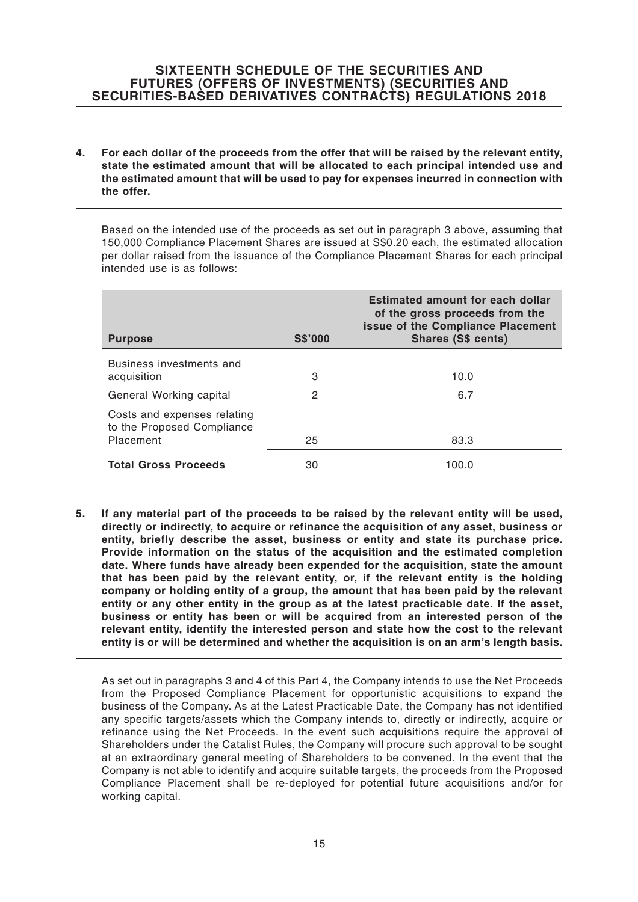**4. For each dollar of the proceeds from the offer that will be raised by the relevant entity, state the estimated amount that will be allocated to each principal intended use and the estimated amount that will be used to pay for expenses incurred in connection with the offer.**

Based on the intended use of the proceeds as set out in paragraph 3 above, assuming that 150,000 Compliance Placement Shares are issued at S\$0.20 each, the estimated allocation per dollar raised from the issuance of the Compliance Placement Shares for each principal intended use is as follows:

| <b>Purpose</b>                                                         | <b>S\$'000</b> | <b>Estimated amount for each dollar</b><br>of the gross proceeds from the<br>issue of the Compliance Placement<br><b>Shares (S\$ cents)</b> |
|------------------------------------------------------------------------|----------------|---------------------------------------------------------------------------------------------------------------------------------------------|
| Business investments and<br>acquisition                                | 3              | 10.0                                                                                                                                        |
| General Working capital                                                | 2              | 6.7                                                                                                                                         |
| Costs and expenses relating<br>to the Proposed Compliance<br>Placement | 25             | 83.3                                                                                                                                        |
| <b>Total Gross Proceeds</b>                                            | 30             | 100.0                                                                                                                                       |

**5. If any material part of the proceeds to be raised by the relevant entity will be used, directly or indirectly, to acquire or refinance the acquisition of any asset, business or entity, briefly describe the asset, business or entity and state its purchase price. Provide information on the status of the acquisition and the estimated completion date. Where funds have already been expended for the acquisition, state the amount that has been paid by the relevant entity, or, if the relevant entity is the holding company or holding entity of a group, the amount that has been paid by the relevant entity or any other entity in the group as at the latest practicable date. If the asset, business or entity has been or will be acquired from an interested person of the relevant entity, identify the interested person and state how the cost to the relevant entity is or will be determined and whether the acquisition is on an arm's length basis.**

As set out in paragraphs 3 and 4 of this Part 4, the Company intends to use the Net Proceeds from the Proposed Compliance Placement for opportunistic acquisitions to expand the business of the Company. As at the Latest Practicable Date, the Company has not identified any specific targets/assets which the Company intends to, directly or indirectly, acquire or refinance using the Net Proceeds. In the event such acquisitions require the approval of Shareholders under the Catalist Rules, the Company will procure such approval to be sought at an extraordinary general meeting of Shareholders to be convened. In the event that the Company is not able to identify and acquire suitable targets, the proceeds from the Proposed Compliance Placement shall be re-deployed for potential future acquisitions and/or for working capital.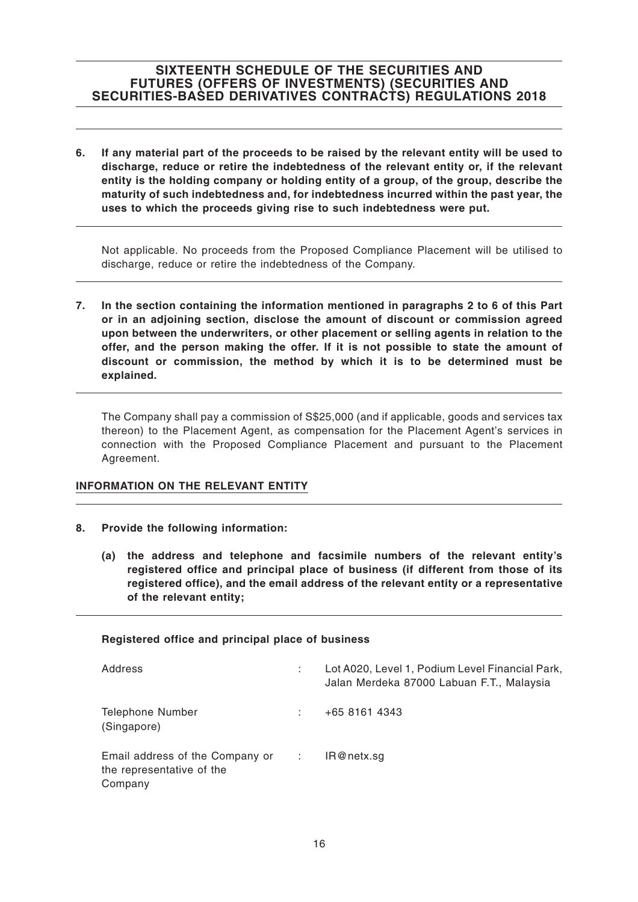**6. If any material part of the proceeds to be raised by the relevant entity will be used to discharge, reduce or retire the indebtedness of the relevant entity or, if the relevant entity is the holding company or holding entity of a group, of the group, describe the maturity of such indebtedness and, for indebtedness incurred within the past year, the uses to which the proceeds giving rise to such indebtedness were put.**

Not applicable. No proceeds from the Proposed Compliance Placement will be utilised to discharge, reduce or retire the indebtedness of the Company.

**7. In the section containing the information mentioned in paragraphs 2 to 6 of this Part or in an adjoining section, disclose the amount of discount or commission agreed upon between the underwriters, or other placement or selling agents in relation to the offer, and the person making the offer. If it is not possible to state the amount of discount or commission, the method by which it is to be determined must be explained.**

The Company shall pay a commission of S\$25,000 (and if applicable, goods and services tax thereon) to the Placement Agent, as compensation for the Placement Agent's services in connection with the Proposed Compliance Placement and pursuant to the Placement Agreement.

### **INFORMATION ON THE RELEVANT ENTITY**

- **8. Provide the following information:**
	- **(a) the address and telephone and facsimile numbers of the relevant entity's registered office and principal place of business (if different from those of its registered office), and the email address of the relevant entity or a representative of the relevant entity;**

#### **Registered office and principal place of business**

| Address                                                                   | Lot A020, Level 1, Podium Level Financial Park,<br>Jalan Merdeka 87000 Labuan F.T., Malaysia |
|---------------------------------------------------------------------------|----------------------------------------------------------------------------------------------|
| <b>Telephone Number</b><br>(Singapore)                                    | +65 8161 4343                                                                                |
| Email address of the Company or :<br>the representative of the<br>Company | IR@netx.sg                                                                                   |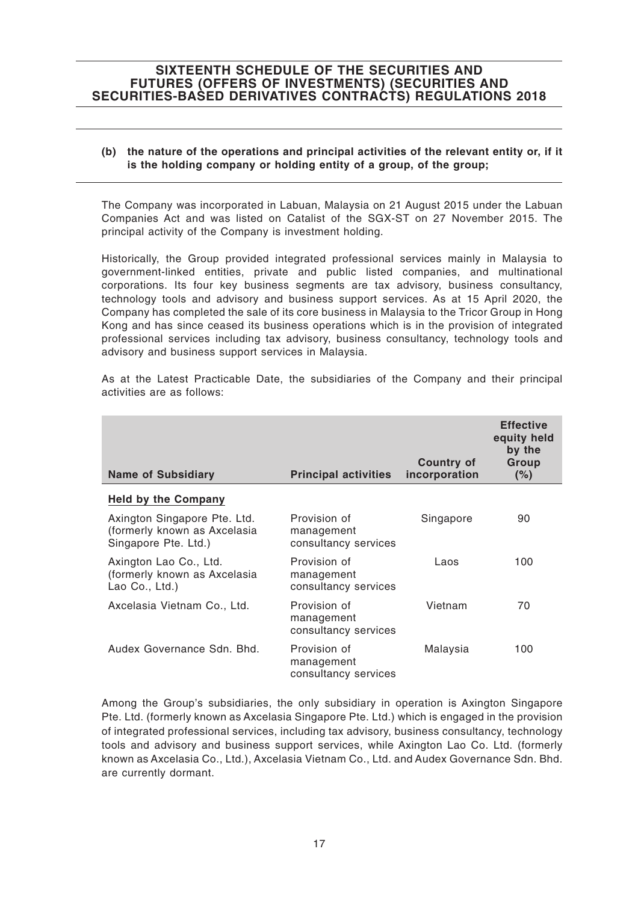#### **(b) the nature of the operations and principal activities of the relevant entity or, if it is the holding company or holding entity of a group, of the group;**

The Company was incorporated in Labuan, Malaysia on 21 August 2015 under the Labuan Companies Act and was listed on Catalist of the SGX-ST on 27 November 2015. The principal activity of the Company is investment holding.

Historically, the Group provided integrated professional services mainly in Malaysia to government-linked entities, private and public listed companies, and multinational corporations. Its four key business segments are tax advisory, business consultancy, technology tools and advisory and business support services. As at 15 April 2020, the Company has completed the sale of its core business in Malaysia to the Tricor Group in Hong Kong and has since ceased its business operations which is in the provision of integrated professional services including tax advisory, business consultancy, technology tools and advisory and business support services in Malaysia.

| <b>Name of Subsidiary</b>                                                            | <b>Principal activities</b>                        | <b>Country of</b><br>incorporation | <b>Effective</b><br>equity held<br>by the<br>Group<br>(%) |
|--------------------------------------------------------------------------------------|----------------------------------------------------|------------------------------------|-----------------------------------------------------------|
| <b>Held by the Company</b>                                                           |                                                    |                                    |                                                           |
| Axington Singapore Pte. Ltd.<br>(formerly known as Axcelasia<br>Singapore Pte. Ltd.) | Provision of<br>management<br>consultancy services | Singapore                          | 90                                                        |
| Axington Lao Co., Ltd.<br>(formerly known as Axcelasia<br>Lao Co., Ltd.)             | Provision of<br>management<br>consultancy services | Laos                               | 100                                                       |
| Axcelasia Vietnam Co., Ltd.                                                          | Provision of<br>management<br>consultancy services | Vietnam                            | 70                                                        |
| Audex Governance Sdn. Bhd.                                                           | Provision of<br>management<br>consultancy services | Malaysia                           | 100                                                       |

As at the Latest Practicable Date, the subsidiaries of the Company and their principal activities are as follows:

Among the Group's subsidiaries, the only subsidiary in operation is Axington Singapore Pte. Ltd. (formerly known as Axcelasia Singapore Pte. Ltd.) which is engaged in the provision of integrated professional services, including tax advisory, business consultancy, technology tools and advisory and business support services, while Axington Lao Co. Ltd. (formerly known as Axcelasia Co., Ltd.), Axcelasia Vietnam Co., Ltd. and Audex Governance Sdn. Bhd. are currently dormant.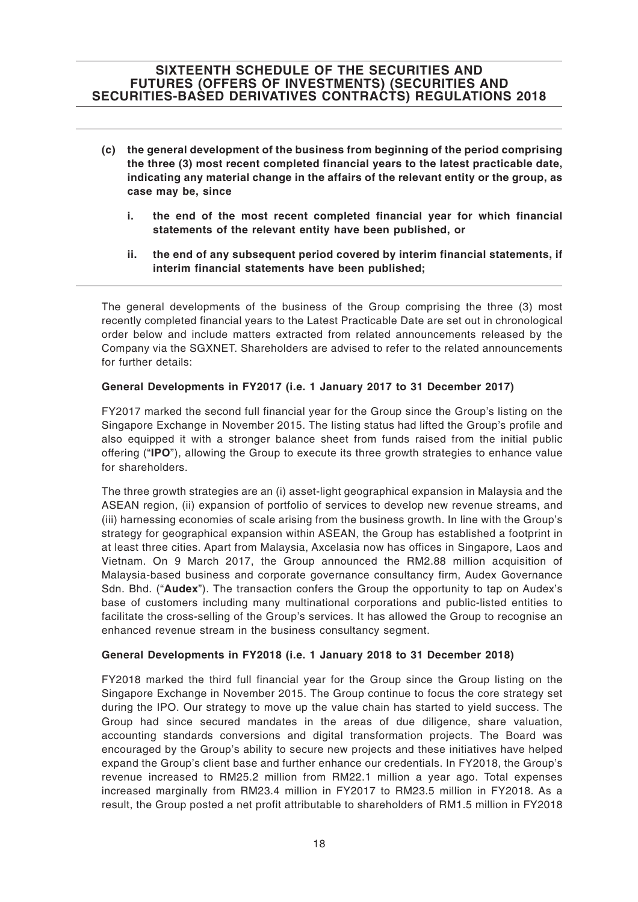- **(c) the general development of the business from beginning of the period comprising the three (3) most recent completed financial years to the latest practicable date, indicating any material change in the affairs of the relevant entity or the group, as case may be, since**
	- **i. the end of the most recent completed financial year for which financial statements of the relevant entity have been published, or**
	- **ii. the end of any subsequent period covered by interim financial statements, if interim financial statements have been published;**

The general developments of the business of the Group comprising the three (3) most recently completed financial years to the Latest Practicable Date are set out in chronological order below and include matters extracted from related announcements released by the Company via the SGXNET. Shareholders are advised to refer to the related announcements for further details:

#### **General Developments in FY2017 (i.e. 1 January 2017 to 31 December 2017)**

FY2017 marked the second full financial year for the Group since the Group's listing on the Singapore Exchange in November 2015. The listing status had lifted the Group's profile and also equipped it with a stronger balance sheet from funds raised from the initial public offering ("**IPO**"), allowing the Group to execute its three growth strategies to enhance value for shareholders.

The three growth strategies are an (i) asset-light geographical expansion in Malaysia and the ASEAN region, (ii) expansion of portfolio of services to develop new revenue streams, and (iii) harnessing economies of scale arising from the business growth. In line with the Group's strategy for geographical expansion within ASEAN, the Group has established a footprint in at least three cities. Apart from Malaysia, Axcelasia now has offices in Singapore, Laos and Vietnam. On 9 March 2017, the Group announced the RM2.88 million acquisition of Malaysia-based business and corporate governance consultancy firm, Audex Governance Sdn. Bhd. ("**Audex**"). The transaction confers the Group the opportunity to tap on Audex's base of customers including many multinational corporations and public-listed entities to facilitate the cross-selling of the Group's services. It has allowed the Group to recognise an enhanced revenue stream in the business consultancy segment.

#### **General Developments in FY2018 (i.e. 1 January 2018 to 31 December 2018)**

FY2018 marked the third full financial year for the Group since the Group listing on the Singapore Exchange in November 2015. The Group continue to focus the core strategy set during the IPO. Our strategy to move up the value chain has started to yield success. The Group had since secured mandates in the areas of due diligence, share valuation, accounting standards conversions and digital transformation projects. The Board was encouraged by the Group's ability to secure new projects and these initiatives have helped expand the Group's client base and further enhance our credentials. In FY2018, the Group's revenue increased to RM25.2 million from RM22.1 million a year ago. Total expenses increased marginally from RM23.4 million in FY2017 to RM23.5 million in FY2018. As a result, the Group posted a net profit attributable to shareholders of RM1.5 million in FY2018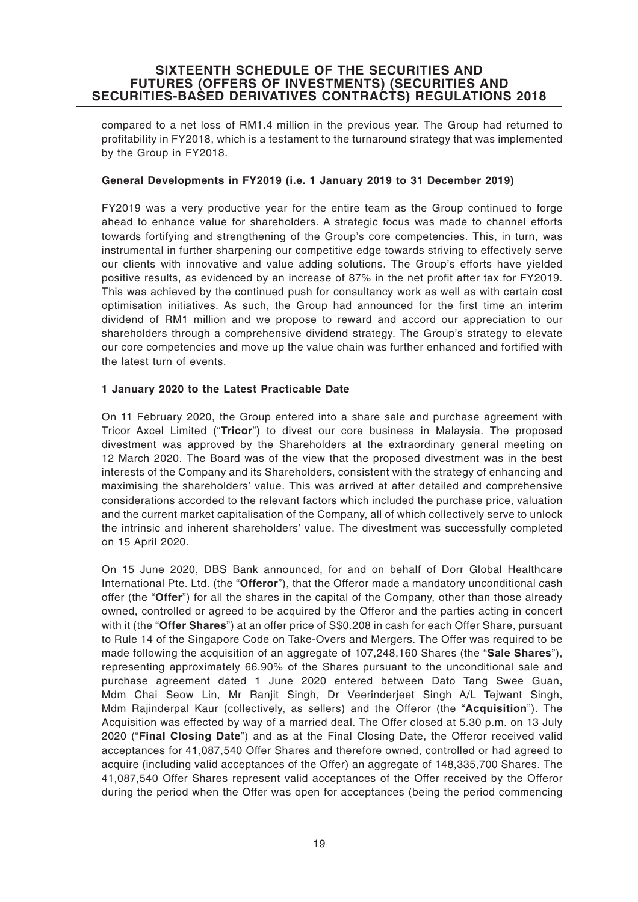compared to a net loss of RM1.4 million in the previous year. The Group had returned to profitability in FY2018, which is a testament to the turnaround strategy that was implemented by the Group in FY2018.

### **General Developments in FY2019 (i.e. 1 January 2019 to 31 December 2019)**

FY2019 was a very productive year for the entire team as the Group continued to forge ahead to enhance value for shareholders. A strategic focus was made to channel efforts towards fortifying and strengthening of the Group's core competencies. This, in turn, was instrumental in further sharpening our competitive edge towards striving to effectively serve our clients with innovative and value adding solutions. The Group's efforts have yielded positive results, as evidenced by an increase of 87% in the net profit after tax for FY2019. This was achieved by the continued push for consultancy work as well as with certain cost optimisation initiatives. As such, the Group had announced for the first time an interim dividend of RM1 million and we propose to reward and accord our appreciation to our shareholders through a comprehensive dividend strategy. The Group's strategy to elevate our core competencies and move up the value chain was further enhanced and fortified with the latest turn of events.

#### **1 January 2020 to the Latest Practicable Date**

On 11 February 2020, the Group entered into a share sale and purchase agreement with Tricor Axcel Limited ("**Tricor**") to divest our core business in Malaysia. The proposed divestment was approved by the Shareholders at the extraordinary general meeting on 12 March 2020. The Board was of the view that the proposed divestment was in the best interests of the Company and its Shareholders, consistent with the strategy of enhancing and maximising the shareholders' value. This was arrived at after detailed and comprehensive considerations accorded to the relevant factors which included the purchase price, valuation and the current market capitalisation of the Company, all of which collectively serve to unlock the intrinsic and inherent shareholders' value. The divestment was successfully completed on 15 April 2020.

On 15 June 2020, DBS Bank announced, for and on behalf of Dorr Global Healthcare International Pte. Ltd. (the "**Offeror**"), that the Offeror made a mandatory unconditional cash offer (the "**Offer**") for all the shares in the capital of the Company, other than those already owned, controlled or agreed to be acquired by the Offeror and the parties acting in concert with it (the "**Offer Shares**") at an offer price of S\$0.208 in cash for each Offer Share, pursuant to Rule 14 of the Singapore Code on Take-Overs and Mergers. The Offer was required to be made following the acquisition of an aggregate of 107,248,160 Shares (the "**Sale Shares**"), representing approximately 66.90% of the Shares pursuant to the unconditional sale and purchase agreement dated 1 June 2020 entered between Dato Tang Swee Guan, Mdm Chai Seow Lin, Mr Ranjit Singh, Dr Veerinderjeet Singh A/L Tejwant Singh, Mdm Rajinderpal Kaur (collectively, as sellers) and the Offeror (the "**Acquisition**"). The Acquisition was effected by way of a married deal. The Offer closed at 5.30 p.m. on 13 July 2020 ("**Final Closing Date**") and as at the Final Closing Date, the Offeror received valid acceptances for 41,087,540 Offer Shares and therefore owned, controlled or had agreed to acquire (including valid acceptances of the Offer) an aggregate of 148,335,700 Shares. The 41,087,540 Offer Shares represent valid acceptances of the Offer received by the Offeror during the period when the Offer was open for acceptances (being the period commencing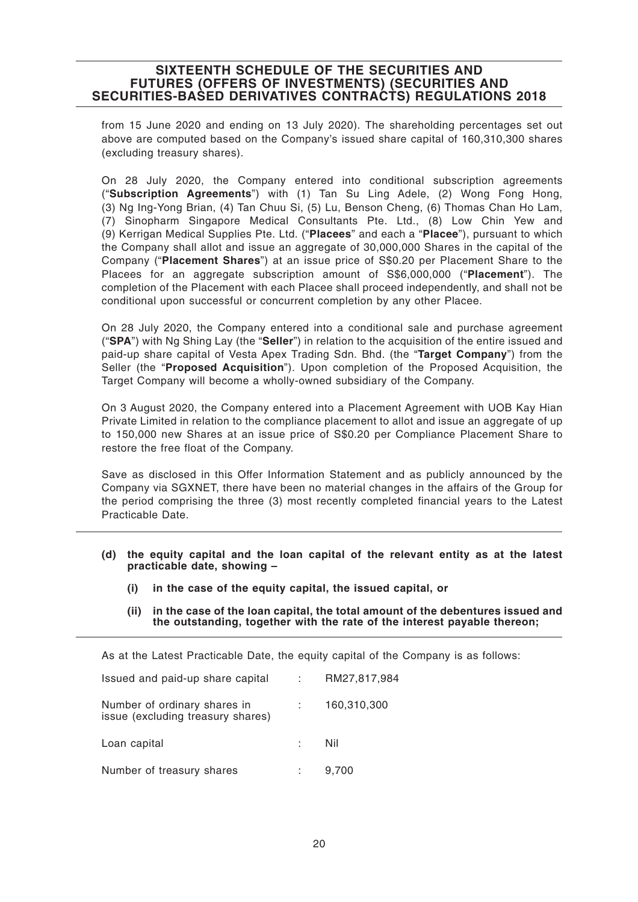from 15 June 2020 and ending on 13 July 2020). The shareholding percentages set out above are computed based on the Company's issued share capital of 160,310,300 shares (excluding treasury shares).

On 28 July 2020, the Company entered into conditional subscription agreements ("**Subscription Agreements**") with (1) Tan Su Ling Adele, (2) Wong Fong Hong, (3) Ng Ing-Yong Brian, (4) Tan Chuu Si, (5) Lu, Benson Cheng, (6) Thomas Chan Ho Lam, (7) Sinopharm Singapore Medical Consultants Pte. Ltd., (8) Low Chin Yew and (9) Kerrigan Medical Supplies Pte. Ltd. ("**Placees**" and each a "**Placee**"), pursuant to which the Company shall allot and issue an aggregate of 30,000,000 Shares in the capital of the Company ("**Placement Shares**") at an issue price of S\$0.20 per Placement Share to the Placees for an aggregate subscription amount of S\$6,000,000 ("**Placement**"). The completion of the Placement with each Placee shall proceed independently, and shall not be conditional upon successful or concurrent completion by any other Placee.

On 28 July 2020, the Company entered into a conditional sale and purchase agreement ("**SPA**") with Ng Shing Lay (the "**Seller**") in relation to the acquisition of the entire issued and paid-up share capital of Vesta Apex Trading Sdn. Bhd. (the "**Target Company**") from the Seller (the "**Proposed Acquisition**"). Upon completion of the Proposed Acquisition, the Target Company will become a wholly-owned subsidiary of the Company.

On 3 August 2020, the Company entered into a Placement Agreement with UOB Kay Hian Private Limited in relation to the compliance placement to allot and issue an aggregate of up to 150,000 new Shares at an issue price of S\$0.20 per Compliance Placement Share to restore the free float of the Company.

Save as disclosed in this Offer Information Statement and as publicly announced by the Company via SGXNET, there have been no material changes in the affairs of the Group for the period comprising the three (3) most recently completed financial years to the Latest Practicable Date.

- **(d) the equity capital and the loan capital of the relevant entity as at the latest practicable date, showing –**
	- **(i) in the case of the equity capital, the issued capital, or**
	- **(ii) in the case of the loan capital, the total amount of the debentures issued and the outstanding, together with the rate of the interest payable thereon;**

As at the Latest Practicable Date, the equity capital of the Company is as follows:

| Issued and paid-up share capital                                  | RM27,817,984 |
|-------------------------------------------------------------------|--------------|
| Number of ordinary shares in<br>issue (excluding treasury shares) | 160,310,300  |
| Loan capital                                                      | Nil          |
| Number of treasury shares                                         | 9,700        |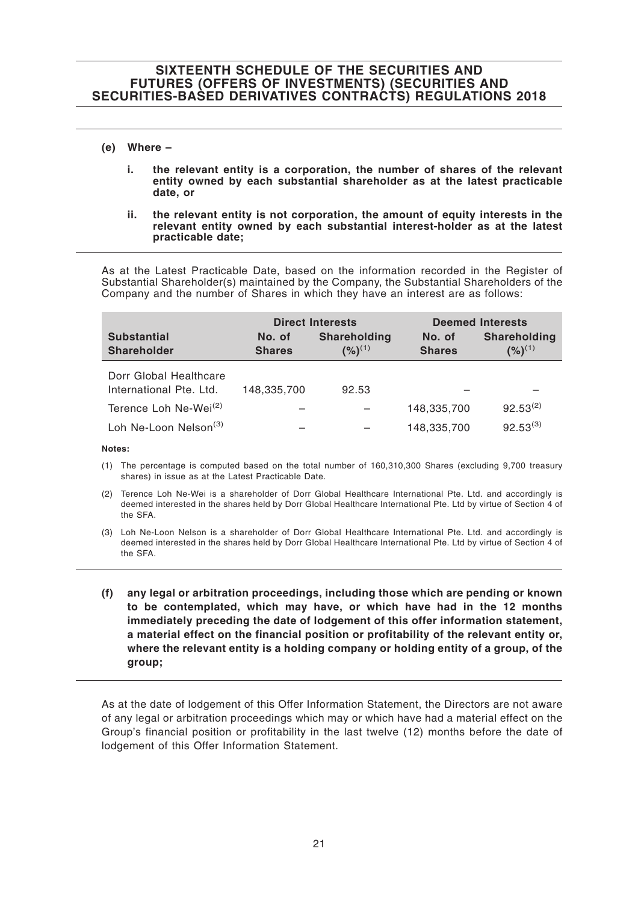#### **(e) Where –**

- **i. the relevant entity is a corporation, the number of shares of the relevant entity owned by each substantial shareholder as at the latest practicable date, or**
- **ii. the relevant entity is not corporation, the amount of equity interests in the relevant entity owned by each substantial interest-holder as at the latest practicable date;**

As at the Latest Practicable Date, based on the information recorded in the Register of Substantial Shareholder(s) maintained by the Company, the Substantial Shareholders of the Company and the number of Shares in which they have an interest are as follows:

|                                                   | <b>Direct Interests</b> |                             |                         | <b>Deemed Interests</b>     |
|---------------------------------------------------|-------------------------|-----------------------------|-------------------------|-----------------------------|
| <b>Substantial</b><br><b>Shareholder</b>          | No. of<br><b>Shares</b> | Shareholding<br>$(%)^{(1)}$ | No. of<br><b>Shares</b> | Shareholding<br>$(%)^{(1)}$ |
| Dorr Global Healthcare<br>International Pte. Ltd. | 148,335,700             | 92.53                       |                         |                             |
| Terence Loh Ne-Wei <sup>(2)</sup>                 |                         |                             | 148,335,700             | $92.53^{(2)}$               |
| Loh Ne-Loon Nelson <sup>(3)</sup>                 |                         |                             | 148,335,700             | $92.53^{(3)}$               |

**Notes:**

- (1) The percentage is computed based on the total number of 160,310,300 Shares (excluding 9,700 treasury shares) in issue as at the Latest Practicable Date.
- (2) Terence Loh Ne-Wei is a shareholder of Dorr Global Healthcare International Pte. Ltd. and accordingly is deemed interested in the shares held by Dorr Global Healthcare International Pte. Ltd by virtue of Section 4 of the SFA.
- (3) Loh Ne-Loon Nelson is a shareholder of Dorr Global Healthcare International Pte. Ltd. and accordingly is deemed interested in the shares held by Dorr Global Healthcare International Pte. Ltd by virtue of Section 4 of the SFA.
- **(f) any legal or arbitration proceedings, including those which are pending or known to be contemplated, which may have, or which have had in the 12 months immediately preceding the date of lodgement of this offer information statement, a material effect on the financial position or profitability of the relevant entity or, where the relevant entity is a holding company or holding entity of a group, of the group;**

As at the date of lodgement of this Offer Information Statement, the Directors are not aware of any legal or arbitration proceedings which may or which have had a material effect on the Group's financial position or profitability in the last twelve (12) months before the date of lodgement of this Offer Information Statement.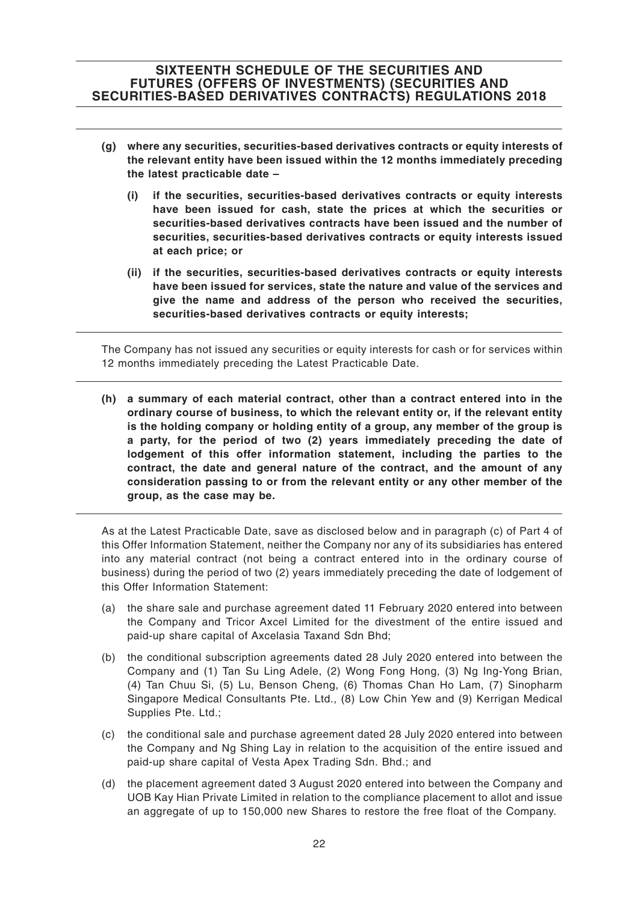- **(g) where any securities, securities-based derivatives contracts or equity interests of the relevant entity have been issued within the 12 months immediately preceding the latest practicable date –**
	- **(i) if the securities, securities-based derivatives contracts or equity interests have been issued for cash, state the prices at which the securities or securities-based derivatives contracts have been issued and the number of securities, securities-based derivatives contracts or equity interests issued at each price; or**
	- **(ii) if the securities, securities-based derivatives contracts or equity interests have been issued for services, state the nature and value of the services and give the name and address of the person who received the securities, securities-based derivatives contracts or equity interests;**

The Company has not issued any securities or equity interests for cash or for services within 12 months immediately preceding the Latest Practicable Date.

**(h) a summary of each material contract, other than a contract entered into in the ordinary course of business, to which the relevant entity or, if the relevant entity is the holding company or holding entity of a group, any member of the group is a party, for the period of two (2) years immediately preceding the date of lodgement of this offer information statement, including the parties to the contract, the date and general nature of the contract, and the amount of any consideration passing to or from the relevant entity or any other member of the group, as the case may be.**

As at the Latest Practicable Date, save as disclosed below and in paragraph (c) of Part 4 of this Offer Information Statement, neither the Company nor any of its subsidiaries has entered into any material contract (not being a contract entered into in the ordinary course of business) during the period of two (2) years immediately preceding the date of lodgement of this Offer Information Statement:

- (a) the share sale and purchase agreement dated 11 February 2020 entered into between the Company and Tricor Axcel Limited for the divestment of the entire issued and paid-up share capital of Axcelasia Taxand Sdn Bhd;
- (b) the conditional subscription agreements dated 28 July 2020 entered into between the Company and (1) Tan Su Ling Adele, (2) Wong Fong Hong, (3) Ng Ing-Yong Brian, (4) Tan Chuu Si, (5) Lu, Benson Cheng, (6) Thomas Chan Ho Lam, (7) Sinopharm Singapore Medical Consultants Pte. Ltd., (8) Low Chin Yew and (9) Kerrigan Medical Supplies Pte. Ltd.;
- (c) the conditional sale and purchase agreement dated 28 July 2020 entered into between the Company and Ng Shing Lay in relation to the acquisition of the entire issued and paid-up share capital of Vesta Apex Trading Sdn. Bhd.; and
- (d) the placement agreement dated 3 August 2020 entered into between the Company and UOB Kay Hian Private Limited in relation to the compliance placement to allot and issue an aggregate of up to 150,000 new Shares to restore the free float of the Company.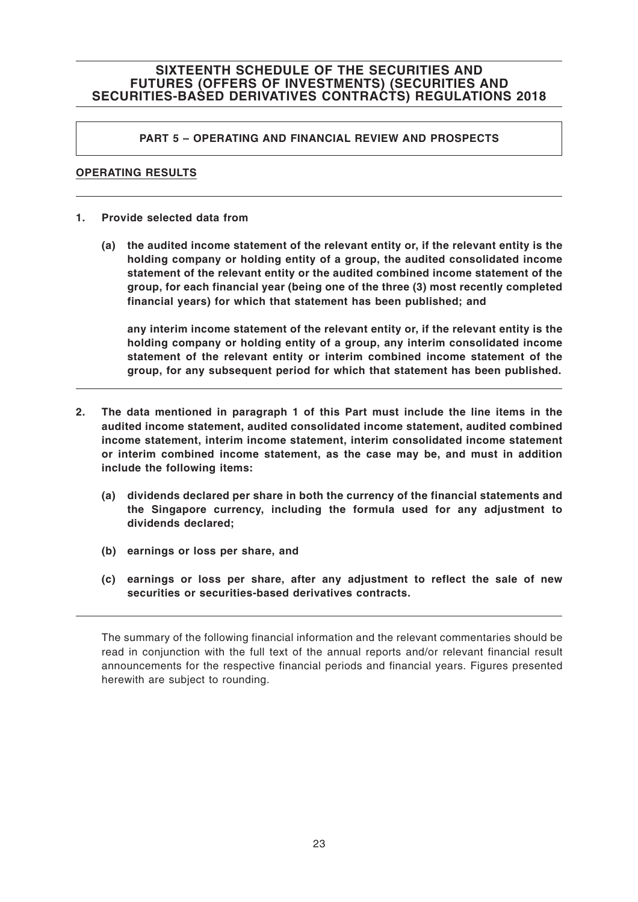### **PART 5 – OPERATING AND FINANCIAL REVIEW AND PROSPECTS**

### **OPERATING RESULTS**

- **1. Provide selected data from**
	- **(a) the audited income statement of the relevant entity or, if the relevant entity is the holding company or holding entity of a group, the audited consolidated income statement of the relevant entity or the audited combined income statement of the group, for each financial year (being one of the three (3) most recently completed financial years) for which that statement has been published; and**

**any interim income statement of the relevant entity or, if the relevant entity is the holding company or holding entity of a group, any interim consolidated income statement of the relevant entity or interim combined income statement of the group, for any subsequent period for which that statement has been published.**

- **2. The data mentioned in paragraph 1 of this Part must include the line items in the audited income statement, audited consolidated income statement, audited combined income statement, interim income statement, interim consolidated income statement or interim combined income statement, as the case may be, and must in addition include the following items:**
	- **(a) dividends declared per share in both the currency of the financial statements and the Singapore currency, including the formula used for any adjustment to dividends declared;**
	- **(b) earnings or loss per share, and**
	- **(c) earnings or loss per share, after any adjustment to reflect the sale of new securities or securities-based derivatives contracts.**

The summary of the following financial information and the relevant commentaries should be read in conjunction with the full text of the annual reports and/or relevant financial result announcements for the respective financial periods and financial years. Figures presented herewith are subject to rounding.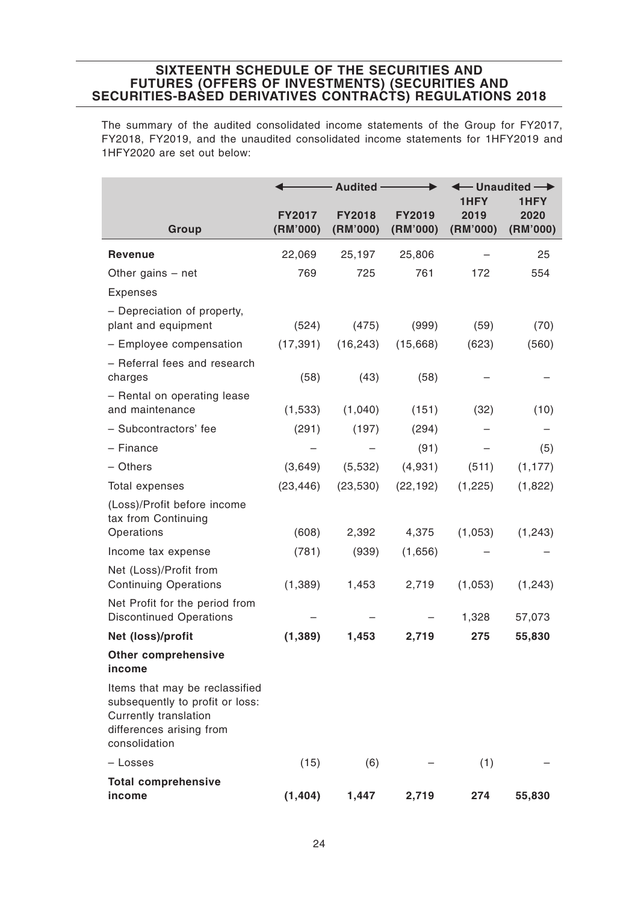The summary of the audited consolidated income statements of the Group for FY2017, FY2018, FY2019, and the unaudited consolidated income statements for 1HFY2019 and 1HFY2020 are set out below:

|                                                                                                                                                | <b>Audited -</b>          |                           | $-$ Unaudited $\longrightarrow$<br>1HFY<br>1HFY |                  |                  |
|------------------------------------------------------------------------------------------------------------------------------------------------|---------------------------|---------------------------|-------------------------------------------------|------------------|------------------|
| Group                                                                                                                                          | <b>FY2017</b><br>(RM'000) | <b>FY2018</b><br>(RM'000) | <b>FY2019</b><br>(RM'000)                       | 2019<br>(RM'000) | 2020<br>(RM'000) |
| <b>Revenue</b>                                                                                                                                 | 22,069                    | 25,197                    | 25,806                                          |                  | 25               |
| Other gains $-$ net                                                                                                                            | 769                       | 725                       | 761                                             | 172              | 554              |
| <b>Expenses</b>                                                                                                                                |                           |                           |                                                 |                  |                  |
| - Depreciation of property,<br>plant and equipment                                                                                             | (524)                     | (475)                     | (999)                                           | (59)             | (70)             |
| - Employee compensation                                                                                                                        | (17, 391)                 | (16, 243)                 | (15,668)                                        | (623)            | (560)            |
| - Referral fees and research<br>charges                                                                                                        | (58)                      | (43)                      | (58)                                            |                  |                  |
| - Rental on operating lease<br>and maintenance                                                                                                 | (1,533)                   | (1,040)                   | (151)                                           | (32)             | (10)             |
| - Subcontractors' fee                                                                                                                          | (291)                     | (197)                     | (294)                                           |                  |                  |
| - Finance                                                                                                                                      |                           |                           | (91)                                            |                  | (5)              |
| - Others                                                                                                                                       | (3,649)                   | (5,532)                   | (4,931)                                         | (511)            | (1, 177)         |
| Total expenses                                                                                                                                 | (23, 446)                 | (23, 530)                 | (22, 192)                                       | (1, 225)         | (1,822)          |
| (Loss)/Profit before income<br>tax from Continuing<br>Operations                                                                               | (608)                     | 2,392                     | 4,375                                           | (1,053)          | (1,243)          |
| Income tax expense                                                                                                                             | (781)                     | (939)                     | (1,656)                                         |                  |                  |
| Net (Loss)/Profit from<br><b>Continuing Operations</b>                                                                                         | (1, 389)                  | 1,453                     | 2,719                                           | (1,053)          | (1, 243)         |
| Net Profit for the period from<br><b>Discontinued Operations</b>                                                                               |                           |                           |                                                 | 1,328            | 57,073           |
| Net (loss)/profit                                                                                                                              | (1, 389)                  | 1,453                     | 2,719                                           | 275              | 55,830           |
| <b>Other comprehensive</b><br>income                                                                                                           |                           |                           |                                                 |                  |                  |
| Items that may be reclassified<br>subsequently to profit or loss:<br><b>Currently translation</b><br>differences arising from<br>consolidation |                           |                           |                                                 |                  |                  |
| - Losses                                                                                                                                       | (15)                      | (6)                       |                                                 | (1)              |                  |
| <b>Total comprehensive</b><br>income                                                                                                           | (1, 404)                  | 1,447                     | 2,719                                           | 274              | 55,830           |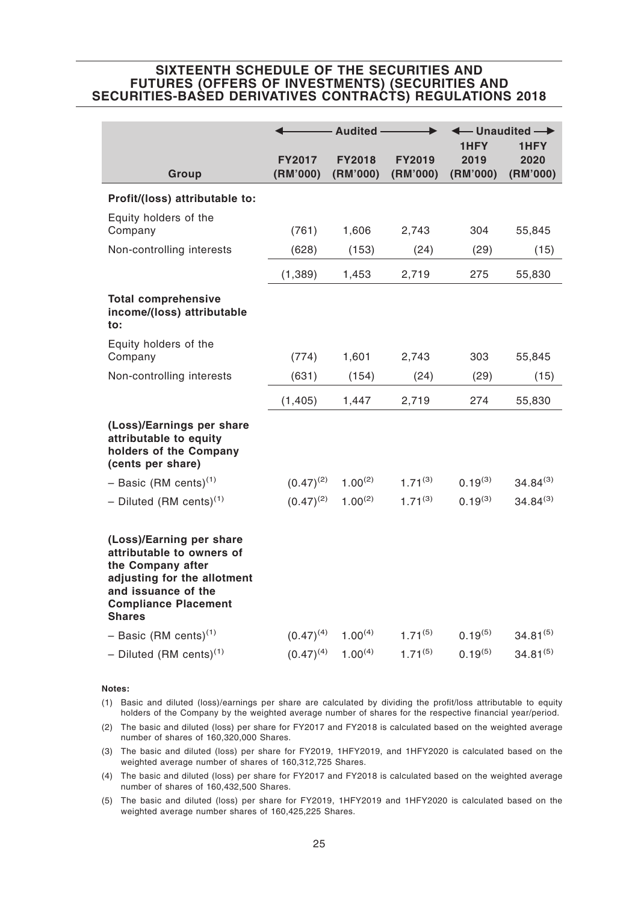|                                                                                                                                                                                  |                           | Audited -                 |                           | 1HFY             | $-$ Unaudited $\rightarrow$<br>1HFY |
|----------------------------------------------------------------------------------------------------------------------------------------------------------------------------------|---------------------------|---------------------------|---------------------------|------------------|-------------------------------------|
| Group                                                                                                                                                                            | <b>FY2017</b><br>(RM'000) | <b>FY2018</b><br>(RM'000) | <b>FY2019</b><br>(RM'000) | 2019<br>(RM'000) | 2020<br>(RM'000)                    |
| Profit/(loss) attributable to:                                                                                                                                                   |                           |                           |                           |                  |                                     |
| Equity holders of the<br>Company                                                                                                                                                 | (761)                     | 1,606                     | 2,743                     | 304              | 55,845                              |
| Non-controlling interests                                                                                                                                                        | (628)                     | (153)                     | (24)                      | (29)             | (15)                                |
|                                                                                                                                                                                  | (1, 389)                  | 1,453                     | 2,719                     | 275              | 55,830                              |
| <b>Total comprehensive</b><br>income/(loss) attributable<br>to:                                                                                                                  |                           |                           |                           |                  |                                     |
| Equity holders of the<br>Company                                                                                                                                                 | (774)                     | 1,601                     | 2,743                     | 303              | 55,845                              |
| Non-controlling interests                                                                                                                                                        | (631)                     | (154)                     | (24)                      | (29)             | (15)                                |
|                                                                                                                                                                                  | (1, 405)                  | 1,447                     | 2,719                     | 274              | 55,830                              |
| (Loss)/Earnings per share<br>attributable to equity<br>holders of the Company<br>(cents per share)                                                                               |                           |                           |                           |                  |                                     |
| - Basic (RM cents) <sup>(1)</sup>                                                                                                                                                | $(0.47)^{(2)}$            | $1.00^{(2)}$              | $1.71^{(3)}$              | $0.19^{(3)}$     | $34.84^{(3)}$                       |
| - Diluted (RM cents) <sup>(1)</sup>                                                                                                                                              | $(0.47)^{(2)}$            | $1.00^{(2)}$              | $1.71^{(3)}$              | $0.19^{(3)}$     | $34.84^{(3)}$                       |
| (Loss)/Earning per share<br>attributable to owners of<br>the Company after<br>adjusting for the allotment<br>and issuance of the<br><b>Compliance Placement</b><br><b>Shares</b> |                           |                           |                           |                  |                                     |
| $-$ Basic (RM cents) <sup>(1)</sup>                                                                                                                                              | $(0.47)^{(4)}$            | $1.00^{(4)}$              | $1.71^{(5)}$              | $0.19^{(5)}$     | $34.81^{(5)}$                       |
| - Diluted (RM cents) <sup>(1)</sup>                                                                                                                                              | $(0.47)^{(4)}$            | $1.00^{(4)}$              | $1.71^{(5)}$              | $0.19^{(5)}$     | $34.81^{(5)}$                       |

**Notes:**

- (1) Basic and diluted (loss)/earnings per share are calculated by dividing the profit/loss attributable to equity holders of the Company by the weighted average number of shares for the respective financial year/period.
- (2) The basic and diluted (loss) per share for FY2017 and FY2018 is calculated based on the weighted average number of shares of 160,320,000 Shares.
- (3) The basic and diluted (loss) per share for FY2019, 1HFY2019, and 1HFY2020 is calculated based on the weighted average number of shares of 160,312,725 Shares.
- (4) The basic and diluted (loss) per share for FY2017 and FY2018 is calculated based on the weighted average number of shares of 160,432,500 Shares.
- (5) The basic and diluted (loss) per share for FY2019, 1HFY2019 and 1HFY2020 is calculated based on the weighted average number shares of 160,425,225 Shares.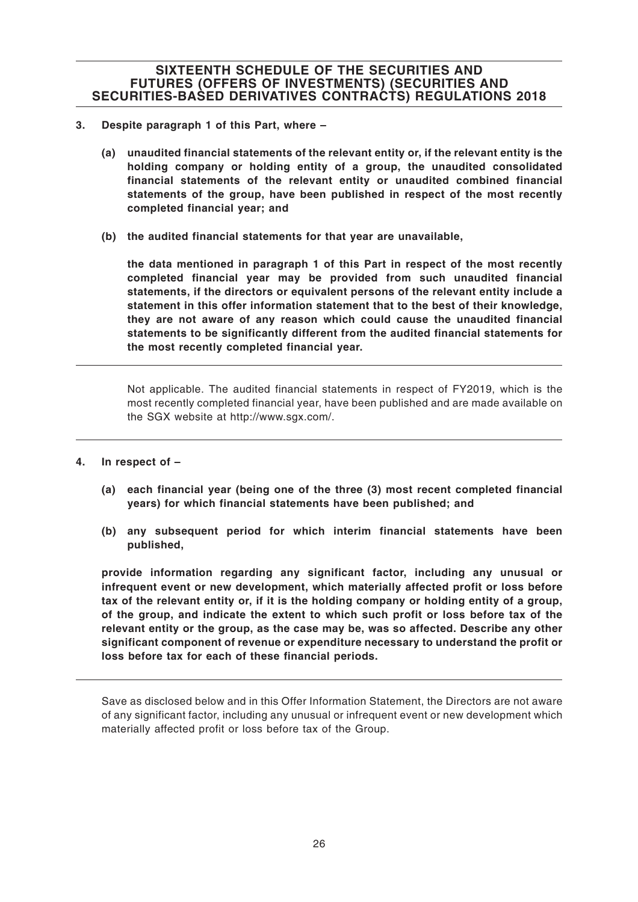- **3. Despite paragraph 1 of this Part, where –**
	- **(a) unaudited financial statements of the relevant entity or, if the relevant entity is the holding company or holding entity of a group, the unaudited consolidated financial statements of the relevant entity or unaudited combined financial statements of the group, have been published in respect of the most recently completed financial year; and**
	- **(b) the audited financial statements for that year are unavailable,**

**the data mentioned in paragraph 1 of this Part in respect of the most recently completed financial year may be provided from such unaudited financial statements, if the directors or equivalent persons of the relevant entity include a statement in this offer information statement that to the best of their knowledge, they are not aware of any reason which could cause the unaudited financial statements to be significantly different from the audited financial statements for the most recently completed financial year.**

Not applicable. The audited financial statements in respect of FY2019, which is the most recently completed financial year, have been published and are made available on the SGX website at http://www.sgx.com/.

- **4. In respect of –**
	- **(a) each financial year (being one of the three (3) most recent completed financial years) for which financial statements have been published; and**
	- **(b) any subsequent period for which interim financial statements have been published,**

**provide information regarding any significant factor, including any unusual or infrequent event or new development, which materially affected profit or loss before tax of the relevant entity or, if it is the holding company or holding entity of a group, of the group, and indicate the extent to which such profit or loss before tax of the relevant entity or the group, as the case may be, was so affected. Describe any other significant component of revenue or expenditure necessary to understand the profit or loss before tax for each of these financial periods.**

Save as disclosed below and in this Offer Information Statement, the Directors are not aware of any significant factor, including any unusual or infrequent event or new development which materially affected profit or loss before tax of the Group.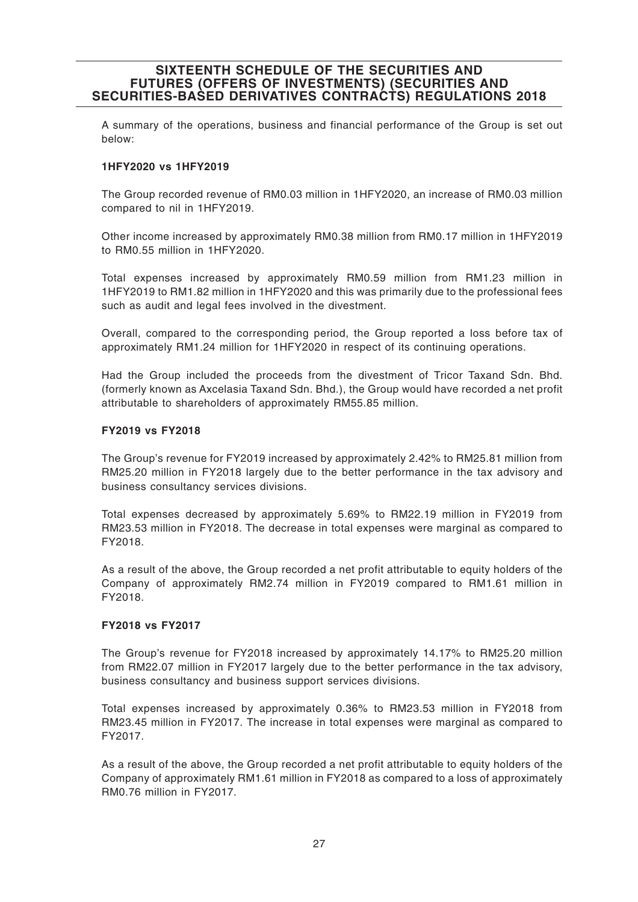A summary of the operations, business and financial performance of the Group is set out below:

#### **1HFY2020 vs 1HFY2019**

The Group recorded revenue of RM0.03 million in 1HFY2020, an increase of RM0.03 million compared to nil in 1HFY2019.

Other income increased by approximately RM0.38 million from RM0.17 million in 1HFY2019 to RM0.55 million in 1HFY2020.

Total expenses increased by approximately RM0.59 million from RM1.23 million in 1HFY2019 to RM1.82 million in 1HFY2020 and this was primarily due to the professional fees such as audit and legal fees involved in the divestment.

Overall, compared to the corresponding period, the Group reported a loss before tax of approximately RM1.24 million for 1HFY2020 in respect of its continuing operations.

Had the Group included the proceeds from the divestment of Tricor Taxand Sdn. Bhd. (formerly known as Axcelasia Taxand Sdn. Bhd.), the Group would have recorded a net profit attributable to shareholders of approximately RM55.85 million.

#### **FY2019 vs FY2018**

The Group's revenue for FY2019 increased by approximately 2.42% to RM25.81 million from RM25.20 million in FY2018 largely due to the better performance in the tax advisory and business consultancy services divisions.

Total expenses decreased by approximately 5.69% to RM22.19 million in FY2019 from RM23.53 million in FY2018. The decrease in total expenses were marginal as compared to FY2018.

As a result of the above, the Group recorded a net profit attributable to equity holders of the Company of approximately RM2.74 million in FY2019 compared to RM1.61 million in FY2018.

#### **FY2018 vs FY2017**

The Group's revenue for FY2018 increased by approximately 14.17% to RM25.20 million from RM22.07 million in FY2017 largely due to the better performance in the tax advisory, business consultancy and business support services divisions.

Total expenses increased by approximately 0.36% to RM23.53 million in FY2018 from RM23.45 million in FY2017. The increase in total expenses were marginal as compared to FY2017.

As a result of the above, the Group recorded a net profit attributable to equity holders of the Company of approximately RM1.61 million in FY2018 as compared to a loss of approximately RM0.76 million in FY2017.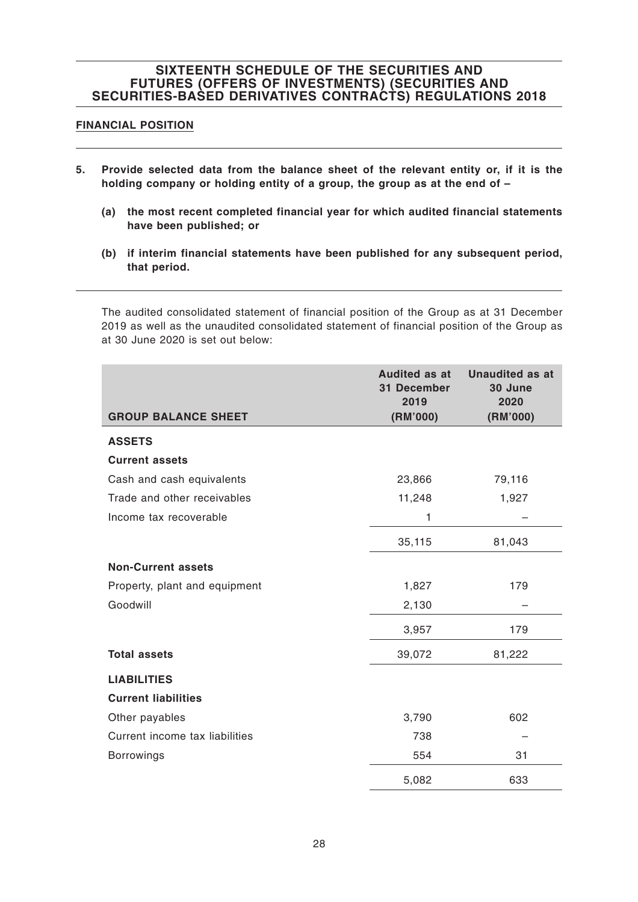#### **FINANCIAL POSITION**

- **5. Provide selected data from the balance sheet of the relevant entity or, if it is the holding company or holding entity of a group, the group as at the end of –**
	- **(a) the most recent completed financial year for which audited financial statements have been published; or**
	- **(b) if interim financial statements have been published for any subsequent period, that period.**

The audited consolidated statement of financial position of the Group as at 31 December 2019 as well as the unaudited consolidated statement of financial position of the Group as at 30 June 2020 is set out below:

|                                | <b>Audited as at</b><br>31 December<br>2019 | <b>Unaudited as at</b><br>30 June<br>2020 |
|--------------------------------|---------------------------------------------|-------------------------------------------|
| <b>GROUP BALANCE SHEET</b>     | (RM'000)                                    | (RM'000)                                  |
| <b>ASSETS</b>                  |                                             |                                           |
| <b>Current assets</b>          |                                             |                                           |
| Cash and cash equivalents      | 23,866                                      | 79,116                                    |
| Trade and other receivables    | 11,248                                      | 1,927                                     |
| Income tax recoverable         | 1                                           |                                           |
|                                | 35,115                                      | 81,043                                    |
| <b>Non-Current assets</b>      |                                             |                                           |
| Property, plant and equipment  | 1,827                                       | 179                                       |
| Goodwill                       | 2,130                                       |                                           |
|                                | 3,957                                       | 179                                       |
| <b>Total assets</b>            | 39,072                                      | 81,222                                    |
| <b>LIABILITIES</b>             |                                             |                                           |
| <b>Current liabilities</b>     |                                             |                                           |
| Other payables                 | 3,790                                       | 602                                       |
| Current income tax liabilities | 738                                         |                                           |
| <b>Borrowings</b>              | 554                                         | 31                                        |
|                                | 5,082                                       | 633                                       |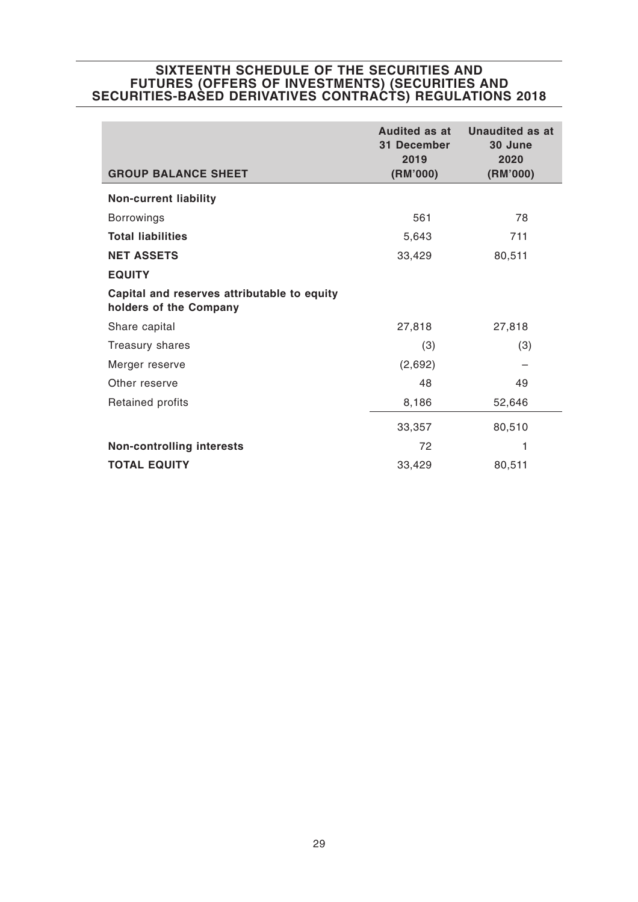| <b>GROUP BALANCE SHEET</b>                                            | Audited as at<br>31 December<br>2019<br>(RM'000) | <b>Unaudited as at</b><br>30 June<br>2020<br>(RM'000) |
|-----------------------------------------------------------------------|--------------------------------------------------|-------------------------------------------------------|
| <b>Non-current liability</b>                                          |                                                  |                                                       |
| <b>Borrowings</b>                                                     | 561                                              | 78                                                    |
| <b>Total liabilities</b>                                              | 5,643                                            | 711                                                   |
| <b>NET ASSETS</b>                                                     | 33,429                                           | 80,511                                                |
| <b>EQUITY</b>                                                         |                                                  |                                                       |
| Capital and reserves attributable to equity<br>holders of the Company |                                                  |                                                       |
| Share capital                                                         | 27,818                                           | 27,818                                                |
| Treasury shares                                                       | (3)                                              | (3)                                                   |
| Merger reserve                                                        | (2,692)                                          |                                                       |
| Other reserve                                                         | 48                                               | 49                                                    |
| Retained profits                                                      | 8,186                                            | 52,646                                                |
|                                                                       | 33,357                                           | 80,510                                                |
| <b>Non-controlling interests</b>                                      | 72                                               | 1                                                     |
| <b>TOTAL EQUITY</b>                                                   | 33,429                                           | 80,511                                                |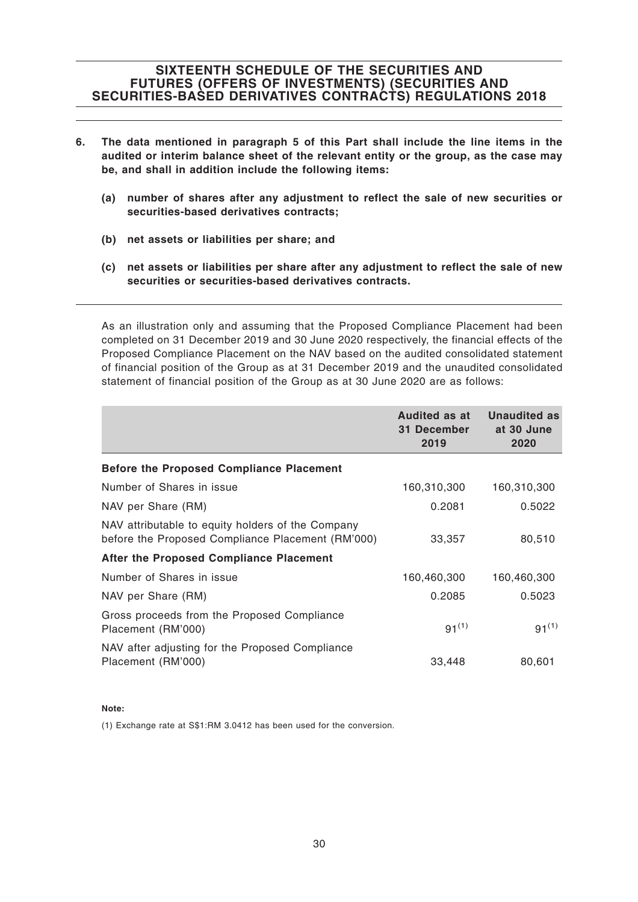- **6. The data mentioned in paragraph 5 of this Part shall include the line items in the audited or interim balance sheet of the relevant entity or the group, as the case may be, and shall in addition include the following items:**
	- **(a) number of shares after any adjustment to reflect the sale of new securities or securities-based derivatives contracts;**
	- **(b) net assets or liabilities per share; and**
	- **(c) net assets or liabilities per share after any adjustment to reflect the sale of new securities or securities-based derivatives contracts.**

As an illustration only and assuming that the Proposed Compliance Placement had been completed on 31 December 2019 and 30 June 2020 respectively, the financial effects of the Proposed Compliance Placement on the NAV based on the audited consolidated statement of financial position of the Group as at 31 December 2019 and the unaudited consolidated statement of financial position of the Group as at 30 June 2020 are as follows:

|                                                                                                        | <b>Audited as at</b><br>31 December<br>2019 | <b>Unaudited as</b><br>at 30 June<br>2020 |
|--------------------------------------------------------------------------------------------------------|---------------------------------------------|-------------------------------------------|
| <b>Before the Proposed Compliance Placement</b>                                                        |                                             |                                           |
| Number of Shares in issue                                                                              | 160,310,300                                 | 160,310,300                               |
| NAV per Share (RM)                                                                                     | 0.2081                                      | 0.5022                                    |
| NAV attributable to equity holders of the Company<br>before the Proposed Compliance Placement (RM'000) | 33,357                                      | 80,510                                    |
| After the Proposed Compliance Placement                                                                |                                             |                                           |
| Number of Shares in issue                                                                              | 160,460,300                                 | 160,460,300                               |
| NAV per Share (RM)                                                                                     | 0.2085                                      | 0.5023                                    |
| Gross proceeds from the Proposed Compliance<br>Placement (RM'000)                                      | $91^{(1)}$                                  | $91^{(1)}$                                |
| NAV after adjusting for the Proposed Compliance<br>Placement (RM'000)                                  | 33,448                                      | 80,601                                    |

#### **Note:**

(1) Exchange rate at S\$1:RM 3.0412 has been used for the conversion.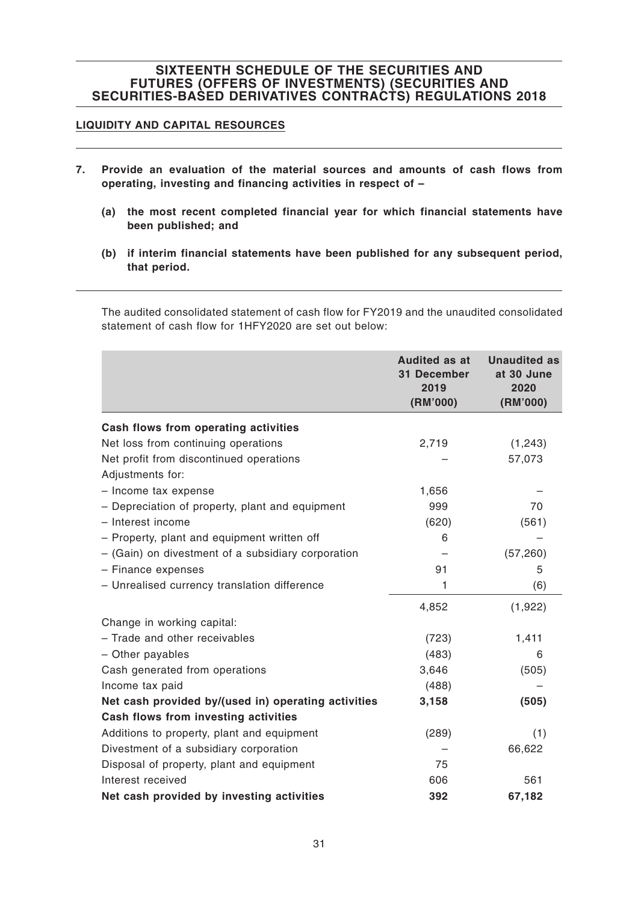### **LIQUIDITY AND CAPITAL RESOURCES**

- **7. Provide an evaluation of the material sources and amounts of cash flows from operating, investing and financing activities in respect of –**
	- **(a) the most recent completed financial year for which financial statements have been published; and**
	- **(b) if interim financial statements have been published for any subsequent period, that period.**

The audited consolidated statement of cash flow for FY2019 and the unaudited consolidated statement of cash flow for 1HFY2020 are set out below:

|                                                     | <b>Audited as at</b><br>31 December<br>2019<br>(RM'000) | <b>Unaudited as</b><br>at 30 June<br>2020<br>(RM'000) |
|-----------------------------------------------------|---------------------------------------------------------|-------------------------------------------------------|
| Cash flows from operating activities                |                                                         |                                                       |
| Net loss from continuing operations                 | 2,719                                                   | (1, 243)                                              |
| Net profit from discontinued operations             |                                                         | 57,073                                                |
| Adjustments for:                                    |                                                         |                                                       |
| - Income tax expense                                | 1,656                                                   |                                                       |
| - Depreciation of property, plant and equipment     | 999                                                     | 70                                                    |
| - Interest income                                   | (620)                                                   | (561)                                                 |
| - Property, plant and equipment written off         | 6                                                       |                                                       |
| - (Gain) on divestment of a subsidiary corporation  |                                                         | (57, 260)                                             |
| - Finance expenses                                  | 91                                                      | 5                                                     |
| - Unrealised currency translation difference        | 1                                                       | (6)                                                   |
|                                                     | 4,852                                                   | (1,922)                                               |
| Change in working capital:                          |                                                         |                                                       |
| - Trade and other receivables                       | (723)                                                   | 1,411                                                 |
| - Other payables                                    | (483)                                                   | 6                                                     |
| Cash generated from operations                      | 3,646                                                   | (505)                                                 |
| Income tax paid                                     | (488)                                                   |                                                       |
| Net cash provided by/(used in) operating activities | 3,158                                                   | (505)                                                 |
| Cash flows from investing activities                |                                                         |                                                       |
| Additions to property, plant and equipment          | (289)                                                   | (1)                                                   |
| Divestment of a subsidiary corporation              |                                                         | 66,622                                                |
| Disposal of property, plant and equipment           | 75                                                      |                                                       |
| Interest received                                   | 606                                                     | 561                                                   |
| Net cash provided by investing activities           | 392                                                     | 67,182                                                |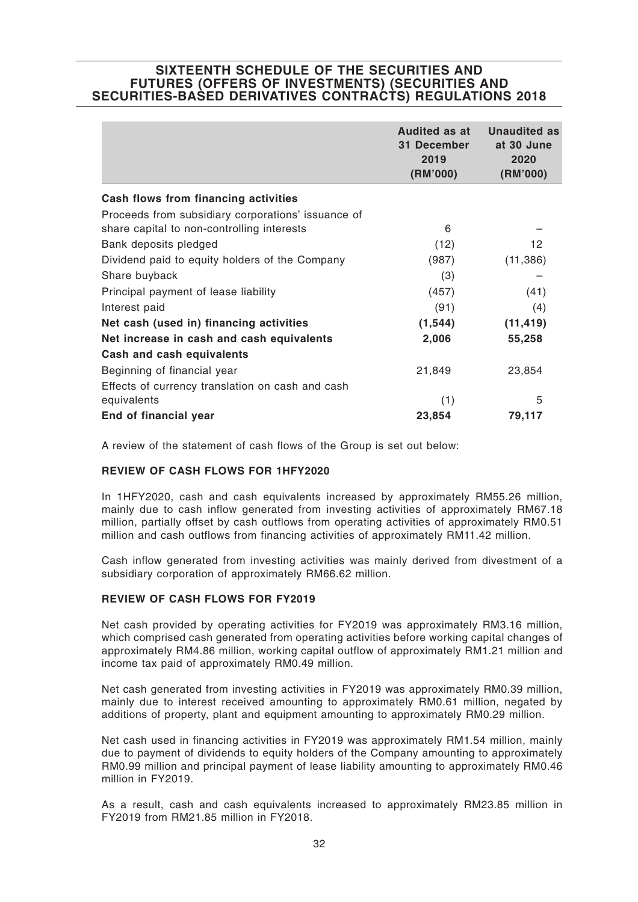|                                                    | <b>Audited as at</b><br>31 December<br>2019<br>(RM'000) | <b>Unaudited as</b><br>at 30 June<br>2020<br>(RM'000) |
|----------------------------------------------------|---------------------------------------------------------|-------------------------------------------------------|
| Cash flows from financing activities               |                                                         |                                                       |
| Proceeds from subsidiary corporations' issuance of |                                                         |                                                       |
| share capital to non-controlling interests         | 6                                                       |                                                       |
| Bank deposits pledged                              | (12)                                                    | 12                                                    |
| Dividend paid to equity holders of the Company     | (987)                                                   | (11, 386)                                             |
| Share buyback                                      | (3)                                                     |                                                       |
| Principal payment of lease liability               | (457)                                                   | (41)                                                  |
| Interest paid                                      | (91)                                                    | (4)                                                   |
| Net cash (used in) financing activities            | (1, 544)                                                | (11, 419)                                             |
| Net increase in cash and cash equivalents          | 2,006                                                   | 55,258                                                |
| Cash and cash equivalents                          |                                                         |                                                       |
| Beginning of financial year                        | 21,849                                                  | 23,854                                                |
| Effects of currency translation on cash and cash   |                                                         |                                                       |
| equivalents                                        | (1)                                                     | 5                                                     |
| End of financial year                              | 23,854                                                  | 79,117                                                |

A review of the statement of cash flows of the Group is set out below:

#### **REVIEW OF CASH FLOWS FOR 1HFY2020**

In 1HFY2020, cash and cash equivalents increased by approximately RM55.26 million, mainly due to cash inflow generated from investing activities of approximately RM67.18 million, partially offset by cash outflows from operating activities of approximately RM0.51 million and cash outflows from financing activities of approximately RM11.42 million.

Cash inflow generated from investing activities was mainly derived from divestment of a subsidiary corporation of approximately RM66.62 million.

#### **REVIEW OF CASH FLOWS FOR FY2019**

Net cash provided by operating activities for FY2019 was approximately RM3.16 million, which comprised cash generated from operating activities before working capital changes of approximately RM4.86 million, working capital outflow of approximately RM1.21 million and income tax paid of approximately RM0.49 million.

Net cash generated from investing activities in FY2019 was approximately RM0.39 million, mainly due to interest received amounting to approximately RM0.61 million, negated by additions of property, plant and equipment amounting to approximately RM0.29 million.

Net cash used in financing activities in FY2019 was approximately RM1.54 million, mainly due to payment of dividends to equity holders of the Company amounting to approximately RM0.99 million and principal payment of lease liability amounting to approximately RM0.46 million in FY2019.

As a result, cash and cash equivalents increased to approximately RM23.85 million in FY2019 from RM21.85 million in FY2018.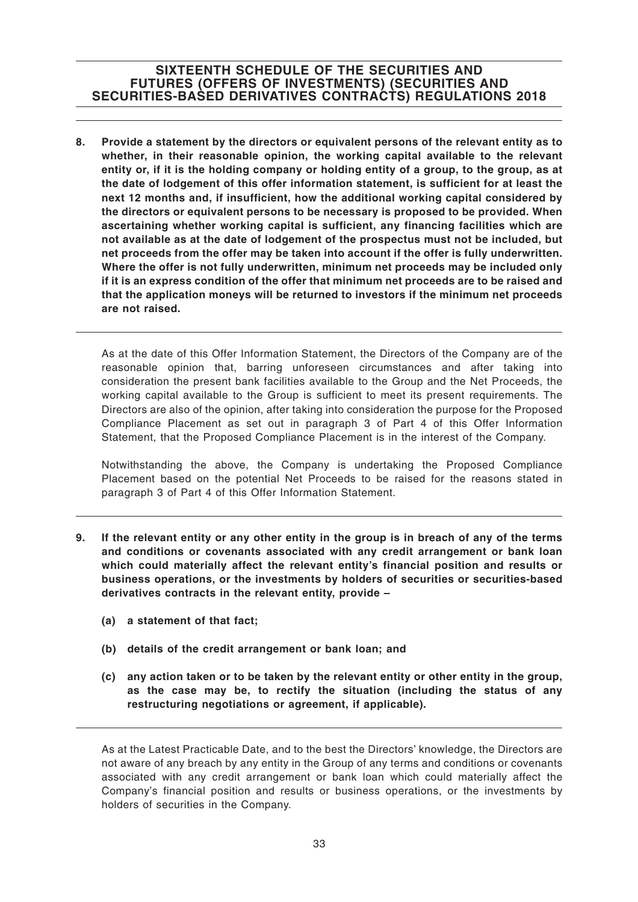**8. Provide a statement by the directors or equivalent persons of the relevant entity as to whether, in their reasonable opinion, the working capital available to the relevant entity or, if it is the holding company or holding entity of a group, to the group, as at the date of lodgement of this offer information statement, is sufficient for at least the next 12 months and, if insufficient, how the additional working capital considered by the directors or equivalent persons to be necessary is proposed to be provided. When ascertaining whether working capital is sufficient, any financing facilities which are not available as at the date of lodgement of the prospectus must not be included, but net proceeds from the offer may be taken into account if the offer is fully underwritten. Where the offer is not fully underwritten, minimum net proceeds may be included only if it is an express condition of the offer that minimum net proceeds are to be raised and that the application moneys will be returned to investors if the minimum net proceeds are not raised.**

As at the date of this Offer Information Statement, the Directors of the Company are of the reasonable opinion that, barring unforeseen circumstances and after taking into consideration the present bank facilities available to the Group and the Net Proceeds, the working capital available to the Group is sufficient to meet its present requirements. The Directors are also of the opinion, after taking into consideration the purpose for the Proposed Compliance Placement as set out in paragraph 3 of Part 4 of this Offer Information Statement, that the Proposed Compliance Placement is in the interest of the Company.

Notwithstanding the above, the Company is undertaking the Proposed Compliance Placement based on the potential Net Proceeds to be raised for the reasons stated in paragraph 3 of Part 4 of this Offer Information Statement.

- **9. If the relevant entity or any other entity in the group is in breach of any of the terms and conditions or covenants associated with any credit arrangement or bank loan which could materially affect the relevant entity's financial position and results or business operations, or the investments by holders of securities or securities-based derivatives contracts in the relevant entity, provide –**
	- **(a) a statement of that fact;**
	- **(b) details of the credit arrangement or bank loan; and**
	- **(c) any action taken or to be taken by the relevant entity or other entity in the group, as the case may be, to rectify the situation (including the status of any restructuring negotiations or agreement, if applicable).**

As at the Latest Practicable Date, and to the best the Directors' knowledge, the Directors are not aware of any breach by any entity in the Group of any terms and conditions or covenants associated with any credit arrangement or bank loan which could materially affect the Company's financial position and results or business operations, or the investments by holders of securities in the Company.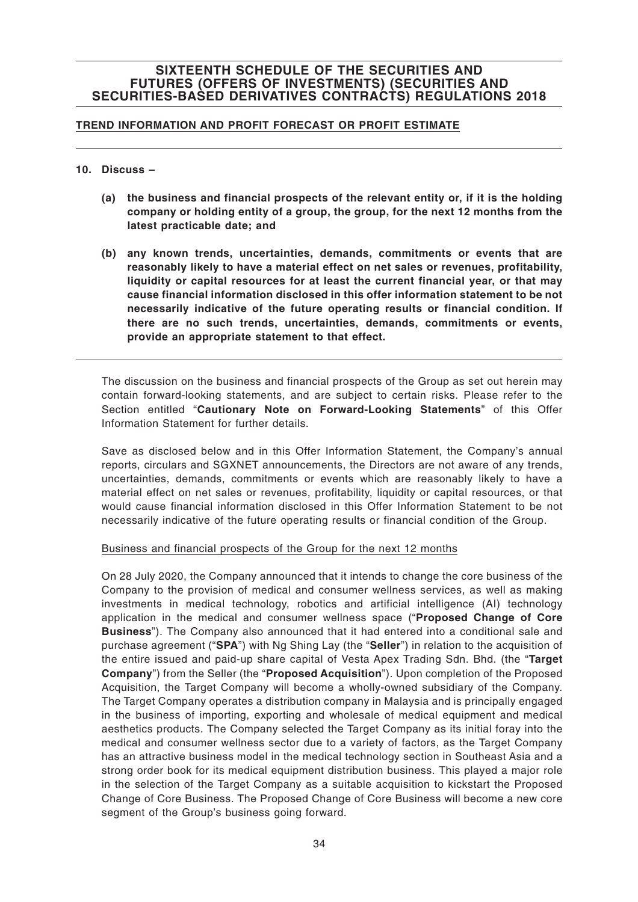#### **TREND INFORMATION AND PROFIT FORECAST OR PROFIT ESTIMATE**

#### **10. Discuss –**

- **(a) the business and financial prospects of the relevant entity or, if it is the holding company or holding entity of a group, the group, for the next 12 months from the latest practicable date; and**
- **(b) any known trends, uncertainties, demands, commitments or events that are reasonably likely to have a material effect on net sales or revenues, profitability, liquidity or capital resources for at least the current financial year, or that may cause financial information disclosed in this offer information statement to be not necessarily indicative of the future operating results or financial condition. If there are no such trends, uncertainties, demands, commitments or events, provide an appropriate statement to that effect.**

The discussion on the business and financial prospects of the Group as set out herein may contain forward-looking statements, and are subject to certain risks. Please refer to the Section entitled "**Cautionary Note on Forward-Looking Statements**" of this Offer Information Statement for further details.

Save as disclosed below and in this Offer Information Statement, the Company's annual reports, circulars and SGXNET announcements, the Directors are not aware of any trends, uncertainties, demands, commitments or events which are reasonably likely to have a material effect on net sales or revenues, profitability, liquidity or capital resources, or that would cause financial information disclosed in this Offer Information Statement to be not necessarily indicative of the future operating results or financial condition of the Group.

#### Business and financial prospects of the Group for the next 12 months

On 28 July 2020, the Company announced that it intends to change the core business of the Company to the provision of medical and consumer wellness services, as well as making investments in medical technology, robotics and artificial intelligence (AI) technology application in the medical and consumer wellness space ("**Proposed Change of Core Business**"). The Company also announced that it had entered into a conditional sale and purchase agreement ("**SPA**") with Ng Shing Lay (the "**Seller**") in relation to the acquisition of the entire issued and paid-up share capital of Vesta Apex Trading Sdn. Bhd. (the "**Target Company**") from the Seller (the "**Proposed Acquisition**"). Upon completion of the Proposed Acquisition, the Target Company will become a wholly-owned subsidiary of the Company. The Target Company operates a distribution company in Malaysia and is principally engaged in the business of importing, exporting and wholesale of medical equipment and medical aesthetics products. The Company selected the Target Company as its initial foray into the medical and consumer wellness sector due to a variety of factors, as the Target Company has an attractive business model in the medical technology section in Southeast Asia and a strong order book for its medical equipment distribution business. This played a major role in the selection of the Target Company as a suitable acquisition to kickstart the Proposed Change of Core Business. The Proposed Change of Core Business will become a new core segment of the Group's business going forward.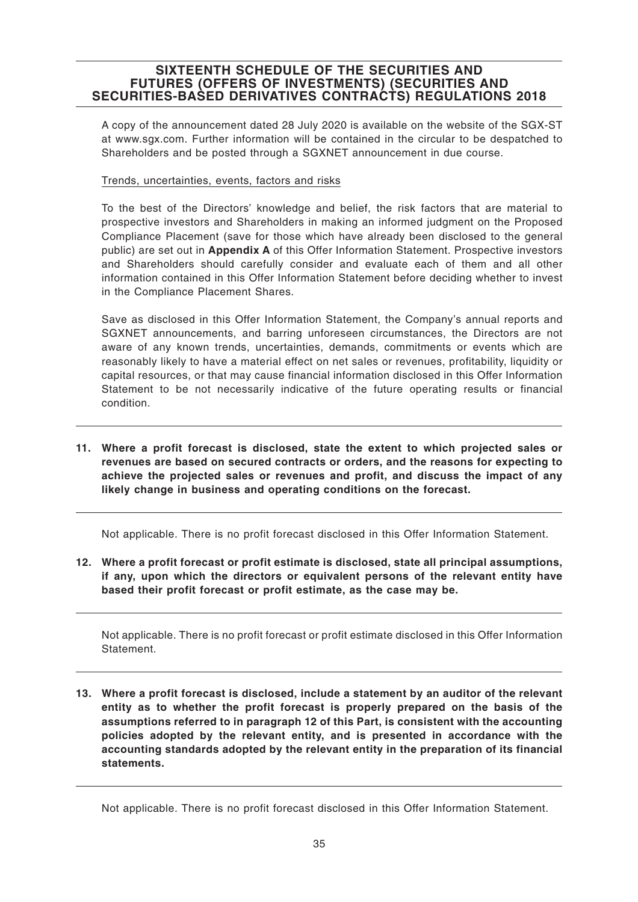A copy of the announcement dated 28 July 2020 is available on the website of the SGX-ST at www.sgx.com. Further information will be contained in the circular to be despatched to Shareholders and be posted through a SGXNET announcement in due course.

#### Trends, uncertainties, events, factors and risks

To the best of the Directors' knowledge and belief, the risk factors that are material to prospective investors and Shareholders in making an informed judgment on the Proposed Compliance Placement (save for those which have already been disclosed to the general public) are set out in **Appendix A** of this Offer Information Statement. Prospective investors and Shareholders should carefully consider and evaluate each of them and all other information contained in this Offer Information Statement before deciding whether to invest in the Compliance Placement Shares.

Save as disclosed in this Offer Information Statement, the Company's annual reports and SGXNET announcements, and barring unforeseen circumstances, the Directors are not aware of any known trends, uncertainties, demands, commitments or events which are reasonably likely to have a material effect on net sales or revenues, profitability, liquidity or capital resources, or that may cause financial information disclosed in this Offer Information Statement to be not necessarily indicative of the future operating results or financial condition.

**11. Where a profit forecast is disclosed, state the extent to which projected sales or revenues are based on secured contracts or orders, and the reasons for expecting to achieve the projected sales or revenues and profit, and discuss the impact of any likely change in business and operating conditions on the forecast.**

Not applicable. There is no profit forecast disclosed in this Offer Information Statement.

**12. Where a profit forecast or profit estimate is disclosed, state all principal assumptions, if any, upon which the directors or equivalent persons of the relevant entity have based their profit forecast or profit estimate, as the case may be.**

Not applicable. There is no profit forecast or profit estimate disclosed in this Offer Information Statement.

**13. Where a profit forecast is disclosed, include a statement by an auditor of the relevant entity as to whether the profit forecast is properly prepared on the basis of the assumptions referred to in paragraph 12 of this Part, is consistent with the accounting policies adopted by the relevant entity, and is presented in accordance with the accounting standards adopted by the relevant entity in the preparation of its financial statements.**

Not applicable. There is no profit forecast disclosed in this Offer Information Statement.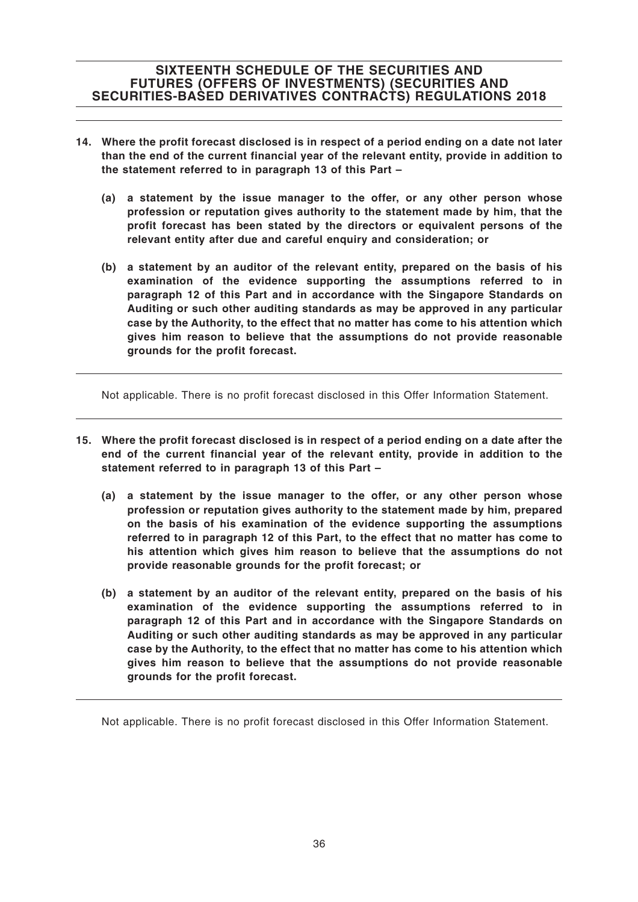- **14. Where the profit forecast disclosed is in respect of a period ending on a date not later than the end of the current financial year of the relevant entity, provide in addition to the statement referred to in paragraph 13 of this Part –**
	- **(a) a statement by the issue manager to the offer, or any other person whose profession or reputation gives authority to the statement made by him, that the profit forecast has been stated by the directors or equivalent persons of the relevant entity after due and careful enquiry and consideration; or**
	- **(b) a statement by an auditor of the relevant entity, prepared on the basis of his examination of the evidence supporting the assumptions referred to in paragraph 12 of this Part and in accordance with the Singapore Standards on Auditing or such other auditing standards as may be approved in any particular case by the Authority, to the effect that no matter has come to his attention which gives him reason to believe that the assumptions do not provide reasonable grounds for the profit forecast.**

Not applicable. There is no profit forecast disclosed in this Offer Information Statement.

- **15. Where the profit forecast disclosed is in respect of a period ending on a date after the end of the current financial year of the relevant entity, provide in addition to the statement referred to in paragraph 13 of this Part –**
	- **(a) a statement by the issue manager to the offer, or any other person whose profession or reputation gives authority to the statement made by him, prepared on the basis of his examination of the evidence supporting the assumptions referred to in paragraph 12 of this Part, to the effect that no matter has come to his attention which gives him reason to believe that the assumptions do not provide reasonable grounds for the profit forecast; or**
	- **(b) a statement by an auditor of the relevant entity, prepared on the basis of his examination of the evidence supporting the assumptions referred to in paragraph 12 of this Part and in accordance with the Singapore Standards on Auditing or such other auditing standards as may be approved in any particular case by the Authority, to the effect that no matter has come to his attention which gives him reason to believe that the assumptions do not provide reasonable grounds for the profit forecast.**

Not applicable. There is no profit forecast disclosed in this Offer Information Statement.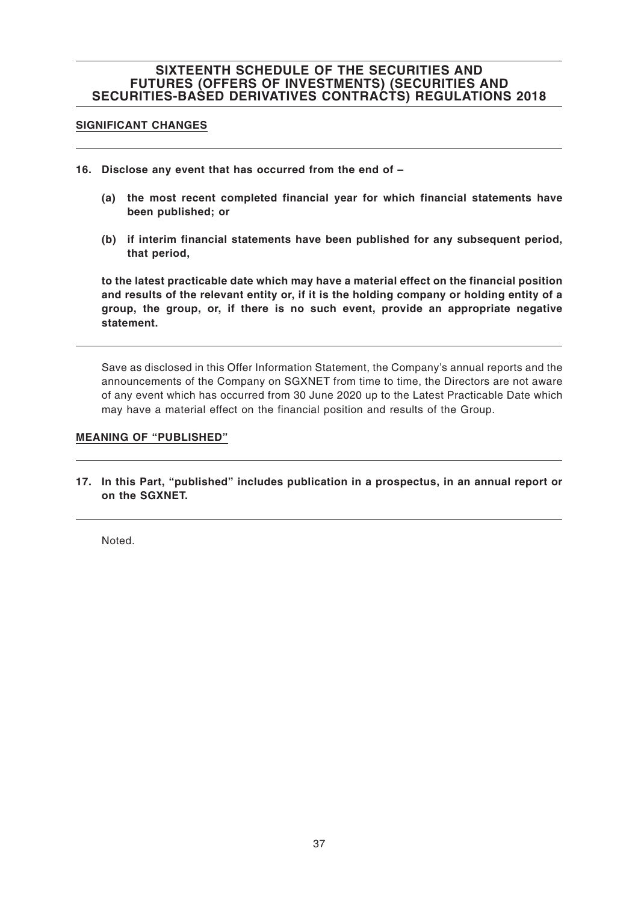#### **SIGNIFICANT CHANGES**

- **16. Disclose any event that has occurred from the end of –**
	- **(a) the most recent completed financial year for which financial statements have been published; or**
	- **(b) if interim financial statements have been published for any subsequent period, that period,**

**to the latest practicable date which may have a material effect on the financial position and results of the relevant entity or, if it is the holding company or holding entity of a group, the group, or, if there is no such event, provide an appropriate negative statement.**

Save as disclosed in this Offer Information Statement, the Company's annual reports and the announcements of the Company on SGXNET from time to time, the Directors are not aware of any event which has occurred from 30 June 2020 up to the Latest Practicable Date which may have a material effect on the financial position and results of the Group.

#### **MEANING OF "PUBLISHED"**

**17. In this Part, "published" includes publication in a prospectus, in an annual report or on the SGXNET.**

Noted.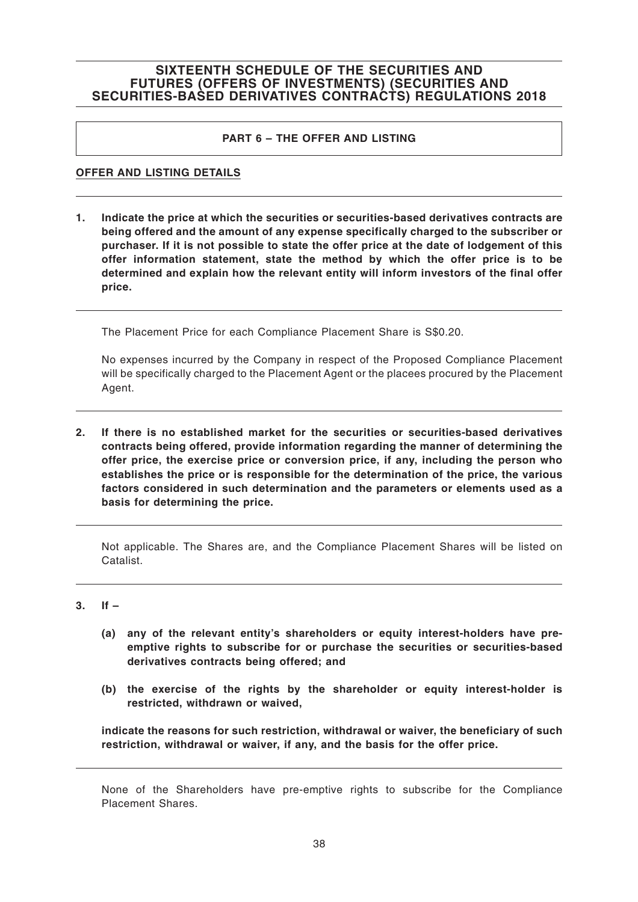### **PART 6 – THE OFFER AND LISTING**

#### **OFFER AND LISTING DETAILS**

**1. Indicate the price at which the securities or securities-based derivatives contracts are being offered and the amount of any expense specifically charged to the subscriber or purchaser. If it is not possible to state the offer price at the date of lodgement of this offer information statement, state the method by which the offer price is to be determined and explain how the relevant entity will inform investors of the final offer price.**

The Placement Price for each Compliance Placement Share is S\$0.20.

No expenses incurred by the Company in respect of the Proposed Compliance Placement will be specifically charged to the Placement Agent or the placees procured by the Placement Agent.

**2. If there is no established market for the securities or securities-based derivatives contracts being offered, provide information regarding the manner of determining the offer price, the exercise price or conversion price, if any, including the person who establishes the price or is responsible for the determination of the price, the various factors considered in such determination and the parameters or elements used as a basis for determining the price.**

Not applicable. The Shares are, and the Compliance Placement Shares will be listed on Catalist.

#### **3. If –**

- **(a) any of the relevant entity's shareholders or equity interest-holders have preemptive rights to subscribe for or purchase the securities or securities-based derivatives contracts being offered; and**
- **(b) the exercise of the rights by the shareholder or equity interest-holder is restricted, withdrawn or waived,**

**indicate the reasons for such restriction, withdrawal or waiver, the beneficiary of such restriction, withdrawal or waiver, if any, and the basis for the offer price.**

None of the Shareholders have pre-emptive rights to subscribe for the Compliance Placement Shares.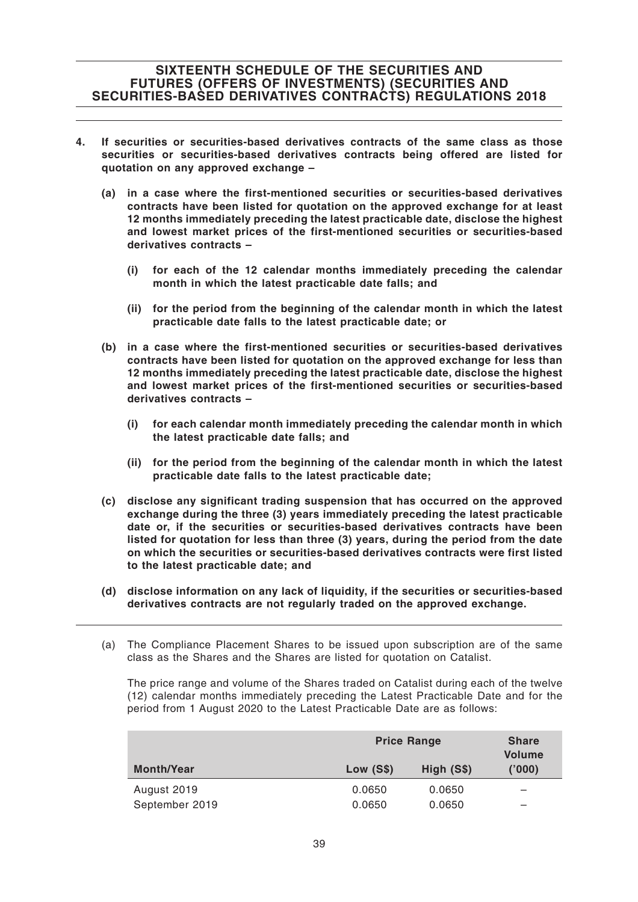- **4. If securities or securities-based derivatives contracts of the same class as those securities or securities-based derivatives contracts being offered are listed for quotation on any approved exchange –**
	- **(a) in a case where the first-mentioned securities or securities-based derivatives contracts have been listed for quotation on the approved exchange for at least 12 months immediately preceding the latest practicable date, disclose the highest and lowest market prices of the first-mentioned securities or securities-based derivatives contracts –**
		- **(i) for each of the 12 calendar months immediately preceding the calendar month in which the latest practicable date falls; and**
		- **(ii) for the period from the beginning of the calendar month in which the latest practicable date falls to the latest practicable date; or**
	- **(b) in a case where the first-mentioned securities or securities-based derivatives contracts have been listed for quotation on the approved exchange for less than 12 months immediately preceding the latest practicable date, disclose the highest and lowest market prices of the first-mentioned securities or securities-based derivatives contracts –**
		- **(i) for each calendar month immediately preceding the calendar month in which the latest practicable date falls; and**
		- **(ii) for the period from the beginning of the calendar month in which the latest practicable date falls to the latest practicable date;**
	- **(c) disclose any significant trading suspension that has occurred on the approved exchange during the three (3) years immediately preceding the latest practicable date or, if the securities or securities-based derivatives contracts have been listed for quotation for less than three (3) years, during the period from the date on which the securities or securities-based derivatives contracts were first listed to the latest practicable date; and**
	- **(d) disclose information on any lack of liquidity, if the securities or securities-based derivatives contracts are not regularly traded on the approved exchange.**
	- (a) The Compliance Placement Shares to be issued upon subscription are of the same class as the Shares and the Shares are listed for quotation on Catalist.

The price range and volume of the Shares traded on Catalist during each of the twelve (12) calendar months immediately preceding the Latest Practicable Date and for the period from 1 August 2020 to the Latest Practicable Date are as follows:

|                   | <b>Price Range</b> | <b>Share</b><br><b>Volume</b> |       |
|-------------------|--------------------|-------------------------------|-------|
| <b>Month/Year</b> | Low (S\$)          | High (S\$)                    | (000) |
| August 2019       | 0.0650             | 0.0650                        |       |
| September 2019    | 0.0650             | 0.0650                        |       |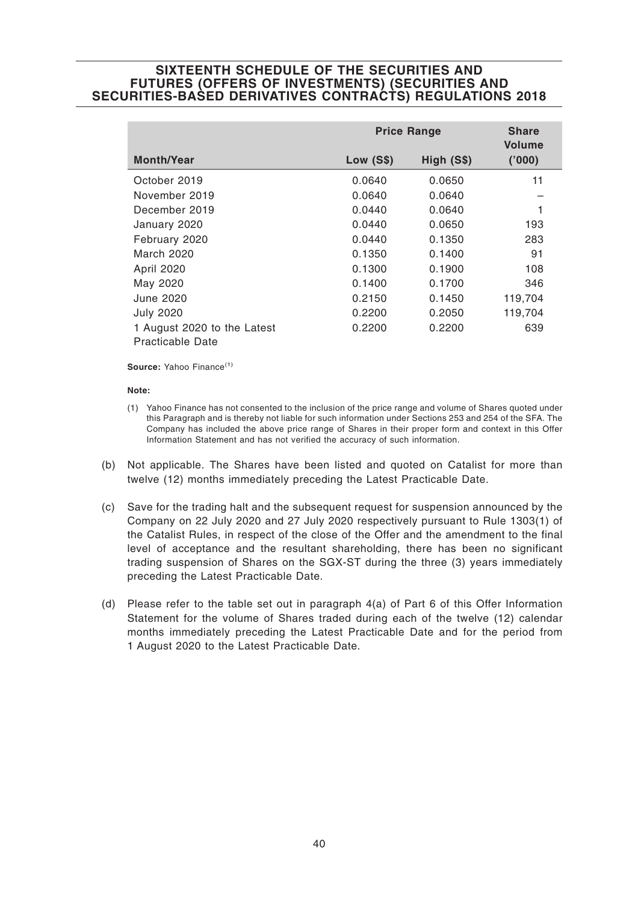|                             | <b>Price Range</b> | <b>Share</b><br><b>Volume</b> |         |
|-----------------------------|--------------------|-------------------------------|---------|
| <b>Month/Year</b>           | <b>Low (S\$)</b>   | High (S\$)                    | ('000)  |
| October 2019                | 0.0640             | 0.0650                        | 11      |
| November 2019               | 0.0640             | 0.0640                        |         |
| December 2019               | 0.0440             | 0.0640                        |         |
| January 2020                | 0.0440             | 0.0650                        | 193     |
| February 2020               | 0.0440             | 0.1350                        | 283     |
| March 2020                  | 0.1350             | 0.1400                        | 91      |
| April 2020                  | 0.1300             | 0.1900                        | 108     |
| May 2020                    | 0.1400             | 0.1700                        | 346     |
| June 2020                   | 0.2150             | 0.1450                        | 119,704 |
| <b>July 2020</b>            | 0.2200             | 0.2050                        | 119,704 |
| 1 August 2020 to the Latest | 0.2200             | 0.2200                        | 639     |
| Practicable Date            |                    |                               |         |

Source: Yahoo Finance<sup>(1)</sup>

#### **Note:**

- (1) Yahoo Finance has not consented to the inclusion of the price range and volume of Shares quoted under this Paragraph and is thereby not liable for such information under Sections 253 and 254 of the SFA. The Company has included the above price range of Shares in their proper form and context in this Offer Information Statement and has not verified the accuracy of such information.
- (b) Not applicable. The Shares have been listed and quoted on Catalist for more than twelve (12) months immediately preceding the Latest Practicable Date.
- (c) Save for the trading halt and the subsequent request for suspension announced by the Company on 22 July 2020 and 27 July 2020 respectively pursuant to Rule 1303(1) of the Catalist Rules, in respect of the close of the Offer and the amendment to the final level of acceptance and the resultant shareholding, there has been no significant trading suspension of Shares on the SGX-ST during the three (3) years immediately preceding the Latest Practicable Date.
- (d) Please refer to the table set out in paragraph 4(a) of Part 6 of this Offer Information Statement for the volume of Shares traded during each of the twelve (12) calendar months immediately preceding the Latest Practicable Date and for the period from 1 August 2020 to the Latest Practicable Date.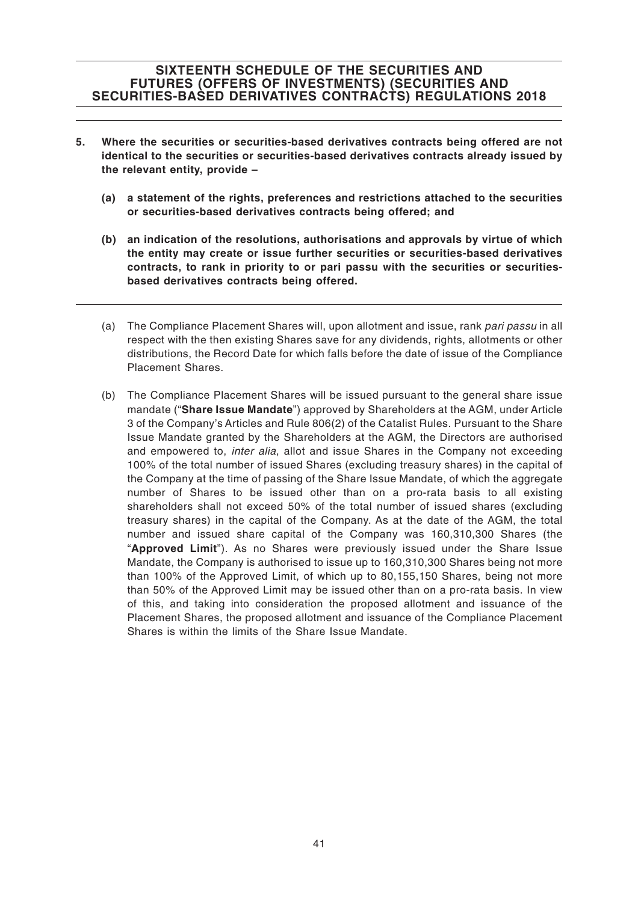- **5. Where the securities or securities-based derivatives contracts being offered are not identical to the securities or securities-based derivatives contracts already issued by the relevant entity, provide –**
	- **(a) a statement of the rights, preferences and restrictions attached to the securities or securities-based derivatives contracts being offered; and**
	- **(b) an indication of the resolutions, authorisations and approvals by virtue of which the entity may create or issue further securities or securities-based derivatives contracts, to rank in priority to or pari passu with the securities or securitiesbased derivatives contracts being offered.**
	- (a) The Compliance Placement Shares will, upon allotment and issue, rank pari passu in all respect with the then existing Shares save for any dividends, rights, allotments or other distributions, the Record Date for which falls before the date of issue of the Compliance Placement Shares.
	- (b) The Compliance Placement Shares will be issued pursuant to the general share issue mandate ("**Share Issue Mandate**") approved by Shareholders at the AGM, under Article 3 of the Company's Articles and Rule 806(2) of the Catalist Rules. Pursuant to the Share Issue Mandate granted by the Shareholders at the AGM, the Directors are authorised and empowered to, *inter alia*, allot and issue Shares in the Company not exceeding 100% of the total number of issued Shares (excluding treasury shares) in the capital of the Company at the time of passing of the Share Issue Mandate, of which the aggregate number of Shares to be issued other than on a pro-rata basis to all existing shareholders shall not exceed 50% of the total number of issued shares (excluding treasury shares) in the capital of the Company. As at the date of the AGM, the total number and issued share capital of the Company was 160,310,300 Shares (the "**Approved Limit**"). As no Shares were previously issued under the Share Issue Mandate, the Company is authorised to issue up to 160,310,300 Shares being not more than 100% of the Approved Limit, of which up to 80,155,150 Shares, being not more than 50% of the Approved Limit may be issued other than on a pro-rata basis. In view of this, and taking into consideration the proposed allotment and issuance of the Placement Shares, the proposed allotment and issuance of the Compliance Placement Shares is within the limits of the Share Issue Mandate.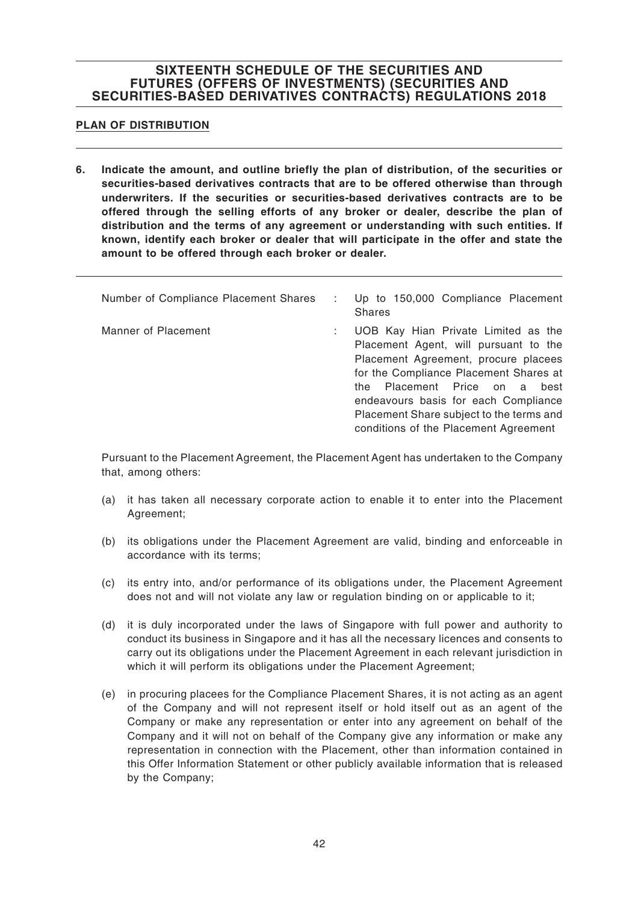### **PLAN OF DISTRIBUTION**

**6. Indicate the amount, and outline briefly the plan of distribution, of the securities or securities-based derivatives contracts that are to be offered otherwise than through underwriters. If the securities or securities-based derivatives contracts are to be offered through the selling efforts of any broker or dealer, describe the plan of distribution and the terms of any agreement or understanding with such entities. If known, identify each broker or dealer that will participate in the offer and state the amount to be offered through each broker or dealer.**

| Number of Compliance Placement Shares | Up to 150,000 Compliance Placement<br><b>Shares</b>                                                                                                                                                                                                                                                                                |
|---------------------------------------|------------------------------------------------------------------------------------------------------------------------------------------------------------------------------------------------------------------------------------------------------------------------------------------------------------------------------------|
| Manner of Placement                   | UOB Kay Hian Private Limited as the<br>Placement Agent, will pursuant to the<br>Placement Agreement, procure placees<br>for the Compliance Placement Shares at<br>Placement Price on a<br>best<br>the<br>endeavours basis for each Compliance<br>Placement Share subject to the terms and<br>conditions of the Placement Agreement |

Pursuant to the Placement Agreement, the Placement Agent has undertaken to the Company that, among others:

- (a) it has taken all necessary corporate action to enable it to enter into the Placement Agreement;
- (b) its obligations under the Placement Agreement are valid, binding and enforceable in accordance with its terms;
- (c) its entry into, and/or performance of its obligations under, the Placement Agreement does not and will not violate any law or regulation binding on or applicable to it;
- (d) it is duly incorporated under the laws of Singapore with full power and authority to conduct its business in Singapore and it has all the necessary licences and consents to carry out its obligations under the Placement Agreement in each relevant jurisdiction in which it will perform its obligations under the Placement Agreement:
- (e) in procuring placees for the Compliance Placement Shares, it is not acting as an agent of the Company and will not represent itself or hold itself out as an agent of the Company or make any representation or enter into any agreement on behalf of the Company and it will not on behalf of the Company give any information or make any representation in connection with the Placement, other than information contained in this Offer Information Statement or other publicly available information that is released by the Company;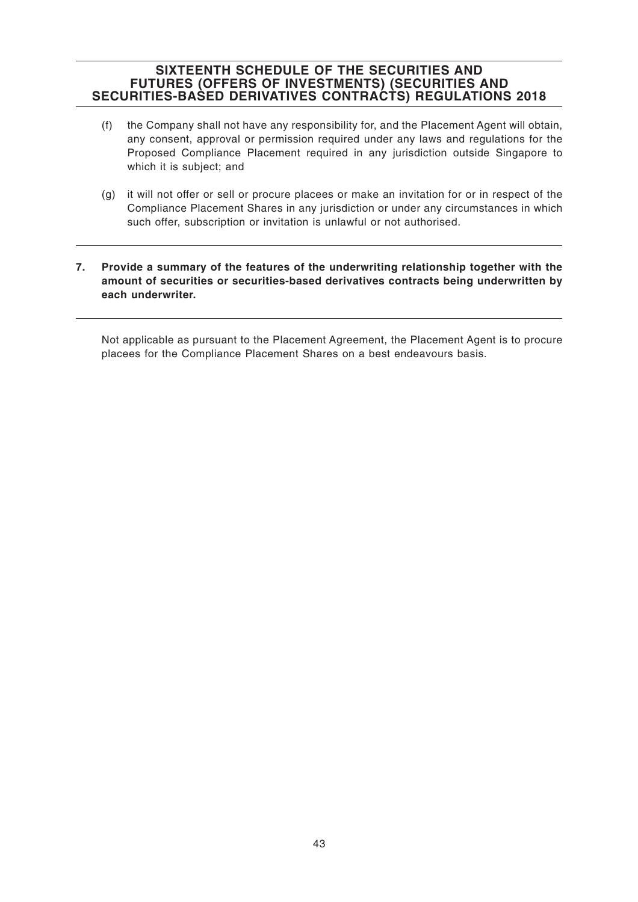- (f) the Company shall not have any responsibility for, and the Placement Agent will obtain, any consent, approval or permission required under any laws and regulations for the Proposed Compliance Placement required in any jurisdiction outside Singapore to which it is subject; and
- (g) it will not offer or sell or procure placees or make an invitation for or in respect of the Compliance Placement Shares in any jurisdiction or under any circumstances in which such offer, subscription or invitation is unlawful or not authorised.

### **7. Provide a summary of the features of the underwriting relationship together with the amount of securities or securities-based derivatives contracts being underwritten by each underwriter.**

Not applicable as pursuant to the Placement Agreement, the Placement Agent is to procure placees for the Compliance Placement Shares on a best endeavours basis.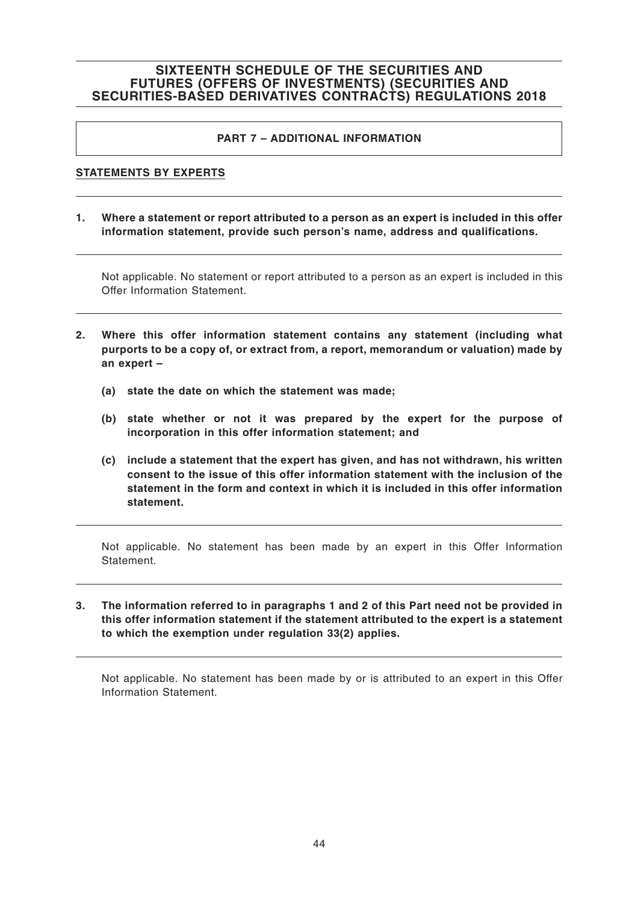### **PART 7 – ADDITIONAL INFORMATION**

### **STATEMENTS BY EXPERTS**

**1. Where a statement or report attributed to a person as an expert is included in this offer information statement, provide such person's name, address and qualifications.**

Not applicable. No statement or report attributed to a person as an expert is included in this Offer Information Statement.

- **2. Where this offer information statement contains any statement (including what purports to be a copy of, or extract from, a report, memorandum or valuation) made by an expert –**
	- **(a) state the date on which the statement was made;**
	- **(b) state whether or not it was prepared by the expert for the purpose of incorporation in this offer information statement; and**
	- **(c) include a statement that the expert has given, and has not withdrawn, his written consent to the issue of this offer information statement with the inclusion of the statement in the form and context in which it is included in this offer information statement.**

Not applicable. No statement has been made by an expert in this Offer Information Statement.

**3. The information referred to in paragraphs 1 and 2 of this Part need not be provided in this offer information statement if the statement attributed to the expert is a statement to which the exemption under regulation 33(2) applies.**

Not applicable. No statement has been made by or is attributed to an expert in this Offer Information Statement.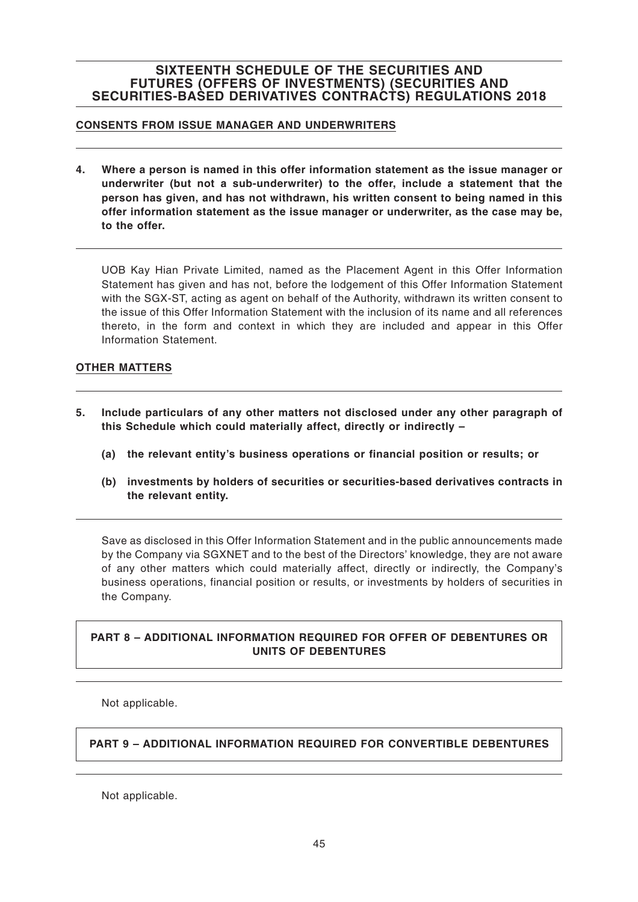### **CONSENTS FROM ISSUE MANAGER AND UNDERWRITERS**

**4. Where a person is named in this offer information statement as the issue manager or underwriter (but not a sub-underwriter) to the offer, include a statement that the person has given, and has not withdrawn, his written consent to being named in this offer information statement as the issue manager or underwriter, as the case may be, to the offer.**

UOB Kay Hian Private Limited, named as the Placement Agent in this Offer Information Statement has given and has not, before the lodgement of this Offer Information Statement with the SGX-ST, acting as agent on behalf of the Authority, withdrawn its written consent to the issue of this Offer Information Statement with the inclusion of its name and all references thereto, in the form and context in which they are included and appear in this Offer Information Statement.

### **OTHER MATTERS**

- **5. Include particulars of any other matters not disclosed under any other paragraph of this Schedule which could materially affect, directly or indirectly –**
	- **(a) the relevant entity's business operations or financial position or results; or**
	- **(b) investments by holders of securities or securities-based derivatives contracts in the relevant entity.**

Save as disclosed in this Offer Information Statement and in the public announcements made by the Company via SGXNET and to the best of the Directors' knowledge, they are not aware of any other matters which could materially affect, directly or indirectly, the Company's business operations, financial position or results, or investments by holders of securities in the Company.

### **PART 8 – ADDITIONAL INFORMATION REQUIRED FOR OFFER OF DEBENTURES OR UNITS OF DEBENTURES**

Not applicable.

### **PART 9 – ADDITIONAL INFORMATION REQUIRED FOR CONVERTIBLE DEBENTURES**

Not applicable.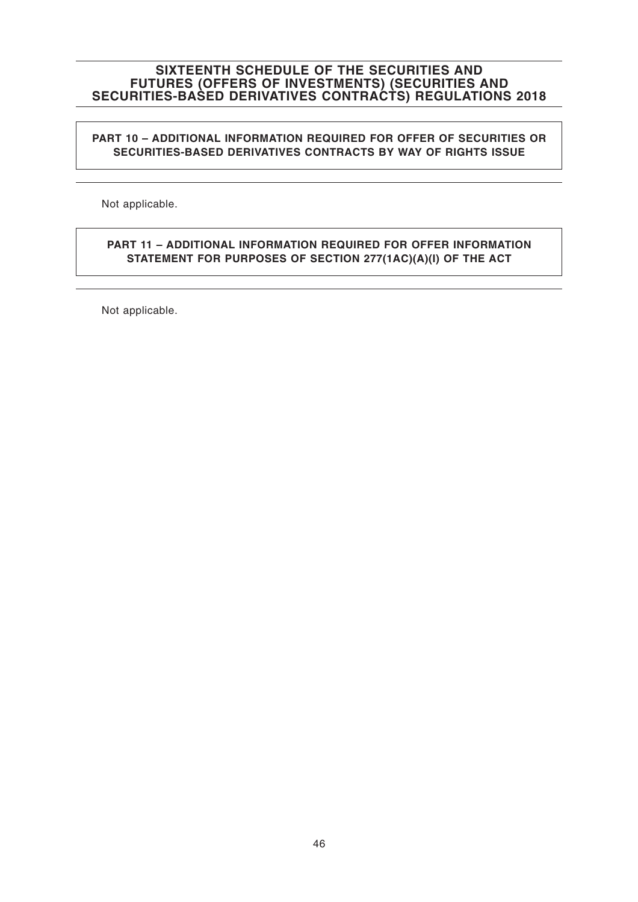### **PART 10 – ADDITIONAL INFORMATION REQUIRED FOR OFFER OF SECURITIES OR SECURITIES-BASED DERIVATIVES CONTRACTS BY WAY OF RIGHTS ISSUE**

Not applicable.

### **PART 11 – ADDITIONAL INFORMATION REQUIRED FOR OFFER INFORMATION STATEMENT FOR PURPOSES OF SECTION 277(1AC)(A)(I) OF THE ACT**

Not applicable.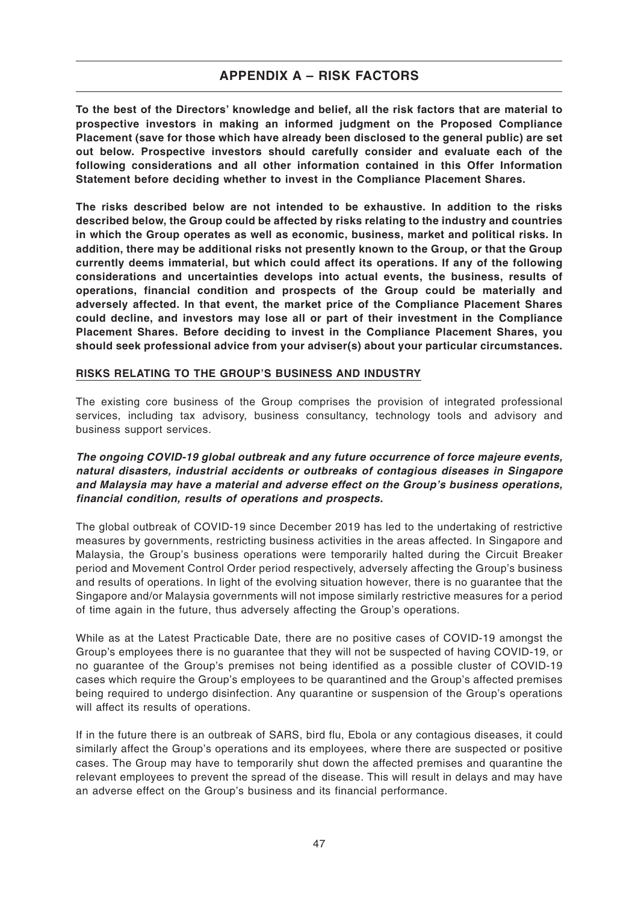**To the best of the Directors' knowledge and belief, all the risk factors that are material to prospective investors in making an informed judgment on the Proposed Compliance Placement (save for those which have already been disclosed to the general public) are set out below. Prospective investors should carefully consider and evaluate each of the following considerations and all other information contained in this Offer Information Statement before deciding whether to invest in the Compliance Placement Shares.**

**The risks described below are not intended to be exhaustive. In addition to the risks described below, the Group could be affected by risks relating to the industry and countries in which the Group operates as well as economic, business, market and political risks. In addition, there may be additional risks not presently known to the Group, or that the Group currently deems immaterial, but which could affect its operations. If any of the following considerations and uncertainties develops into actual events, the business, results of operations, financial condition and prospects of the Group could be materially and adversely affected. In that event, the market price of the Compliance Placement Shares could decline, and investors may lose all or part of their investment in the Compliance Placement Shares. Before deciding to invest in the Compliance Placement Shares, you should seek professional advice from your adviser(s) about your particular circumstances.**

### **RISKS RELATING TO THE GROUP'S BUSINESS AND INDUSTRY**

The existing core business of the Group comprises the provision of integrated professional services, including tax advisory, business consultancy, technology tools and advisory and business support services.

### **The ongoing COVID-19 global outbreak and any future occurrence of force majeure events, natural disasters, industrial accidents or outbreaks of contagious diseases in Singapore and Malaysia may have a material and adverse effect on the Group's business operations, financial condition, results of operations and prospects.**

The global outbreak of COVID-19 since December 2019 has led to the undertaking of restrictive measures by governments, restricting business activities in the areas affected. In Singapore and Malaysia, the Group's business operations were temporarily halted during the Circuit Breaker period and Movement Control Order period respectively, adversely affecting the Group's business and results of operations. In light of the evolving situation however, there is no guarantee that the Singapore and/or Malaysia governments will not impose similarly restrictive measures for a period of time again in the future, thus adversely affecting the Group's operations.

While as at the Latest Practicable Date, there are no positive cases of COVID-19 amongst the Group's employees there is no guarantee that they will not be suspected of having COVID-19, or no guarantee of the Group's premises not being identified as a possible cluster of COVID-19 cases which require the Group's employees to be quarantined and the Group's affected premises being required to undergo disinfection. Any quarantine or suspension of the Group's operations will affect its results of operations.

If in the future there is an outbreak of SARS, bird flu, Ebola or any contagious diseases, it could similarly affect the Group's operations and its employees, where there are suspected or positive cases. The Group may have to temporarily shut down the affected premises and quarantine the relevant employees to prevent the spread of the disease. This will result in delays and may have an adverse effect on the Group's business and its financial performance.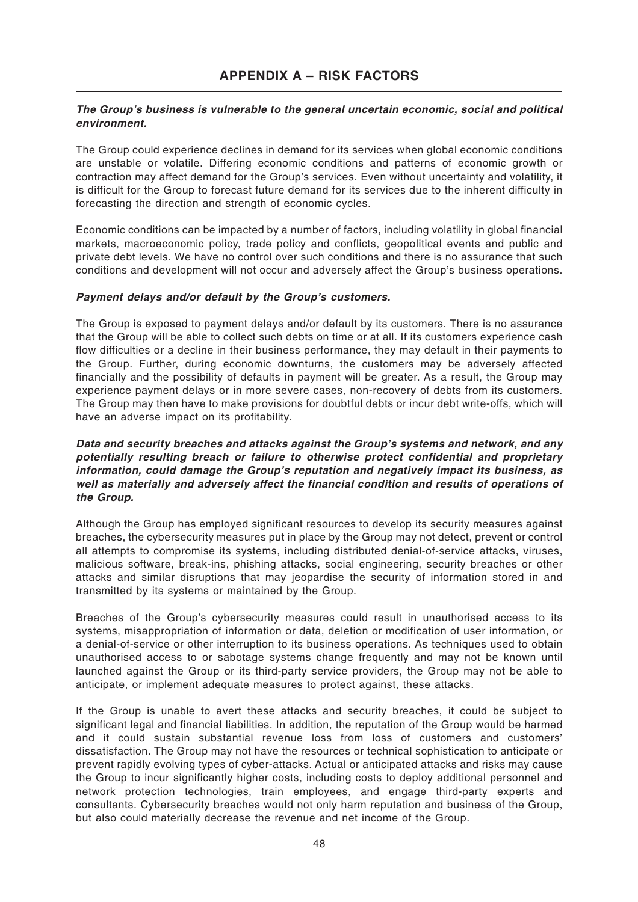### **The Group's business is vulnerable to the general uncertain economic, social and political environment.**

The Group could experience declines in demand for its services when global economic conditions are unstable or volatile. Differing economic conditions and patterns of economic growth or contraction may affect demand for the Group's services. Even without uncertainty and volatility, it is difficult for the Group to forecast future demand for its services due to the inherent difficulty in forecasting the direction and strength of economic cycles.

Economic conditions can be impacted by a number of factors, including volatility in global financial markets, macroeconomic policy, trade policy and conflicts, geopolitical events and public and private debt levels. We have no control over such conditions and there is no assurance that such conditions and development will not occur and adversely affect the Group's business operations.

### **Payment delays and/or default by the Group's customers.**

The Group is exposed to payment delays and/or default by its customers. There is no assurance that the Group will be able to collect such debts on time or at all. If its customers experience cash flow difficulties or a decline in their business performance, they may default in their payments to the Group. Further, during economic downturns, the customers may be adversely affected financially and the possibility of defaults in payment will be greater. As a result, the Group may experience payment delays or in more severe cases, non-recovery of debts from its customers. The Group may then have to make provisions for doubtful debts or incur debt write-offs, which will have an adverse impact on its profitability.

#### **Data and security breaches and attacks against the Group's systems and network, and any potentially resulting breach or failure to otherwise protect confidential and proprietary information, could damage the Group's reputation and negatively impact its business, as well as materially and adversely affect the financial condition and results of operations of the Group.**

Although the Group has employed significant resources to develop its security measures against breaches, the cybersecurity measures put in place by the Group may not detect, prevent or control all attempts to compromise its systems, including distributed denial-of-service attacks, viruses, malicious software, break-ins, phishing attacks, social engineering, security breaches or other attacks and similar disruptions that may jeopardise the security of information stored in and transmitted by its systems or maintained by the Group.

Breaches of the Group's cybersecurity measures could result in unauthorised access to its systems, misappropriation of information or data, deletion or modification of user information, or a denial-of-service or other interruption to its business operations. As techniques used to obtain unauthorised access to or sabotage systems change frequently and may not be known until launched against the Group or its third-party service providers, the Group may not be able to anticipate, or implement adequate measures to protect against, these attacks.

If the Group is unable to avert these attacks and security breaches, it could be subject to significant legal and financial liabilities. In addition, the reputation of the Group would be harmed and it could sustain substantial revenue loss from loss of customers and customers' dissatisfaction. The Group may not have the resources or technical sophistication to anticipate or prevent rapidly evolving types of cyber-attacks. Actual or anticipated attacks and risks may cause the Group to incur significantly higher costs, including costs to deploy additional personnel and network protection technologies, train employees, and engage third-party experts and consultants. Cybersecurity breaches would not only harm reputation and business of the Group, but also could materially decrease the revenue and net income of the Group.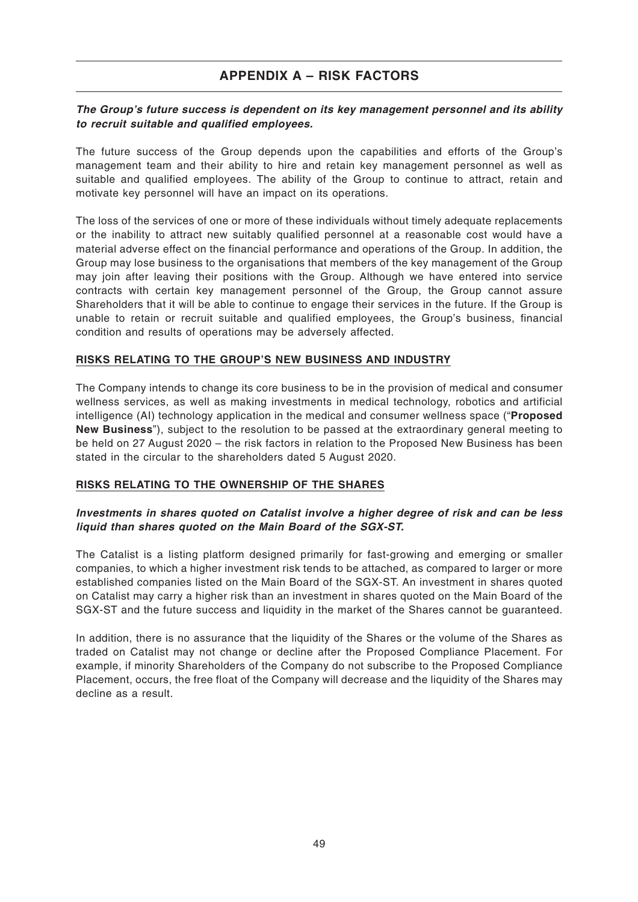### **The Group's future success is dependent on its key management personnel and its ability to recruit suitable and qualified employees.**

The future success of the Group depends upon the capabilities and efforts of the Group's management team and their ability to hire and retain key management personnel as well as suitable and qualified employees. The ability of the Group to continue to attract, retain and motivate key personnel will have an impact on its operations.

The loss of the services of one or more of these individuals without timely adequate replacements or the inability to attract new suitably qualified personnel at a reasonable cost would have a material adverse effect on the financial performance and operations of the Group. In addition, the Group may lose business to the organisations that members of the key management of the Group may join after leaving their positions with the Group. Although we have entered into service contracts with certain key management personnel of the Group, the Group cannot assure Shareholders that it will be able to continue to engage their services in the future. If the Group is unable to retain or recruit suitable and qualified employees, the Group's business, financial condition and results of operations may be adversely affected.

#### **RISKS RELATING TO THE GROUP'S NEW BUSINESS AND INDUSTRY**

The Company intends to change its core business to be in the provision of medical and consumer wellness services, as well as making investments in medical technology, robotics and artificial intelligence (AI) technology application in the medical and consumer wellness space ("**Proposed New Business**"), subject to the resolution to be passed at the extraordinary general meeting to be held on 27 August 2020 – the risk factors in relation to the Proposed New Business has been stated in the circular to the shareholders dated 5 August 2020.

### **RISKS RELATING TO THE OWNERSHIP OF THE SHARES**

#### **Investments in shares quoted on Catalist involve a higher degree of risk and can be less liquid than shares quoted on the Main Board of the SGX-ST.**

The Catalist is a listing platform designed primarily for fast-growing and emerging or smaller companies, to which a higher investment risk tends to be attached, as compared to larger or more established companies listed on the Main Board of the SGX-ST. An investment in shares quoted on Catalist may carry a higher risk than an investment in shares quoted on the Main Board of the SGX-ST and the future success and liquidity in the market of the Shares cannot be guaranteed.

In addition, there is no assurance that the liquidity of the Shares or the volume of the Shares as traded on Catalist may not change or decline after the Proposed Compliance Placement. For example, if minority Shareholders of the Company do not subscribe to the Proposed Compliance Placement, occurs, the free float of the Company will decrease and the liquidity of the Shares may decline as a result.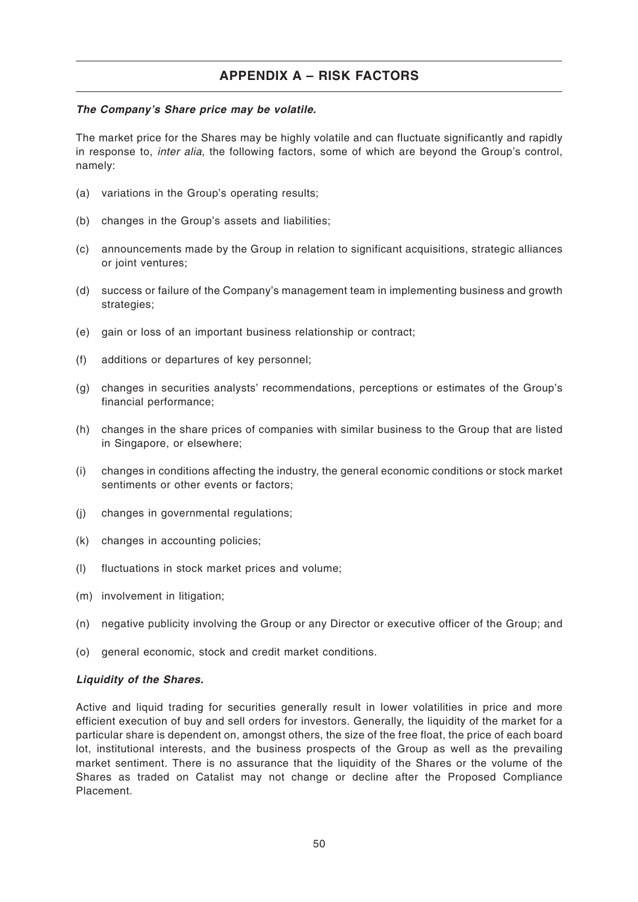#### **The Company's Share price may be volatile.**

The market price for the Shares may be highly volatile and can fluctuate significantly and rapidly in response to, inter alia, the following factors, some of which are beyond the Group's control, namely:

- (a) variations in the Group's operating results;
- (b) changes in the Group's assets and liabilities;
- (c) announcements made by the Group in relation to significant acquisitions, strategic alliances or joint ventures;
- (d) success or failure of the Company's management team in implementing business and growth strategies;
- (e) gain or loss of an important business relationship or contract;
- (f) additions or departures of key personnel;
- (g) changes in securities analysts' recommendations, perceptions or estimates of the Group's financial performance;
- (h) changes in the share prices of companies with similar business to the Group that are listed in Singapore, or elsewhere;
- (i) changes in conditions affecting the industry, the general economic conditions or stock market sentiments or other events or factors;
- (j) changes in governmental regulations;
- (k) changes in accounting policies;
- (l) fluctuations in stock market prices and volume;
- (m) involvement in litigation;
- (n) negative publicity involving the Group or any Director or executive officer of the Group; and
- (o) general economic, stock and credit market conditions.

#### **Liquidity of the Shares.**

Active and liquid trading for securities generally result in lower volatilities in price and more efficient execution of buy and sell orders for investors. Generally, the liquidity of the market for a particular share is dependent on, amongst others, the size of the free float, the price of each board lot, institutional interests, and the business prospects of the Group as well as the prevailing market sentiment. There is no assurance that the liquidity of the Shares or the volume of the Shares as traded on Catalist may not change or decline after the Proposed Compliance Placement.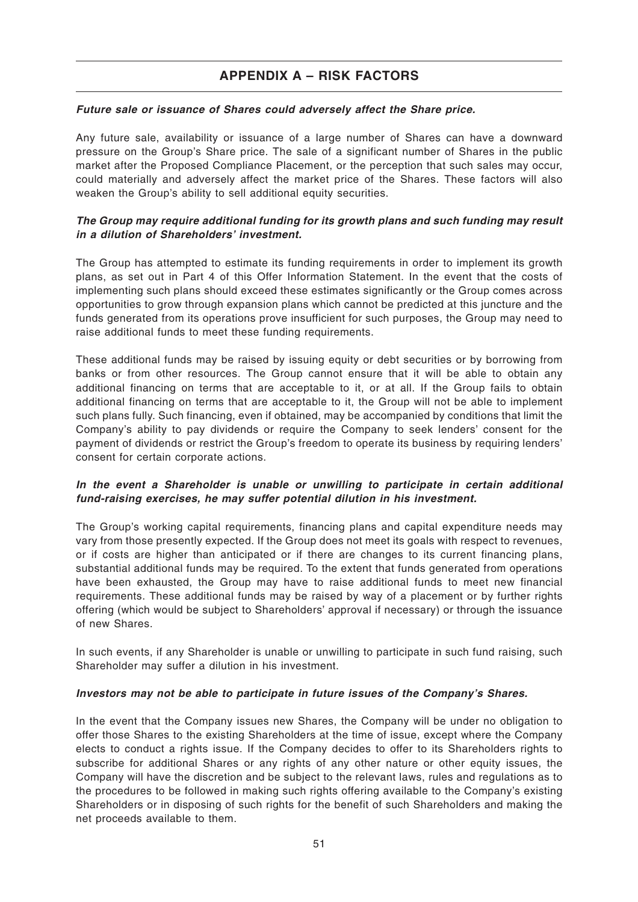#### **Future sale or issuance of Shares could adversely affect the Share price.**

Any future sale, availability or issuance of a large number of Shares can have a downward pressure on the Group's Share price. The sale of a significant number of Shares in the public market after the Proposed Compliance Placement, or the perception that such sales may occur, could materially and adversely affect the market price of the Shares. These factors will also weaken the Group's ability to sell additional equity securities.

### **The Group may require additional funding for its growth plans and such funding may result in a dilution of Shareholders' investment.**

The Group has attempted to estimate its funding requirements in order to implement its growth plans, as set out in Part 4 of this Offer Information Statement. In the event that the costs of implementing such plans should exceed these estimates significantly or the Group comes across opportunities to grow through expansion plans which cannot be predicted at this juncture and the funds generated from its operations prove insufficient for such purposes, the Group may need to raise additional funds to meet these funding requirements.

These additional funds may be raised by issuing equity or debt securities or by borrowing from banks or from other resources. The Group cannot ensure that it will be able to obtain any additional financing on terms that are acceptable to it, or at all. If the Group fails to obtain additional financing on terms that are acceptable to it, the Group will not be able to implement such plans fully. Such financing, even if obtained, may be accompanied by conditions that limit the Company's ability to pay dividends or require the Company to seek lenders' consent for the payment of dividends or restrict the Group's freedom to operate its business by requiring lenders' consent for certain corporate actions.

### **In the event a Shareholder is unable or unwilling to participate in certain additional fund-raising exercises, he may suffer potential dilution in his investment.**

The Group's working capital requirements, financing plans and capital expenditure needs may vary from those presently expected. If the Group does not meet its goals with respect to revenues, or if costs are higher than anticipated or if there are changes to its current financing plans, substantial additional funds may be required. To the extent that funds generated from operations have been exhausted, the Group may have to raise additional funds to meet new financial requirements. These additional funds may be raised by way of a placement or by further rights offering (which would be subject to Shareholders' approval if necessary) or through the issuance of new Shares.

In such events, if any Shareholder is unable or unwilling to participate in such fund raising, such Shareholder may suffer a dilution in his investment.

#### **Investors may not be able to participate in future issues of the Company's Shares.**

In the event that the Company issues new Shares, the Company will be under no obligation to offer those Shares to the existing Shareholders at the time of issue, except where the Company elects to conduct a rights issue. If the Company decides to offer to its Shareholders rights to subscribe for additional Shares or any rights of any other nature or other equity issues, the Company will have the discretion and be subject to the relevant laws, rules and regulations as to the procedures to be followed in making such rights offering available to the Company's existing Shareholders or in disposing of such rights for the benefit of such Shareholders and making the net proceeds available to them.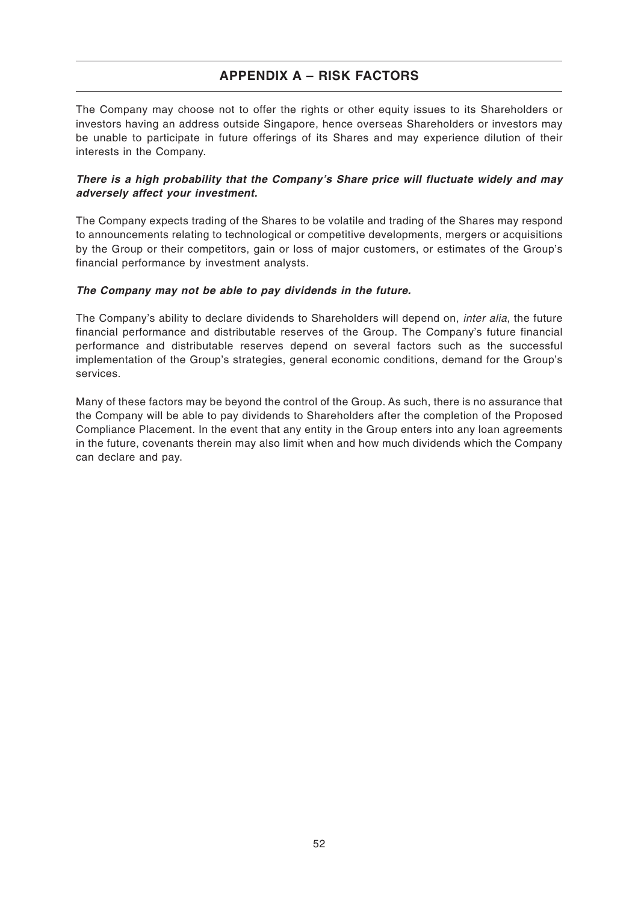The Company may choose not to offer the rights or other equity issues to its Shareholders or investors having an address outside Singapore, hence overseas Shareholders or investors may be unable to participate in future offerings of its Shares and may experience dilution of their interests in the Company.

### **There is a high probability that the Company's Share price will fluctuate widely and may adversely affect your investment.**

The Company expects trading of the Shares to be volatile and trading of the Shares may respond to announcements relating to technological or competitive developments, mergers or acquisitions by the Group or their competitors, gain or loss of major customers, or estimates of the Group's financial performance by investment analysts.

#### **The Company may not be able to pay dividends in the future.**

The Company's ability to declare dividends to Shareholders will depend on, *inter alia*, the future financial performance and distributable reserves of the Group. The Company's future financial performance and distributable reserves depend on several factors such as the successful implementation of the Group's strategies, general economic conditions, demand for the Group's services.

Many of these factors may be beyond the control of the Group. As such, there is no assurance that the Company will be able to pay dividends to Shareholders after the completion of the Proposed Compliance Placement. In the event that any entity in the Group enters into any loan agreements in the future, covenants therein may also limit when and how much dividends which the Company can declare and pay.